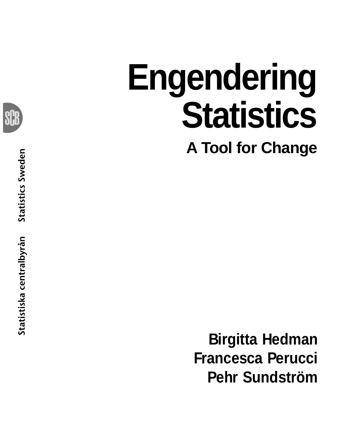# **Engendering Statistics A Tool for Change**

**Birgitta Hedman Francesca Perucci Pehr Sundström**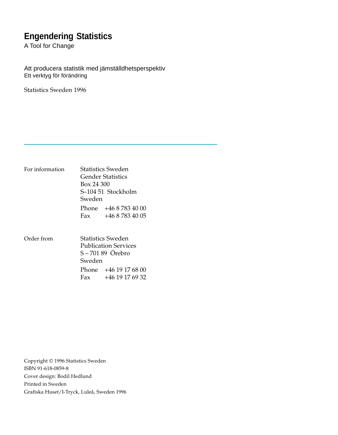# **Engendering Statistics**

A Tool for Change

Att producera statistik med jämställdhetsperspektiv Ett verktyg för förändring

Statistics Sweden 1996

For information Statistics Sweden

|            | Statistics Sweden        |
|------------|--------------------------|
|            | <b>Gender Statistics</b> |
| Box 24 300 |                          |
|            | S-104.51 Stockholm       |
| Sweden     |                          |
| Phone.     | $+4687834000$            |
| Fax        | $+4687834005$            |
|            |                          |

Order from Statistics Sweden Publication Services S – 701 89 Örebro Sweden Phone +46 19 17 68 00 Fax +46 19 17 69 32

Copyright © 1996 Statistics Sweden ISBN 91-618-0859-8 Cover design: Bodil Hedlund Printed in Sweden Grafiska Huset/I-Tryck, Luleå, Sweden 1996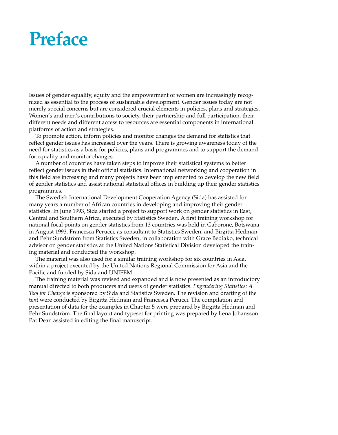# **Preface**

Issues of gender equality, equity and the empowerment of women are increasingly recognized as essential to the process of sustainable development. Gender issues today are not merely special concerns but are considered crucial elements in policies, plans and strategies. Women's and men's contributions to society, their partnership and full participation, their different needs and different access to resources are essential components in international platforms of action and strategies.

To promote action, inform policies and monitor changes the demand for statistics that reflect gender issues has increased over the years. There is growing awareness today of the need for statistics as a basis for policies, plans and programmes and to support the demand for equality and monitor changes.

A number of countries have taken steps to improve their statistical systems to better reflect gender issues in their official statistics. International networking and cooperation in this field are increasing and many projects have been implemented to develop the new field of gender statistics and assist national statistical offices in building up their gender statistics programmes.

The Swedish International Development Cooperation Agency (Sida) has assisted for many years a number of African countries in developing and improving their gender statistics. In June 1993, Sida started a project to support work on gender statistics in East, Central and Southern Africa, executed by Statistics Sweden. A first training workshop for national focal points on gender statistics from 13 countries was held in Gaborone, Botswana in August 1993. Francesca Perucci, as consultant to Statistics Sweden, and Birgitta Hedman and Pehr Sundström from Statistics Sweden, in collaboration with Grace Bediako, technical advisor on gender statistics at the United Nations Statistical Division developed the training material and conducted the workshop.

The material was also used for a similar training workshop for six countries in Asia, within a project executed by the United Nations Regional Commission for Asia and the Pacific and funded by Sida and UNIFEM.

The training material was revised and expanded and is now presented as an introductory manual directed to both producers and users of gender statistics. *Engendering Statistics: A Tool for Change* is sponsored by Sida and Statistics Sweden. The revision and drafting of the text were conducted by Birgitta Hedman and Francesca Perucci. The compilation and presentation of data for the examples in Chapter 5 were prepared by Birgitta Hedman and Pehr Sundström. The final layout and typeset for printing was prepared by Lena Johansson. Pat Dean assisted in editing the final manuscript.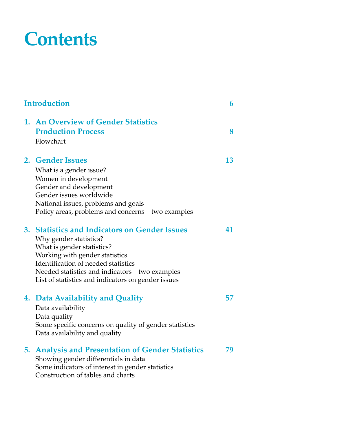# **Contents**

| <b>Introduction</b> |                                                        | 6  |
|---------------------|--------------------------------------------------------|----|
|                     | 1. An Overview of Gender Statistics                    |    |
|                     | <b>Production Process</b>                              | 8  |
|                     | Flowchart                                              |    |
|                     | 2. Gender Issues                                       | 13 |
|                     | What is a gender issue?                                |    |
|                     | Women in development                                   |    |
|                     | Gender and development                                 |    |
|                     | Gender issues worldwide                                |    |
|                     | National issues, problems and goals                    |    |
|                     | Policy areas, problems and concerns - two examples     |    |
|                     | 3. Statistics and Indicators on Gender Issues          | 41 |
|                     | Why gender statistics?                                 |    |
|                     | What is gender statistics?                             |    |
|                     | Working with gender statistics                         |    |
|                     | Identification of needed statistics                    |    |
|                     | Needed statistics and indicators - two examples        |    |
|                     | List of statistics and indicators on gender issues     |    |
|                     | 4. Data Availability and Quality                       | 57 |
|                     | Data availability                                      |    |
|                     | Data quality                                           |    |
|                     | Some specific concerns on quality of gender statistics |    |
|                     | Data availability and quality                          |    |
|                     | 5. Analysis and Presentation of Gender Statistics      | 79 |
|                     | Showing gender differentials in data                   |    |
|                     | Some indicators of interest in gender statistics       |    |
|                     | Construction of tables and charts                      |    |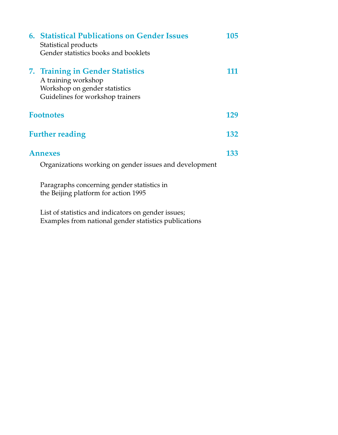| <b>6. Statistical Publications on Gender Issues</b><br>Statistical products<br>Gender statistics books and booklets          | 105 |
|------------------------------------------------------------------------------------------------------------------------------|-----|
| 7. Training in Gender Statistics<br>A training workshop<br>Workshop on gender statistics<br>Guidelines for workshop trainers | 111 |
| <b>Footnotes</b>                                                                                                             | 129 |
| <b>Further reading</b>                                                                                                       | 132 |
| Annexes<br>Organizations working on gender issues and development                                                            | 133 |
| Paragraphs concerning gender statistics in<br>the Beijing platform for action 1995                                           |     |

List of statistics and indicators on gender issues; Examples from national gender statistics publications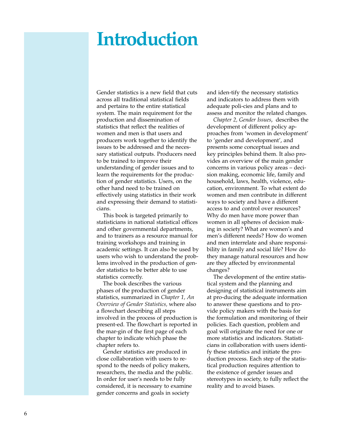# **Introduction**

Gender statistics is a new field that cuts across all traditional statistical fields and pertains to the entire statistical system. The main requirement for the production and dissemination of statistics that reflect the realities of women and men is that users and producers work together to identify the issues to be addressed and the necessary statistical outputs. Producers need to be trained to improve their understanding of gender issues and to learn the requirements for the production of gender statistics. Users, on the other hand need to be trained on effectively using statistics in their work and expressing their demand to statisticians.

This book is targeted primarily to statisticians in national statistical offices and other governmental departments, and to trainers as a resource manual for training workshops and training in academic settings. It can also be used by users who wish to understand the problems involved in the production of gender statistics to be better able to use statistics correctly.

The book describes the various phases of the production of gender statistics, summarized in *Chapter 1, An Overview of Gender Statistics,* where also a flowchart describing all steps involved in the process of production is present-ed. The flowchart is reported in the mar-gin of the first page of each chapter to indicate which phase the chapter refers to.

Gender statistics are produced in close collaboration with users to respond to the needs of policy makers, researchers, the media and the public. In order for user's needs to be fully considered, it is necessary to examine gender concerns and goals in society

and iden-tify the necessary statistics and indicators to address them with adequate poli-cies and plans and to assess and monitor the related changes.

*Chapter 2, Gender Issues*, describes the development of different policy approaches from 'women in development' to 'gender and development', and presents some conceptual issues and key principles behind them. It also provides an overview of the main gender concerns in various policy areas – decision making, economic life, family and household, laws, health, violence, education, environment. To what extent do women and men contribute in different ways to society and have a different access to and control over resources? Why do men have more power than women in all spheres of decision making in society? What are women's and men's different needs? How do women and men interrelate and share responsibility in family and social life? How do they manage natural resources and how are they affected by environmental changes?

The development of the entire statistical system and the planning and designing of statistical instruments aim at pro-ducing the adequate information to answer these questions and to provide policy makers with the basis for the formulation and monitoring of their policies. Each question, problem and goal will originate the need for one or more statistics and indicators. Statisticians in collaboration with users identify these statistics and initiate the production process. Each step of the statistical production requires attention to the existence of gender issues and stereotypes in society, to fully reflect the reality and to avoid biases.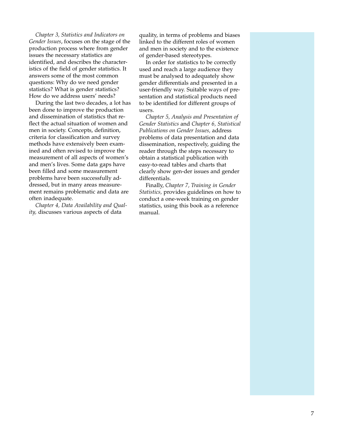*Chapter 3, Statistics and Indicators on Gender Issues*, focuses on the stage of the production process where from gender issues the necessary statistics are identified, and describes the characteristics of the field of gender statistics. It answers some of the most common questions: Why do we need gender statistics? What is gender statistics? How do we address users' needs?

During the last two decades, a lot has been done to improve the production and dissemination of statistics that reflect the actual situation of women and men in society. Concepts, definition, criteria for classification and survey methods have extensively been examined and often revised to improve the measurement of all aspects of women's and men's lives. Some data gaps have been filled and some measurement problems have been successfully addressed, but in many areas measurement remains problematic and data are often inadequate.

*Chapter 4, Data Availability and Quality,* discusses various aspects of data

quality, in terms of problems and biases linked to the different roles of women and men in society and to the existence of gender-based stereotypes.

In order for statistics to be correctly used and reach a large audience they must be analysed to adequately show gender differentials and presented in a user-friendly way. Suitable ways of presentation and statistical products need to be identified for different groups of users.

*Chapter 5, Analysis and Presentation of Gender Statistics* and *Chapter 6, Statistical Publications on Gender Issues,* address problems of data presentation and data dissemination, respectively, guiding the reader through the steps necessary to obtain a statistical publication with easy-to-read tables and charts that clearly show gen-der issues and gender differentials.

Finally, *Chapter 7, Training in Gender Statistics,* provides guidelines on how to conduct a one-week training on gender statistics, using this book as a reference manual.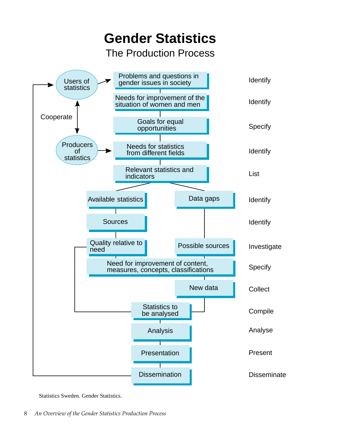# **Gender Statistics**

# The Production Process



Statistics Sweden. Gender Statistics.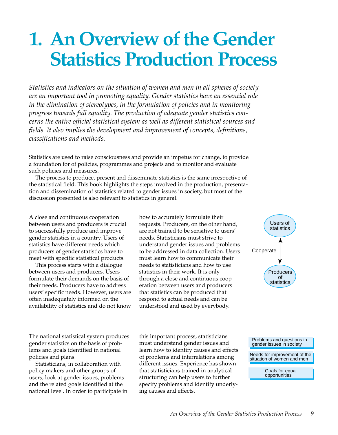# **1. An Overview of the Gender Statistics Production Process**

*Statistics and indicators on the situation of women and men in all spheres of society are an important tool in promoting equality. Gender statistics have an essential role in the elimination of stereotypes, in the formulation of policies and in monitoring progress towards full equality. The production of adequate gender statistics concerns the entire official statistical system as well as different statistical sources and fields. It also implies the development and improvement of concepts, definitions, classifications and methods.*

Statistics are used to raise consciousness and provide an impetus for change, to provide a foundation for of policies, programmes and projects and to monitor and evaluate such policies and measures.

The process to produce, present and disseminate statistics is the same irrespective of the statistical field. This book highlights the steps involved in the production, presentation and dissemination of statistics related to gender issues in society, but most of the discussion presented is also relevant to statistics in general.

A close and continuous cooperation between users and producers is crucial to successfully produce and improve gender statistics in a country. Users of statistics have different needs which producers of gender statistics have to meet with specific statistical products.

This process starts with a dialogue between users and producers. Users formulate their demands on the basis of their needs. Producers have to address users' specific needs. However, users are often inadequately informed on the availability of statistics and do not know

how to accurately formulate their requests. Producers, on the other hand, are not trained to be sensitive to users' needs. Statisticians must strive to understand gender issues and problems to be addressed in data collection. Users must learn how to communicate their needs to statisticians and how to use statistics in their work. It is only through a close and continuous cooperation between users and producers that statistics can be produced that respond to actual needs and can be understood and used by everybody.



The national statistical system produces gender statistics on the basis of problems and goals identified in national policies and plans.

Statisticians, in collaboration with policy makers and other groups of users, look at gender issues, problems and the related goals identified at the national level. In order to participate in

this important process, statisticians must understand gender issues and learn how to identify causes and effects of problems and interrelations among different issues. Experience has shown that statisticians trained in analytical structuring can help users to further specify problems and identify underlying causes and effects.

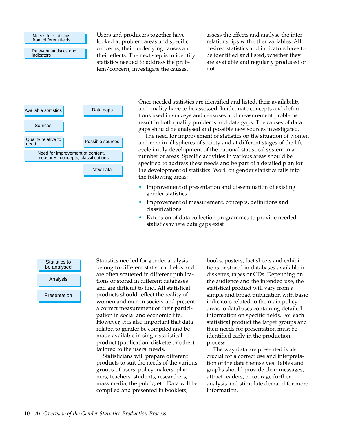

Users and producers together have looked at problem areas and specific concerns, their underlying causes and their effects. The next step is to identify statistics needed to address the problem/concern, investigate the causes,

assess the effects and analyse the interrelationships with other variables. All desired statistics and indicators have to be identified and listed, whether they are available and regularly produced or not.



Once needed statistics are identified and listed, their availability and quality have to be assessed. Inadequate concepts and definitions used in surveys and censuses and measurement problems result in both quality problems and data gaps. The causes of data gaps should be analysed and possible new sources investigated.

The need for improvement of statistics on the situation of women and men in all spheres of society and at different stages of the life cycle imply development of the national statistical system in a number of areas. Specific activities in various areas should be specified to address these needs and be part of a detailed plan for the development of statistics. Work on gender statistics falls into the following areas:

- Improvement of presentation and dissemination of existing gender statistics
- Improvement of measurement, concepts, definitions and classifications
- Extension of data collection programmes to provide needed statistics where data gaps exist



Statistics needed for gender analysis belong to different statistical fields and are often scattered in different publications or stored in different databases and are difficult to find. All statistical products should reflect the reality of women and men in society and present a correct measurement of their participation in social and economic life. However, it is also important that data related to gender be compiled and be made available in single statistical product (publication, diskette or other) tailored to the users' needs.

Statisticians will prepare different products to suit the needs of the various groups of users: policy makers, planners, teachers, students, researchers, mass media, the public, etc. Data will be compiled and presented in booklets,

books, posters, fact sheets and exhibitions or stored in databases available in diskettes, tapes or CDs. Depending on the audience and the intended use, the statistical product will vary from a simple and broad publication with basic indicators related to the main policy areas to databases containing detailed information on specific fields. For each statistical product the target groups and their needs for presentation must be identified early in the production process.

The way data are presented is also crucial for a correct use and interpretation of the data themselves. Tables and graphs should provide clear messages, attract readers, encourage further analysis and stimulate demand for more information.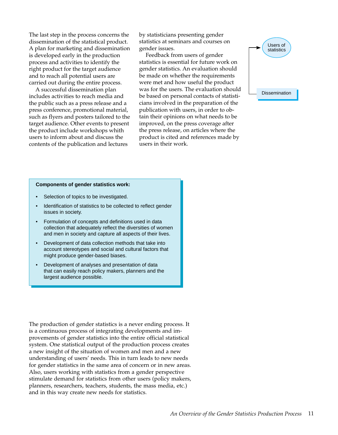The last step in the process concerns the dissemination of the statistical product. A plan for marketing and dissemination is developed early in the production process and activities to identify the right product for the target audience and to reach all potential users are carried out during the entire process.

A successful dissemination plan includes activities to reach media and the public such as a press release and a press conference, promotional material, such as flyers and posters tailored to the target audience. Other events to present the product include workshops whith users to inform about and discuss the contents of the publication and lectures

by statisticians presenting gender statistics at seminars and courses on gender issues.

Feedback from users of gender statistics is essential for future work on gender statistics. An evaluation should be made on whether the requirements were met and how useful the product was for the users. The evaluation should be based on personal contacts of statisticians involved in the preparation of the publication with users, in order to obtain their opinions on what needs to be improved, on the press coverage after the press release, on articles where the product is cited and references made by users in their work.



# **Components of gender statistics work:**

- Selection of topics to be investigated.
- Identification of statistics to be collected to reflect gender issues in society.
- Formulation of concepts and definitions used in data collection that adequately reflect the diversities of women and men in society and capture all aspects of their lives.
- Development of data collection methods that take into account stereotypes and social and cultural factors that might produce gender-based biases.
- Development of analyses and presentation of data that can easily reach policy makers, planners and the largest audience possible.

The production of gender statistics is a never ending process. It is a continuous process of integrating developments and improvements of gender statistics into the entire official statistical system. One statistical output of the production process creates a new insight of the situation of women and men and a new understanding of users' needs. This in turn leads to new needs for gender statistics in the same area of concern or in new areas. Also, users working with statistics from a gender perspective stimulate demand for statistics from other users (policy makers, planners, researchers, teachers, students, the mass media, etc.) and in this way create new needs for statistics.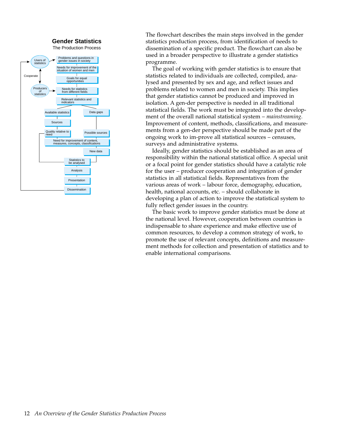# **Gender Statistics**

The Production Process



The flowchart describes the main steps involved in the gender statistics production process, from identification of needs to dissemination of a specific product. The flowchart can also be used in a broader perspective to illustrate a gender statistics programme.

The goal of working with gender statistics is to ensure that statistics related to individuals are collected, compiled, analysed and presented by sex and age, and reflect issues and problems related to women and men in society. This implies that gender statistics cannot be produced and improved in isolation. A gen-der perspective is needed in all traditional statistical fields. The work must be integrated into the development of the overall national statistical system – *mainstreaming*. Improvement of content, methods, classifications, and measurements from a gen-der perspective should be made part of the ongoing work to im-prove all statistical sources – censuses, surveys and administrative systems.

Ideally, gender statistics should be established as an area of responsibility within the national statistical office. A special unit or a focal point for gender statistics should have a catalytic role for the user – producer cooperation and integration of gender statistics in all statistical fields. Representatives from the various areas of work – labour force, demography, education, health, national accounts, etc. – should collaborate in developing a plan of action to improve the statistical system to fully reflect gender issues in the country.

The basic work to improve gender statistics must be done at the national level. However, cooperation between countries is indispensable to share experience and make effective use of common resources, to develop a common strategy of work, to promote the use of relevant concepts, definitions and measurement methods for collection and presentation of statistics and to enable international comparisons.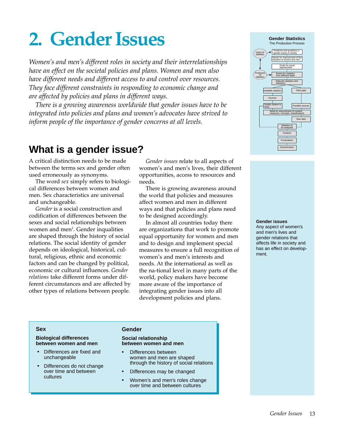# **2. Gender Issues**

*Women's and men's different roles in society and their interrelationships have an effect on the societal policies and plans. Women and men also have different needs and different access to and control over resources. They face different constraints in responding to economic change and are affected by policies and plans in different ways.*

*There is a growing awareness worldwide that gender issues have to be integrated into policies and plans and women's advocates have strived to inform people of the importance of gender concerns at all levels.*

# **What is a gender issue?**

A critical distinction needs to be made between the terms sex and gender often used erroneously as synonyms.

The word *sex* simply refers to biological differences between women and men. Sex characteristics are universal and unchangeable.

*Gender* is a social construction and codification of differences between the sexes and social relationships between women and men<sup>1</sup>. Gender inqualities are shaped through the history of social relations. The social identity of gender depends on ideological, historical, cultural, religious, ethnic and economic factors and can be changed by political, economic or cultural influences. *Gender relations* take different forms under different circumstances and are affected by other types of relations between people.

*Gender issues* relate to all aspects of women's and men's lives, their different opportunities, access to resources and needs.

There is growing awareness around the world that policies and measures affect women and men in different ways and that policies and plans need to be designed accordingly.

In almost all countries today there are organizations that work to promote equal opportunity for women and men and to design and implement special measures to ensure a full recognition of women's and men's interests and needs. At the international as well as the na-tional level in many parts of the world, policy makers have become more aware of the importance of integrating gender issues into all development policies and plans.



Any aspect of women's and men's lives and gender relations that affects life in society and has an effect on development.

# **Sex**

### **Biological differences between women and men**

- Differences are fixed and unchangeable
- Differences do not change over time and between cultures

# **Gender**

### **Social relationship between women and men**

- Differences between women and men are shaped through the history of social relations
- Differences may be changed
- Women's and men's roles change over time and between cultures

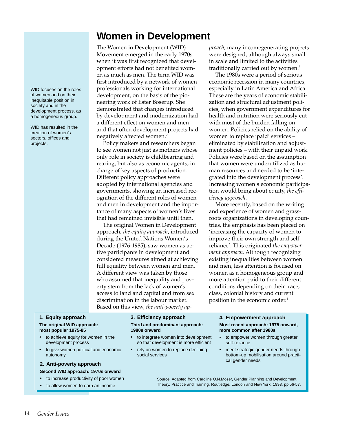# **Women in Development**

The Women in Development (WID) Movement emerged in the early 1970s when it was first recognized that development efforts had not benefited women as much as men. The term WID was first introduced by a network of women professionals working for international development, on the basis of the pioneering work of Ester Boserup. She demonstrated that changes introduced by development and modernization had a different effect on women and men and that often development projects had negatively affected women.2

Policy makers and researchers began to see women not just as mothers whose only role in society is childbearing and rearing, but also as economic agents, in charge of key aspects of production. Different policy approaches were adopted by international agencies and governments, showing an increased recognition of the different roles of women and men in development and the importance of many aspects of women's lives that had remained invisible until then.

The original Women in Development approach, *the equity approach*, introduced during the United Nations Women's Decade (1976-1985), saw women as active participants in development and considered measures aimed at achieving full equality between women and men. A different view was taken by those who assumed that inequality and poverty stem from the lack of women's access to land and capital and from sex discrimination in the labour market. Based on this view, *the anti-poverty ap-* *proach*, many incomegenerating projects were designed, although always small in scale and limited to the activities traditionally carried out by women.3

The 1980s were a period of serious economic recession in many countries, especially in Latin America and Africa. These are the years of economic stabilization and structural adjustment policies, when government expenditures for health and nutrition were seriously cut with most of the burden falling on women. Policies relied on the ability of women to replace 'paid' services – eliminated by stabilization and adjustment policies – with their unpaid work. Policies were based on the assumption that women were underutilized as human resources and needed to be 'integrated into the development process'. Increasing women's economic participation would bring about equity, *the efficiency approach*.

More recently, based on the writing and experience of women and grassroots organizations in developing countries, the emphasis has been placed on 'increasing the capacity of women to improve their own strength and selfreliance'. This originated *the empowerment approach*. Although recognizing existing inequalities between women and men, less attention is focused on women as a homogeneous group and more attention paid to their different conditions depending on their race, class, colonial history and current position in the economic order.4

# **1. Equity approach The original WID approach: most popular 1975-85**

WID focuses on the roles of women and on their inequitable position in society and in the development process, as a homogeneous group. WID has resulted in the creation of women's sectors, offices and

projects.

- to achieve equity for women in the development process
- to give women political and economic autonomy

# **2. Anti-poverty approach**

- **Second WID approach: 1970s onward**
- to increase productivity of poor women
- to allow women to earn an income

# **3. Efficiency approach Third and predominant approach: 1980s onward**

- to integrate women into development so that development is more efficient
- rely on women to replace declining social services

# **4. Empowerment approach**

**Most recent approach: 1975 onward, more common after 1980s**

- to empower women through greater self-reliance
- meet strategic gender needs through bottom-up mobilisation around practical gender needs

Source: Adapted from Caroline O.N.Moser, Gender Planning and Development. Theory, Practice and Training, Routledge, London and New York, 1993, pp.56-57.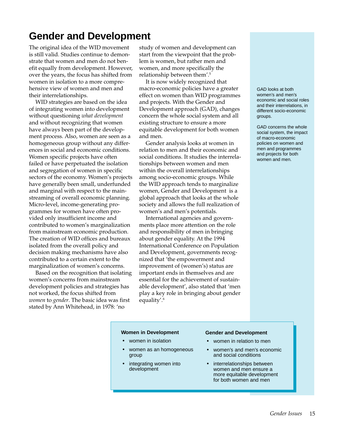# **Gender and Development**

The original idea of the WID movement is still valid. Studies continue to demonstrate that women and men do not benefit equally from development. However, over the years, the focus has shifted from women in isolation to a more comprehensive view of women and men and their interrelationships.

WID strategies are based on the idea of integrating women into development without questioning *what development* and without recognizing that women have always been part of the development process. Also, women are seen as a homogeneous group without any differences in social and economic conditions. Women specific projects have often failed or have perpetuated the isolation and segregation of women in specific sectors of the economy. Women's projects have generally been small, underfunded and marginal with respect to the mainstreaming of overall economic planning. Micro-level, income-generating programmes for women have often provided only insufficient income and contributed to women's marginalization from mainstream economic production. The creation of WID offices and bureaux isolated from the overall policy and decision making mechanisms have also contributed to a certain extent to the marginalization of women's concerns.

Based on the recognition that isolating women's concerns from mainstream development policies and strategies has not worked, the focus shifted from *women* to *gender*. The basic idea was first stated by Ann Whitehead, in 1978: 'no

study of women and development can start from the viewpoint that the problem is women, but rather men and women, and more specifically the relationship between them'. 5

It is now widely recognized that macro-economic policies have a greater effect on women than WID programmes and projects. With the Gender and Development approach (GAD), changes concern the whole social system and all existing structure to ensure a more equitable development for both women and men.

Gender analysis looks at women in relation to men and their economic and social conditions. It studies the interrelationships between women and men within the overall interrelationships among socio-economic groups. While the WID approach tends to marginalize women, Gender and Development is a global approach that looks at the whole society and allows the full realization of women's and men's potentials.

International agencies and governments place more attention on the role and responsibility of men in bringing about gender equality. At the 1994 International Conference on Population and Development, governments recognized that 'the empowerment and improvement of (women's) status are important ends in themselves and are essential for the achievement of sustainable development', also stated that 'men play a key role in bringing about gender equality'. 6

GAD looks at both women's and men's economic and social roles and their interrelations, in different socio-economic groups.

GAD concerns the whole social system, the impact of macro-economic policies on women and men and programmes and projects for both women and men.

# **Women in Development**

- women in isolation
- women as an homogeneous group
- integrating women into development

### **Gender and Development**

- women in relation to men
- women's and men's economic and social conditions
- interrelationships between women and men ensure a more equitable development for both women and men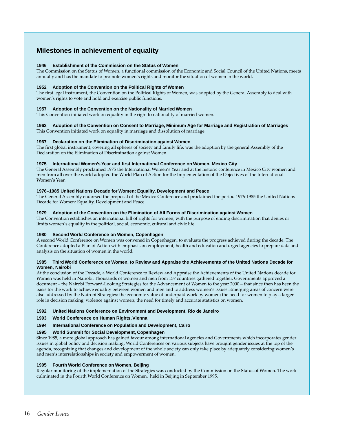# **Milestones in achievement of equality**

# **1946 Establishment of the Commission on the Status of Women**

The Commission on the Status of Women, a functional commission of the Economic and Social Council of the United Nations, meets annually and has the mandate to promote women's rights and monitor the situation of women in the world.

# **1952 Adoption of the Convention on the Political Rights of Women**

The first legal instrument, the Convention on the Political Rights of Women, was adopted by the General Assembly to deal with women's rights to vote and hold and exercise public functions.

# **1957 Adoption of the Convention on the Nationality of Married Women**

This Convention initiated work on equality in the right to nationality of married women.

# **1962 Adoption of the Convention on Consent to Marriage, Minimum Age for Marriage and Registration of Marriages**

This Convention initiated work on equality in marriage and dissolution of marriage.

# **1967 Declaration on the Elimination of Discrimination against Women**

The first global instrument, covering all spheres of society and family life, was the adoption by the general Assembly of the Declaration on the Elimination of Discrimination against Women.

# **1975 International Women's Year and first International Conference on Women, Mexico City**

The General Assembly proclaimed 1975 the International Women's Year and at the historic conference in Mexico City women and men from all over the world adopted the World Plan of Action for the Implementation of the Objectives of the International Women's Year.

# **1976–1985 United Nations Decade for Women: Equality, Development and Peace**

The General Assembly endorsed the proposal of the Mexico Conference and proclaimed the period 1976-1985 the United Nations Decade for Women: Equality, Development and Peace.

# **1979 Adoption of the Convention on the Elimination of All Forms of Discrimination against Women**

The Convention establishes an international bill of rights for women, with the purpose of ending discrimination that denies or limits women's equality in the political, social, economic, cultural and civic life.

# **1980 Second World Conference on Women, Copenhagen**

A second World Conference on Women was convened in Copenhagen, to evaluate the progress achieved during the decade. The Conference adopted a Plan of Action with emphasis on employment, health and education and urged agencies to prepare data and analysis on the situation of women in the world.

# **1985 Third World Conference on Women, to Review and Appraise the Achievements of the United Nations Decade for Women, Nairobi**

At the conclusion of the Decade, a World Conference to Review and Appraise the Achievements of the United Nations decade for Women was held in Nairobi. Thousands of women and men from 157 countries gathered together. Governments approved a document – the Nairobi Forward-Looking Strategies for the Advancement of Women to the year 2000 – that since then has been the basis for the work to achieve equality between women and men and to address women's issues. Emerging areas of concern were also addressed by the Nairobi Strategies: the economic value of underpaid work by women; the need for women to play a larger role in decision making; violence against women; the need for timely and accurate statistics on women.

# **1992 United Nations Conference on Environment and Development, Rio de Janeiro**

# **1993 World Conference on Human Rights, Vienna**

# **1994 International Conference on Population and Development, Cairo**

# **1995 World Summit for Social Development, Copenhagen**

Since 1985, a more global approach has gained favour among international agencies and Governments which incorporates gender issues in global policy and decision making. World Conferences on various subjects have brought gender issues at the top of the agenda, recognizing that changes and development of the whole society can only take place by adequately considering women's and men's interrelationships in society and empowerment of women.

# **1995 Fourth World Conference on Women, Beijing**

Regular monitoring of the implementation of the Strategies was conducted by the Commission on the Status of Women. The work culminated in the Fourth World Conference on Women, held in Beijing in September 1995.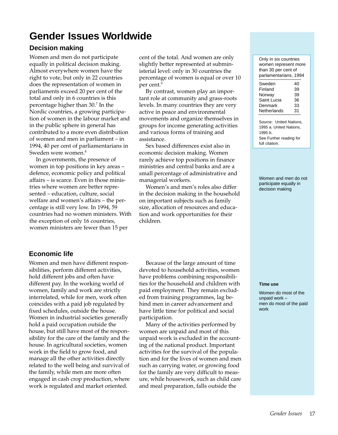# **Gender Issues Worldwide**

# **Decision making**

Women and men do not participate equally in political decision making. Almost everywhere women have the right to vote, but only in 22 countries does the representation of women in parliaments exceed 20 per cent of the total and only in 6 countries is this percentage higher than 30.7 In the Nordic countries, a growing participation of women in the labour market and in the public sphere in general has contributed to a more even distribution of women and men in parliament – in 1994, 40 per cent of parliamentarians in Sweden were women.8

In governments, the presence of women in top positions in key areas – defence, economic policy and political affairs – is scarce. Even in those ministries where women are better represented – education, culture, social welfare and women's affairs – the percentage is still very low. In 1994, 59 countries had no women ministers. With the exception of only 16 countries, women ministers are fewer than 15 per

cent of the total. And women are only slightly better represented at subministerial level: only in 30 countries the percentage of women is equal or over 10 per cent.<sup>9</sup>

By contrast, women play an important role at community and grass-roots levels. In many countries they are very active in peace and environmental movements and organize themselves in groups for income generating activities and various forms of training and assistance.

Sex based differences exist also in economic decision making. Women rarely achieve top positions in finance ministries and central banks and are a small percentage of administrative and managerial workers.

Women's and men's roles also differ in the decision making in the household on important subjects such as family size, allocation of resources and education and work opportunities for their children.

Only in six countries women represent more than 30 per cent of parlamentarians, 1994

| Sweden      | 40 |
|-------------|----|
| Finland     | 39 |
| Norway      | 39 |
| Saint Lucia | 36 |
| Denmark     | 33 |
| Netherlands | 31 |

Source: United Nations, 1995 a. United Nations, 1995 b. See Further reading for full citation.

Women and men do not participate equally in decision making

# **Economic life**

Women and men have different responsibilities, perform different activities, hold different jobs and often have different pay. In the working world of women, family and work are strictly interrelated, while for men, work often coincides with a paid job regulated by fixed schedules, outside the house. Women in industrial societies generally hold a paid occupation outside the house, but still have most of the responsibility for the care of the family and the house. In agricultural societies, women work in the field to grow food, and manage all the other activities directly related to the well being and survival of the family, while men are more often engaged in cash crop production, where work is regulated and market oriented.

Because of the large amount of time devoted to household activities, women have problems combining responsibilities for the household and children with paid employment. They remain excluded from training programmes, lag behind men in career advancement and have little time for political and social participation.

Many of the activities performed by women are unpaid and most of this unpaid work is excluded in the accounting of the national product. Important activities for the survival of the population and for the lives of women and men such as carrying water, or growing food for the family are very difficult to measure, while housework, such as child care and meal preparation, falls outside the

# **Time use**

Women do most of the unpaid work – men do most of the paid work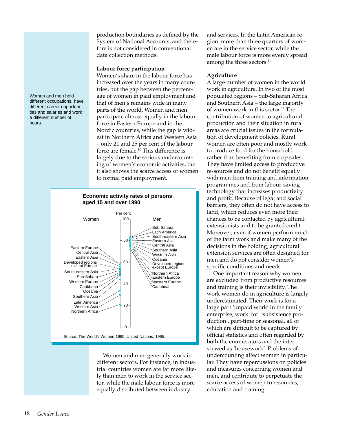Women and men hold different occupations, have different career opportunities and salaries and work a different number of hours.

production boundaries as defined by the System of National Accounts, and therefore is not considered in conventional data collection methods.

# **Labour force participation**

Women's share in the labour force has increased over the years in many countries, but the gap between the percentage of women in paid employment and that of men's remains wide in many parts of the world. Women and men participate almost equally in the labour force in Eastern Europe and in the Nordic countries, while the gap is widest in Northern Africa and Western Asia – only 21 and 25 per cent of the labour force are female.<sup>10</sup> This difference is largely due to the serious undercounting of women's economic activities, but it also shows the scarce access of women to formal paid employment.



Women and men generally work in different sectors. For instance, in industrial countries women are far more likely than men to work in the service sector, while the male labour force is more equally distributed between industry

and services. In the Latin American region more than three quarters of women are in the service sector, while the male labour force is more evenly spread among the three sectors.<sup>11</sup>

# **Agriculture**

A large number of women in the world work in agriculture. In two of the most populated regions – Sub-Saharan Africa and Southern Asia – the large majority of women work in this sector.12 The contribution of women to agricultural production and their situation in rural areas are crucial issues in the formulation of development policies. Rural women are often poor and mostly work to produce food for the household rather than benefiting from crop sales. They have limited access to productive re-sources and do not benefit equally with men from training and information programmes and from labour-saving technology that increases productivity and profit. Because of legal and social barriers, they often do not have access to land, which reduces even more their chances to be contacted by agricultural extensionists and to be granted credit. Moreover, even if women perform much of the farm work and make many of the decisions in the holding, agricultural extension services are often designed for men and do not consider women's specific conditions and needs.

One important reason why women are excluded from productive resources and training is their invisibility. The work women do in agriculture is largely underestimated. Their work is for a large part 'unpaid work' in the family enterprise, work for 'subsistence production', part-time or seasonal, all of which are difficult to be captured by official statistics and often regarded by both the enumerators and the interviewed as 'housework'. Problems of undercounting affect women in particular. They have repercussions on policies and measures concerning women and men, and contribute to perpetuate the scarce access of women to resources, education and training.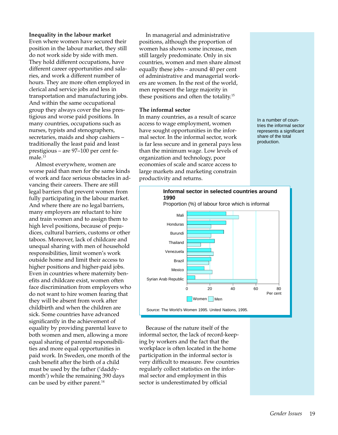# **Inequality in the labour market**

Even where women have secured their position in the labour market, they still do not work side by side with men. They hold different occupations, have different career opportunities and salaries, and work a different number of hours. They are more often employed in clerical and service jobs and less in transportation and manufacturing jobs. And within the same occupational group they always cover the less prestigious and worse paid positions. In many countries, occupations such as nurses, typists and stenographers, secretaries, maids and shop cashiers – traditionally the least paid and least prestigious – are 97–100 per cent female.<sup>13</sup>

Almost everywhere, women are worse paid than men for the same kinds of work and face serious obstacles in advancing their careers. There are still legal barriers that prevent women from fully participating in the labour market. And where there are no legal barriers, many employers are reluctant to hire and train women and to assign them to high level positions, because of prejudices, cultural barriers, customs or other taboos. Moreover, lack of childcare and unequal sharing with men of household responsibilities, limit women's work outside home and limit their access to higher positions and higher-paid jobs. Even in countries where maternity benefits and childcare exist, women often face discrimination from employers who do not want to hire women fearing that they will be absent from work after childbirth and when the children are sick. Some countries have advanced significantly in the achievement of equality by providing parental leave to both women and men, allowing a more equal sharing of parental responsibilities and more equal opportunities in paid work. In Sweden, one month of the cash benefit after the birth of a child must be used by the father ('daddymonth') while the remaining 390 days can be used by either parent.<sup>14</sup>

In managerial and administrative positions, although the proportion of women has shown some increase, men still largely predominate. Only in six countries, women and men share almost equally these jobs – around 40 per cent of administrative and managerial workers are women. In the rest of the world, men represent the large majority in these positions and often the totality.15

# **The informal sector**

In many countries, as a result of scarce access to wage employment, women have sought opportunities in the informal sector. In the informal sector, work is far less secure and in general pays less than the minimum wage. Low levels of organization and technology, poor economies of scale and scarce access to large markets and marketing constrain productivity and returns.

In a number of countries the informal sector represents a significant share of the total production.



Because of the nature itself of the informal sector, the lack of record-keeping by workers and the fact that the workplace is often located in the home participation in the informal sector is very difficult to measure. Few countries regularly collect statistics on the informal sector and employment in this sector is underestimated by official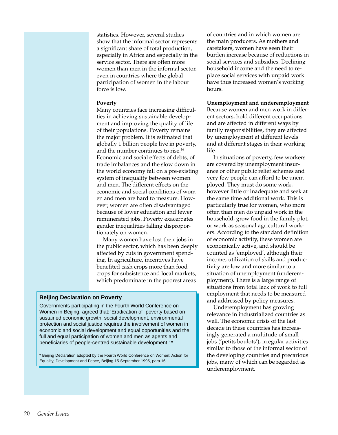statistics. However, several studies show that the informal sector represents a significant share of total production, especially in Africa and especially in the service sector. There are often more women than men in the informal sector, even in countries where the global participation of women in the labour force is low.

# **Poverty**

Many countries face increasing difficulties in achieving sustainable development and improving the quality of life of their populations. Poverty remains the major problem. It is estimated that globally 1 billion people live in poverty, and the number continues to rise.16 Economic and social effects of debts, of trade imbalances and the slow down in the world economy fall on a pre-existing system of inequality between women and men. The different effects on the economic and social conditions of women and men are hard to measure. However, women are often disadvantaged because of lower education and fewer remunerated jobs. Poverty exacerbates gender inequalities falling disproportionately on women.

Many women have lost their jobs in the public sector, which has been deeply affected by cuts in government spending. In agriculture, incentives have benefited cash crops more than food crops for subsistence and local markets, which predominate in the poorest areas

# **Beijing Declaration on Poverty**

Governments participating in the Fourth World Conference on Women in Beijing, agreed that: 'Eradication of poverty based on sustained economic growth, social development, environmental protection and social justice requires the involvement of women in economic and social development and equal opportunities and the full and equal participation of women and men as agents and beneficiaries of people-centred sustainable development.' '

\* Beijing Declaration adopted by the Fourth World Conference on Women: Action for Equality, Development and Peace, Beijing 15 September 1995, para.16.

of countries and in which women are the main producers. As mothers and caretakers, women have seen their burden increase because of reductions in social services and subsidies. Declining household income and the need to replace social services with unpaid work have thus increased women's working hours.

# **Unemployment and underemployment**

Because women and men work in different sectors, hold different occupations and are affected in different ways by family responsibilities, they are affected by unemployment at different levels and at different stages in their working life.

In situations of poverty, few workers are covered by unemployment insurance or other public relief schemes and very few people can afford to be unemployed. They must do some work, however little or inadequate and seek at the same time additional work. This is particularly true for women, who more often than men do unpaid work in the household, grow food in the family plot, or work as seasonal agricultural workers. According to the standard definition of economic activity, these women are economically active, and should be counted as 'employed', although their income, utilization of skills and productivity are low and more similar to a situation of unemployment (underemployment). There is a large range of situations from total lack of work to full employment that needs to be measured and addressed by policy measures.

Underemployment has growing relevance in industrialized countries as well. The economic crisis of the last decade in these countries has increasingly generated a multitude of small jobs ('petits boulots'), irregular activities similar to those of the informal sector of the developing countries and precarious jobs, many of which can be regarded as underemployment.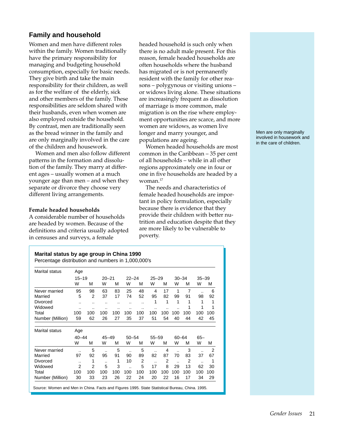# **Family and household**

Women and men have different roles within the family. Women traditionally have the primary responsibility for managing and budgeting household consumption, especially for basic needs. They give birth and take the main responsibility for their children, as well as for the welfare of the elderly, sick and other members of the family. These responsibilities are seldom shared with their husbands, even when women are also employed outside the household. By contrast, men are traditionally seen as the bread winner in the family and are only marginally involved in the care of the children and housework.

Women and men also follow different patterns in the formation and dissolution of the family. They marry at different ages – usually women at a much younger age than men – and when they separate or divorce they choose very different living arrangements.

# **Female headed households**

A considerable number of households are headed by women. Because of the definitions and criteria usually adopted in censuses and surveys, a female

headed household is such only when there is no adult male present. For this reason, female headed households are often households where the husband has migrated or is not permanently resident with the family for other reasons – polygynous or visiting unions – or widows living alone. These situations are increasingly frequent as dissolution of marriage is more common, male migration is on the rise where employment opportunities are scarce, and more women are widows, as women live longer and marry younger, and populations are ageing.

Women headed households are most common in the Caribbean – 35 per cent of all households – while in all other regions approximately one in four or one in five households are headed by a woman.<sup>17</sup>

The needs and characteristics of female headed households are important in policy formulation, especially because there is evidence that they provide their children with better nutrition and education despite that they are more likely to be vulnerable to poverty.

Men are only marginally involved in housework and in the care of children.

| <b>Marital status</b> | Age       |                |           |     |           |     |                      |     |                      |     |           |     |
|-----------------------|-----------|----------------|-----------|-----|-----------|-----|----------------------|-----|----------------------|-----|-----------|-----|
|                       | $15 - 19$ |                | $20 - 21$ |     | $22 - 24$ |     | $25 - 29$            |     | $30 - 34$            |     | $35 - 39$ |     |
|                       | W         | м              | W         | М   | W         | М   | W                    | М   | W                    | М   | W         | м   |
| Never married         | 95        | 98             | 63        | 83  | 25        | 48  | 4                    | 17  | 1                    | 7   |           | 6   |
| Married               | 5         | 2              | 37        | 17  | 74        | 52  | 95                   | 82  | 99                   | 91  | 98        | 92  |
| Divorced              |           |                |           |     |           |     | 1                    | 1   | 1                    | 1   | 1         | 1   |
| Widowed               |           |                |           |     |           |     |                      |     |                      | 1   | 1         | 1   |
| Total                 | 100       | 100            | 100       | 100 | 100       | 100 | 100                  | 100 | 100                  | 100 | 100       | 100 |
| Number (Million)      | 59        | 62             | 26        | 27  | 35        | 37  | 51                   | 54  | 40                   | 44  | 42        | 45  |
| <b>Marital status</b> | Age       |                |           |     |           |     |                      |     |                      |     |           |     |
|                       | $40 - 44$ |                | $45 - 49$ |     | $50 - 54$ |     | $55 - 59$            |     | $60 - 64$            |     | $65 -$    |     |
|                       | W         | М              | W         | М   | W         | M   | W                    | M   | W                    | М   | W         | м   |
| Never married         |           | 5              |           | 5   |           | 5   |                      | 4   | $\ddot{\phantom{a}}$ | 3   |           | 2   |
| Married               | 97        | 92             | 95        | 91  | 90        | 89  | 82                   | 87  | 70                   | 83  | 37        | 67  |
| Divorced              |           | 1              |           | 1   | 10        | 2   | $\ddot{\phantom{a}}$ | 2   | $\cdot$              | 2   |           | 1   |
| Widowed               | 2         | $\overline{2}$ | 5         | 3   |           | 5   | 17                   | 8   | 29                   | 13  | 62        | 30  |
| Total                 | 100       | 100            | 100       | 100 | 100       | 100 | 100                  | 100 | 100                  | 100 | 100       | 100 |
| Number (Million)      | 30        | 33             | 23        | 26  | 22        | 24  | 20                   | 22  | 16                   | 17  | 34        | 29  |

Source: Women and Men in China. Facts and Figures 1995. State Statistical Bureau, China. 1995.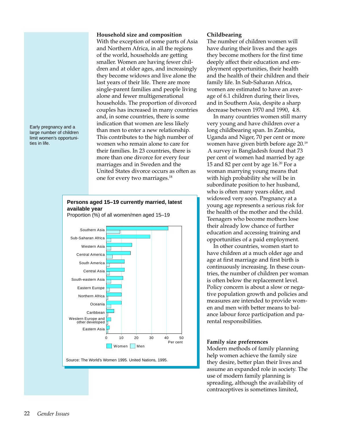Early pregnancy and a large number of children limit women's opportunities in life.

# **Household size and composition**

With the exception of some parts of Asia and Northern Africa, in all the regions of the world, households are getting smaller. Women are having fewer children and at older ages, and increasingly they become widows and live alone the last years of their life. There are more single-parent families and people living alone and fewer multigenerational households. The proportion of divorced couples has increased in many countries and, in some countries, there is some indication that women are less likely than men to enter a new relationship. This contributes to the high number of women who remain alone to care for their families. In 23 countries, there is more than one divorce for every four marriages and in Sweden and the United States divorce occurs as often as one for every two marriages.18

# **Persons aged 15–19 currently married, latest available year** Proportion (%) of all women/men aged 15–19



Source: The World's Women 1995. United Nations, 1995.

# **Childbearing**

The number of children women will have during their lives and the ages they become mothers for the first time deeply affect their education and employment opportunities, their health and the health of their children and their family life. In Sub-Saharan Africa, women are estimated to have an average of 6.1 children during their lives, and in Southern Asia, despite a sharp decrease between 1970 and 1990, 4.8.

In many countries women still marry very young and have children over a long childbearing span. In Zambia, Uganda and Niger, 70 per cent or more women have given birth before age 20.19 A survey in Bangladesh found that 73 per cent of women had married by age 15 and 82 per cent by age 16.<sup>20</sup> For a woman marrying young means that with high probability she will be in subordinate position to her husband, who is often many years older, and widowed very soon. Pregnancy at a young age represents a serious risk for the health of the mother and the child. Teenagers who become mothers lose their already low chance of further education and accessing training and opportunities of a paid employment.

In other countries, women start to have children at a much older age and age at first marriage and first birth is continuously increasing. In these countries, the number of children per woman is often below the replacement level. Policy concern is about a slow or negative population growth and policies and measures are intended to provide women and men with better means to balance labour force participation and parental responsibilities.

# **Family size preferences**

Modern methods of family planning help women achieve the family size they desire, better plan their lives and assume an expanded role in society. The use of modern family planning is spreading, although the availability of contraceptives is sometimes limited,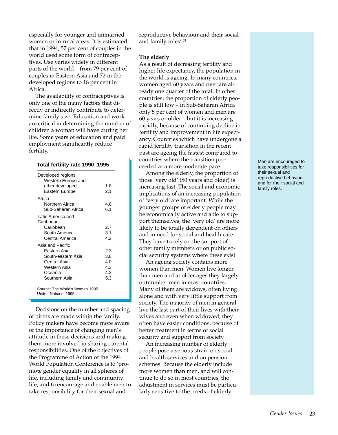especially for younger and unmarried women or in rural areas. It is estimated that in 1994, 57 per cent of couples in the world used some form of contraceptives. Use varies widely in different parts of the world – from 79 per cent of couples in Eastern Asia and 72 in the developed regions to 18 per cent in Africa.

The availability of contraceptives is only one of the many factors that directly or indirectly contribute to determine family size. Education and work are critical in determining the number of children a woman will have during her life. Some years of education and paid employment significantly reduce fertility.

# Developed regions Western Europe and other developed 1.8 Eastern Europe 2.1 Africa Northern Africa 4.6 Sub-Saharan Africa 6.1 Latin America and Caribbean Caribbean 2.7 South America 3.1 Central America 4.2 Asia and Pacific Eastern Asia 2.3 South-eastern Asia 3.8 Central Asia 4.0 Western Asia **4.3** Oceania 4.3 Southern Asia 6.3 **Total fertility rate 1990–1995** Source: The World's Women 1995.

United Nations, 1995.

Decisions on the number and spacing of births are made within the family. Policy makers have become more aware of the importance of changing men's attitude in these decisions and making them more involved in sharing parental responsibilities. One of the objectives of the Programme of Action of the 1994 World Population Conference is to 'promote gender equality in all spheres of life, including family and community life, and to encourage and enable men to take responsibility for their sexual and

reproductive behaviour and their social and family roles'. 21

# **The elderly**

As a result of decreasing fertility and higher life expectancy, the population in the world is ageing. In many countries, women aged 60 years and over are already one quarter of the total. In other countries, the proportion of elderly people is still low – in Sub-Saharan Africa only 5 per cent of women and men are 60 years or older – but it is increasing rapidly, because of continuing decline in fertility and improvement in life expectancy. Countries which have undergone a rapid fertility transition in the recent past are ageing the fastest compared to countries where the transition proceeded at a more moderate pace.

Among the elderly, the proportion of those 'very old' (80 years and older) is increasing fast. The social and economic implications of an increasing population of 'very old' are important. While the younger groups of elderly people may be economically active and able to support themselves, the 'very old' are more likely to be totally dependent on others and in need for social and health care. They have to rely on the support of other family members or on public social security systems where these exist.

An ageing society contains more women than men. Women live longer than men and at older ages they largely outnumber men in most countries. Many of them are widows, often living alone and with very little support from society. The majority of men in general live the last part of their lives with their wives and even when widowed, they often have easier conditions, because of better treatment in terms of social security and support from society.

An increasing number of elderly people pose a serious strain on social and health services and on pension schemes. Because the elderly include more women than men, and will continue to do so in most countries, the adjustment in services must be particularly sensitive to the needs of elderly

Men are encouraged to take responsibilities for their sexual and reproductive behaviour and for their social and family roles.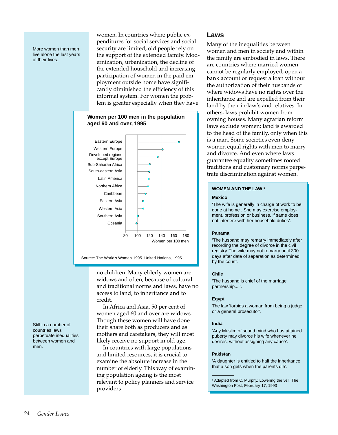More women than men live alone the last years of their lives.

women. In countries where public expenditures for social services and social security are limited, old people rely on the support of the extended family. Modernization, urbanization, the decline of the extended household and increasing participation of women in the paid employment outside home have significantly diminished the efficiency of this informal system. For women the problem is greater especially when they have

**Women per 100 men in the population aged 60 and over, 1995**



Source: The World's Women 1995. United Nations, 1995.

no children. Many elderly women are widows and often, because of cultural and traditional norms and laws, have no access to land, to inheritance and to credit.

In Africa and Asia, 50 per cent of women aged 60 and over are widows. Though these women will have done their share both as producers and as mothers and caretakers, they will most likely receive no support in old age.

In countries with large populations and limited resources, it is crucial to examine the absolute increase in the number of elderly. This way of examining population ageing is the most relevant to policy planners and service providers.

# **Laws**

Many of the inequalities between women and men in society and within the family are embodied in laws. There are countries where married women cannot be regularly employed, open a bank account or request a loan without the authorization of their husbands or where widows have no rights over the inheritance and are expelled from their land by their in-law's and relatives. In others, laws prohibit women from owning houses. Many agrarian reform laws exclude women: land is awarded to the head of the family, only when this is a man. Some societies even deny women equal rights with men to marry and divorce. And even where laws guarantee equality sometimes rooted traditions and customary norms perpetrate discrimination against women.

# **WOMEN AND THE LAW 1**

### **Mexico**

'The wife is generally in charge of work to be done at home . She may exercise employment, profession or business, if same does not interfere with her household duties'.

### **Panama**

'The husband may remarry immediately after recording the degree of divorce in the civil registry. The wife may not remarry until 300 days after date of separation as determined by the court'.

# **Chile**

'The husband is chief of the marriage partnership... '.

### **Egyp**t

The law 'forbids a woman from being a judge or a general prosecutor'.

# **India**

'Any Muslim of sound mind who has attained puberty may divorce his wife whenever he desires, without assigning any cause'.

# **Pakistan**

'A daughter is entitled to half the inheritance that a son gets when the parents die'.

Still in a number of countries laws perpetuate inequalities between women and men.

<sup>1</sup> Adapted from C. Murphy, Lowering the veil, The Washington Post, February 17, 1993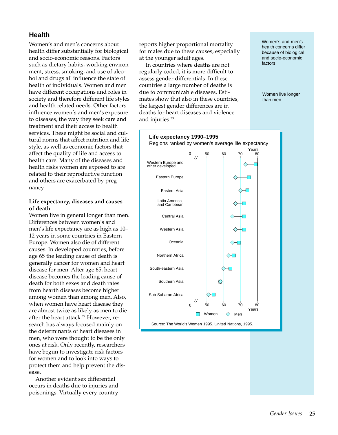# **Health**

Women's and men's concerns about health differ substantially for biological and socio-economic reasons. Factors such as dietary habits, working environment, stress, smoking, and use of alcohol and drugs all influence the state of health of individuals. Women and men have different occupations and roles in society and therefore different life styles and health related needs. Other factors influence women's and men's exposure to diseases, the way they seek care and treatment and their access to health services. These might be social and cultural norms that affect nutrition and life style, as well as economic factors that affect the quality of life and access to health care. Many of the diseases and health risks women are exposed to are related to their reproductive function and others are exacerbated by pregnancy.

# **Life expectancy, diseases and causes of death**

Women live in general longer than men. Differences between women's and men's life expectancy are as high as 10– 12 years in some countries in Eastern Europe. Women also die of different causes. In developed countries, before age 65 the leading cause of death is generally cancer for women and heart disease for men. After age 65, heart disease becomes the leading cause of death for both sexes and death rates from hearth diseases become higher among women than among men. Also, when women have heart disease they are almost twice as likely as men to die after the heart attack.<sup>22</sup> However, research has always focused mainly on the determinants of heart diseases in men, who were thought to be the only ones at risk. Only recently, researchers have begun to investigate risk factors for women and to look into ways to protect them and help prevent the disease.

Another evident sex differential occurs in deaths due to injuries and poisonings. Virtually every country reports higher proportional mortality for males due to these causes, especially at the younger adult ages.

In countries where deaths are not regularly coded, it is more difficult to assess gender differentials. In these countries a large number of deaths is due to communicable diseases. Estimates show that also in these countries, the largest gender differences are in deaths for heart diseases and violence and injuries.<sup>23</sup>

Women's and men's health concerns differ because of biological and socio-economic factors

Women live longer than men

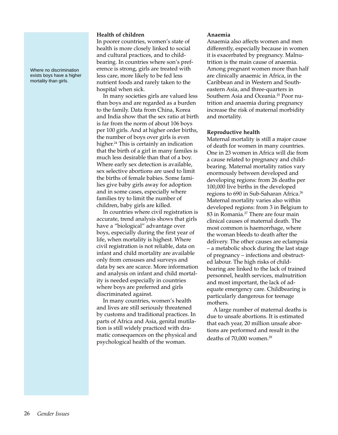Where no discrimination exists boys have a higher mortality than girls.

# **Health of children**

In poorer countries, women's state of health is more closely linked to social and cultural practices, and to childbearing. In countries where son's preference is strong, girls are treated with less care, more likely to be fed less nutrient foods and rarely taken to the hospital when sick.

In many societies girls are valued less than boys and are regarded as a burden to the family. Data from China, Korea and India show that the sex ratio at birth is far from the norm of about 106 boys per 100 girls. And at higher order births, the number of boys over girls is even higher.<sup>24</sup> This is certainly an indication that the birth of a girl in many familes is much less desirable than that of a boy. Where early sex detection is available, sex selective abortions are used to limit the births of female babies. Some families give baby girls away for adoption and in some cases, especially where families try to limit the number of children, baby girls are killed.

In countries where civil registration is accurate, trend analysis shows that girls have a "biological" advantage over boys, especially during the first year of life, when mortality is highest. Where civil registration is not reliable, data on infant and child mortality are available only from censuses and surveys and data by sex are scarce. More information and analysis on infant and child mortality is needed especially in countries where boys are preferred and girls discriminated against.

In many countries, women's health and lives are still seriously threatened by customs and traditional practices. In parts of Africa and Asia, genital mutilation is still widely practiced with dramatic consequences on the physical and psychological health of the woman.

# **Anaemia**

Anaemia also affects women and men differently, especially because in women it is exacerbated by pregnancy. Malnutrition is the main cause of anaemia. Among pregnant women more than half are clinically anaemic in Africa, in the Caribbean and in Western and Southeastern Asia, and three-quarters in Southern Asia and Oceania.<sup>25</sup> Poor nutrition and anaemia during pregnancy increase the risk of maternal morbidity and mortality.

# **Reproductive health**

Maternal mortality is still a major cause of death for women in many countries. One in 23 women in Africa will die from a cause related to pregnancy and childbearing. Maternal mortality ratios vary enormously between developed and developing regions: from 26 deaths per 100,000 live births in the developed regions to 690 in Sub-Saharan Africa.26 Maternal mortality varies also within developed regions: from 3 in Belgium to 83 in Romania.<sup>27</sup> There are four main clinical causes of maternal death. The most common is haemorrhage, where the woman bleeds to death after the delivery. The other causes are eclampsia – a metabolic shock during the last stage of pregnancy – infections and obstructed labour. The high risks of childbearing are linked to the lack of trained personnel, health services, malnutrition and most important, the lack of adequate emergency care. Childbearing is particularly dangerous for teenage mothers.

A large number of maternal deaths is due to unsafe abortions. It is estimated that each year, 20 million unsafe abortions are performed and result in the deaths of 70,000 women.<sup>28</sup>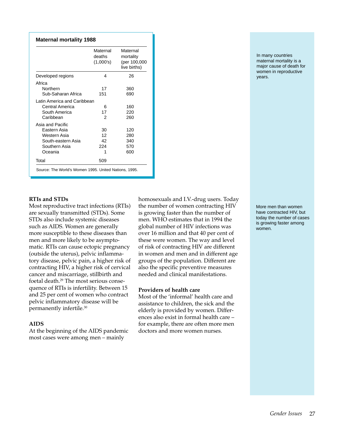|                             | Maternal<br>deaths<br>(1,000's) | Maternal<br>mortality<br>(per 100,000<br>live births) |
|-----------------------------|---------------------------------|-------------------------------------------------------|
| Developed regions           | 4                               | 26                                                    |
| Africa                      |                                 |                                                       |
| Northern                    | 17                              | 360                                                   |
| Sub-Saharan Africa          | 151                             | 690                                                   |
| Latin America and Caribbean |                                 |                                                       |
| Central America             | 6                               | 160                                                   |
| South America               | 17                              | 220                                                   |
| Caribbean                   | 2                               | 260                                                   |
| Asia and Pacific            |                                 |                                                       |
| Fastern Asia                | 30                              | 120                                                   |
| Western Asia                | 12                              | 280                                                   |
| South-eastern Asia          | 42                              | 340                                                   |
| Southern Asia               | 224                             | 570                                                   |
| Oceania                     | 1                               | 600                                                   |
| Total                       | 509                             |                                                       |

### In many countries maternal mortality is a major cause of death for women in reproductive years.

# **RTIs and STDs**

Most reproductive tract infections (RTIs) are sexually transmitted (STDs). Some STDs also include systemic diseases such as AIDS. Women are generally more susceptible to these diseases than men and more likely to be asymptomatic. RTIs can cause ectopic pregnancy (outside the uterus), pelvic inflammatory disease, pelvic pain, a higher risk of contracting HIV, a higher risk of cervical cancer and miscarriage, stillbirth and foetal death.29 The most serious consequence of RTIs is infertility. Between 15 and 25 per cent of women who contract pelvic inflammatory disease will be permanently infertile.30

# **AIDS**

At the beginning of the AIDS pandemic most cases were among men – mainly

homosexuals and I.V.-drug users. Today the number of women contracting HIV is growing faster than the number of men. WHO estimates that in 1994 the global number of HIV infections was over 16 million and that 40 per cent of these were women. The way and level of risk of contracting HIV are different in women and men and in different age groups of the population. Different are also the specific preventive measures needed and clinical manifestations.

# **Providers of health care**

Most of the 'informal' health care and assistance to children, the sick and the elderly is provided by women. Differences also exist in formal health care – for example, there are often more men doctors and more women nurses.

More men than women have contracted HIV, but today the number of cases is growing faster among women.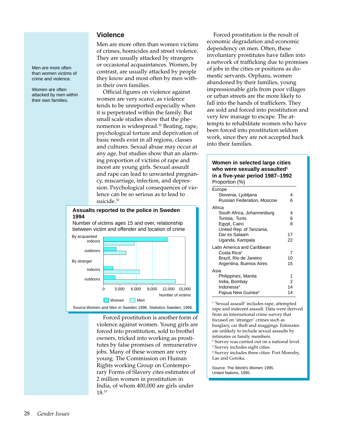# **Violence**

Men are more often than women victims of crimes, homicides and street violence. They are usually attacked by strangers or occasional acquaintances. Women, by contrast, are usually attacked by people they know and most often by men within their own families.

Official figures on violence against women are very scarce, as violence tends to be unreported especially when it is perpetrated within the family. But small scale studies show that the phenomenon is widespread.32 Beating, rape, psychological torture and deprivation of basic needs exist in all regions, classes and cultures. Sexual abuse may occur at any age, but studies show that an alarming proportion of victims of rape and incest are young girls. Sexual assault and rape can lead to unwanted pregnancy, miscarriage, infection, and depression. Psychological consequences of violence can be so serious as to lead to suicide.<sup>32</sup>

# **Assualts reported to the police in Sweden 1994**

Number of victims ages 15 and over, relationship between victim and offender and location of crime



Forced prostitution is another form of violence against women. Young girls are forced into prostitution, sold to brothel owners, tricked into working as prostitutes by false promises of remunerative jobs. Many of these women are very young. The Commission on Human Rights working Group on Contemporary Forms of Slavery cites estimates of 2 million women in prostitution in India, of whom 400,000 are girls under 18.33

Forced prostitution is the result of economic degradation and economic dependency on men. Often, these involuntary prostitutes have fallen into a network of trafficking due to promises of jobs in the cities or positions as domestic servants. Orphans, women abandoned by their families, young impressionable girls from poor villages or urban streets are the more likely to fall into the hands of traffickers. They are sold and forced into prostitution and very few manage to escape. The attempts to rehabilitate women who have been forced into prostitution seldom work, since they are not accepted back into their families.

# **Women in selected large cities** who were sexually assaulted<sup>1</sup> **in a five-year period 1987–1992** Proportion (%)

| Europe                            | 4  |
|-----------------------------------|----|
| Slovenia, Ljubljana               |    |
| <b>Russian Federation, Moscow</b> | 6  |
| Africa                            |    |
| South Africa, Johannesburg        | 4  |
| Tunisia, Tunis                    | 6  |
| Egypt, Cairo                      | 8  |
| United Rep. of Tanzania,          |    |
| Dar es Salaam                     | 17 |
| Uganda, Kampala                   | 22 |
| Latin America and Caribbean       |    |
| Costa Rica <sup>2</sup>           | 7  |
| Brazil, Rio de Janeiro            | 10 |
| Argentina, Buenos Aires           | 15 |
|                                   |    |
| Asia                              |    |
| Philippines, Manila               | 1  |
| India, Bombay                     | 2  |
| Indonesia $3$                     | 14 |
| Papua New Guinea <sup>4</sup>     | 14 |
|                                   |    |

<sup>1</sup> 'Sexual assault' includes rape, attempted rape and indecent assault. Data were derived from an international crime survey that focused on 'stranger' crimes such as burglary, car theft and muggings. Estimates are unlikely to include sexual assaults by intimates or family members.

<sup>2</sup> Survey was carried out on a national level.

<sup>3</sup> Survey includes eight cities.

<sup>4</sup> Survey includes three cities: Port Moresby, Lae and Goroka.

Source: The World's Women 1995. United Nations, 1995.

than women victims of crime and violence. Women are often attacked by men within

their own families.

Men are more often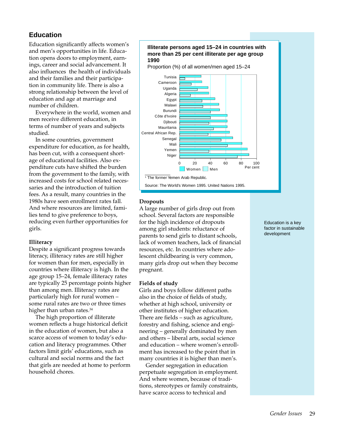# **Education**

Education significantly affects women's and men's opportunities in life. Education opens doors to employment, earnings, career and social advancement. It also influences the health of individuals and their families and their participation in community life. There is also a strong relationship between the level of education and age at marriage and number of children.

Everywhere in the world, women and men receive different education, in terms of number of years and subjects studied.

In some countries, government expenditure for education, as for health, has been cut, with a consequent shortage of educational facilities. Also expenditure cuts have shifted the burden from the government to the family, with increased costs for school related necessaries and the introduction of tuition fees. As a result, many countries in the 1980s have seen enrollment rates fall. And where resources are limited, families tend to give preference to boys, reducing even further opportunities for girls.

# **Illiteracy**

Despite a significant progress towards literacy, illiteracy rates are still higher for women than for men, especially in countries where illiteracy is high. In the age group 15–24, female illiteracy rates are typically 25 percentage points higher than among men. Illiteracy rates are particularly high for rural women – some rural rates are two or three times higher than urban rates.<sup>34</sup>

The high proportion of illiterate women reflects a huge historical deficit in the education of women, but also a scarce access of women to today's education and literacy programmes. Other factors limit girls' educations, such as cultural and social norms and the fact that girls are needed at home to perform household chores.

# **Illiterate persons aged 15–24 in countries with more than 25 per cent illiterate per age group 1990**

Proportion (%) of all women/men aged 15–24



# **Dropouts**

A large number of girls drop out from school. Several factors are responsible for the high incidence of dropouts among girl students: reluctance of parents to send girls to distant schools, lack of women teachers, lack of financial resources, etc. In countries where adolescent childbearing is very common, many girls drop out when they become pregnant.

# **Fields of study**

Girls and boys follow different paths also in the choice of fields of study, whether at high school, university or other institutes of higher education. There are fields – such as agriculture, forestry and fishing, science and engineering – generally dominated by men and others – liberal arts, social science and education – where women's enrollment has increased to the point that in many countries it is higher than men's.

Gender segregation in education perpetuate segregation in employment. And where women, because of traditions, stereotypes or family constraints, have scarce access to technical and

Education is a key factor in sustainable development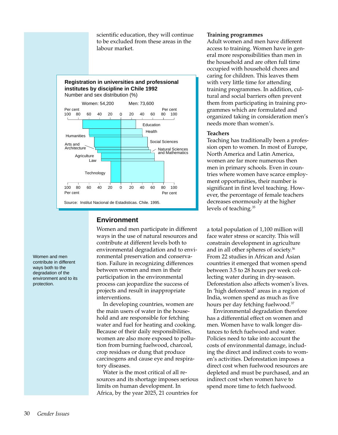scientific education, they will continue to be excluded from these areas in the labour market.

# **Registration in universities and professional institutes by discipline in Chile 1992** Number and sex distribution (%)



# **Environment**

Women and men participate in different ways in the use of natural resources and contribute at different levels both to environmental degradation and to environmental preservation and conservation. Failure in recognizing differences between women and men in their participation in the environmental process can jeopardize the success of projects and result in inappropriate interventions.

In developing countries, women are the main users of water in the household and are responsible for fetching water and fuel for heating and cooking. Because of their daily responsibilities, women are also more exposed to pollution from burning fuelwood, charcoal, crop residues or dung that produce carcinogens and cause eye and respiratory diseases.

Water is the most critical of all resources and its shortage imposes serious limits on human development. In Africa, by the year 2025, 21 countries for

# **Training programmes**

Adult women and men have different access to training. Women have in general more responsibilities than men in the household and are often full time occupied with household chores and caring for children. This leaves them with very little time for attending training programmes. In addition, cultural and social barriers often prevent them from participating in training programmes which are formulated and organized taking in consideration men's needs more than women's.

# **Teachers**

Teaching has traditionally been a profession open to women. In most of Europe, North America and Latin America, women are far more numerous then men in primary schools. Even in countries where women have scarce employment opportunities, their number is significant in first level teaching. However, the percentage of female teachers decreases enormously at the higher levels of teaching.35

a total population of 1,100 million will face water stress or scarcity. This will constrain development in agriculture and in all other spheres of society.36 From 22 studies in African and Asian countries it emerged that women spend between 3.5 to 28 hours per week collecting water during in dry-season. Deforestation also affects women's lives. In 'high deforested' areas in a region of India, women spend as much as five hours per day fetching fuelwood.37

Environmental degradation therefore has a differential effect on women and men. Women have to walk longer distances to fetch fuelwood and water. Policies need to take into account the costs of environmental damage, including the direct and indirect costs to women's activities. Deforestation imposes a direct cost when fuelwood resources are depleted and must be purchased, and an indirect cost when women have to spend more time to fetch fuelwood.

Women and men contribute in different ways both to the degradation of the environment and to its protection.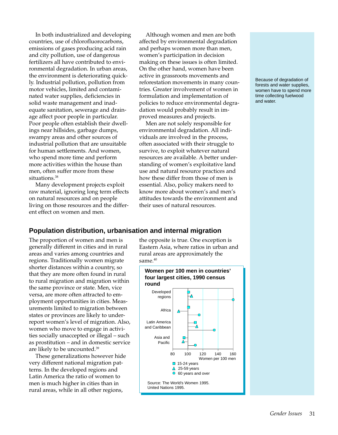In both industrialized and developing countries, use of chlorofluorocarbons, emissions of gases producing acid rain and city pollution, use of dangerous fertilizers all have contributed to environmental degradation. In urban areas, the environment is deteriorating quickly. Industrial pollution, pollution from motor vehicles, limited and contaminated water supplies, deficiencies in solid waste management and inadequate sanitation, sewerage and drainage affect poor people in particular. Poor people often establish their dwellings near hillsides, garbage dumps, swampy areas and other sources of industrial pollution that are unsuitable for human settlements. And women, who spend more time and perform more activities within the house than men, often suffer more from these situations.<sup>38</sup>

Many development projects exploit raw material, ignoring long term effects on natural resources and on people living on those resources and the different effect on women and men.

Although women and men are both affected by environmental degradation and perhaps women more than men, women's participation in decision making on these issues is often limited. On the other hand, women have been active in grassroots movements and reforestation movements in many countries. Greater involvement of women in formulation and implementation of policies to reduce environmental degradation would probably result in improved measures and projects.

Men are not solely responsible for environmental degradation. All individuals are involved in the process, often associated with their struggle to survive, to exploit whatever natural resources are available. A better understanding of women's exploitative land use and natural resource practices and how these differ from those of men is essential. Also, policy makers need to know more about women's and men's attitudes towards the environment and their uses of natural resources.

Because of degradation of forests and water supplies, women have to spend more time collecting fuelwood and water.

# **Population distribution, urbanisation and internal migration**

The proportion of women and men is generally different in cities and in rural areas and varies among countries and regions. Traditionally women migrate shorter distances within a country, so that they are more often found in rural to rural migration and migration within the same province or state. Men, vice versa, are more often attracted to employment opportunities in cities. Measurements limited to migration between states or provinces are likely to underreport women's level of migration. Also, women who move to engage in activities socially unaccepted or illegal – such as prostitution – and in domestic service are likely to be uncounted.39

These generalizations however hide very different national migration patterns. In the developed regions and Latin America the ratio of women to men is much higher in cities than in rural areas, while in all other regions,

the opposite is true. One exception is Eastern Asia, where ratios in urban and rural areas are approximately the same.<sup>40</sup>



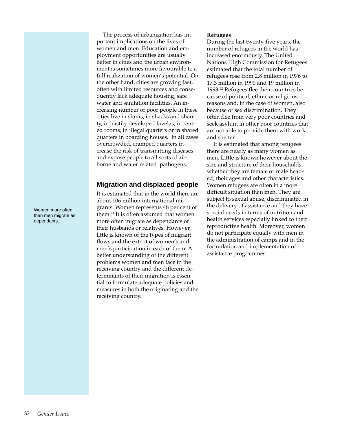The process of urbanization has important implications on the lives of women and men. Education and employment opportunities are usually better in cities and the urban environment is sometimes more favourable to a full realization of women's potential. On the other hand, cities are growing fast, often with limited resources and consequently lack adequate housing, safe water and sanitation facilities. An increasing number of poor people in these cities live in slums, in shacks and shanty, in hastily developed favelas, in rented rooms, in illegal quarters or in shared quarters in boarding houses. In all cases overcrowded, cramped quarters increase the risk of transmitting diseases and expose people to all sorts of airborne and water related pathogens.

# **Migration and displaced people**

It is estimated that in the world there are about 106 million international migrants. Women represents 48 per cent of them.41 It is often assumed that women more often migrate as dependants of their husbands or relatives. However, little is known of the types of migrant flows and the extent of women's and men's participation in each of them. A better understanding of the different problems women and men face in the receiving country and the different determinants of their migration is essential to formulate adequate policies and measures in both the originating and the receiving country.

# **Refugees**

During the last twenty-five years, the number of refugees in the world has increased enormously. The United Nations High Commission for Refugees estimated that the total number of refugees rose from 2.8 million in 1976 to 17.3 million in 1990 and 19 million in 1993.42 Refugees flee their countries because of political, ethnic or religious reasons and, in the case of women, also because of sex discrimination. They often flee from very poor countries and seek asylum in other poor countries that are not able to provide them with work and shelter.

It is estimated that among refugees there are nearly as many women as men. Little is known however about the size and structure of their households, whether they are female or male headed, their ages and other characteristics. Women refugees are often in a more difficult situation than men. They are subject to sexual abuse, discriminated in the delivery of assistance and they have special needs in terms of nutrition and health services especially linked to their reproductive health. Moreover, women do not participate equally with men in the administration of camps and in the formulation and implementation of assistance programmes.

Women more often than men migrate as dependants.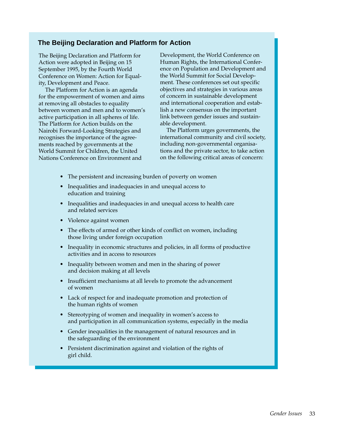# **The Beijing Declaration and Platform for Action**

The Beijing Declaration and Platform for Action were adopted in Beijing on 15 September 1995, by the Fourth World Conference on Women: Action for Equality, Development and Peace.

The Platform for Action is an agenda for the empowerment of women and aims at removing all obstacles to equality between women and men and to women's active participation in all spheres of life. The Platform for Action builds on the Nairobi Forward-Looking Strategies and recognises the importance of the agreements reached by governments at the World Summit for Children, the United Nations Conference on Environment and

Development, the World Conference on Human Rights, the International Conference on Population and Development and the World Summit for Social Development. These conferences set out specific objectives and strategies in various areas of concern in sustainable development and international cooperation and establish a new consensus on the important link between gender issues and sustainable development.

The Platform urges governments, the international community and civil society, including non-governmental organisations and the private sector, to take action on the following critical areas of concern:

- The persistent and increasing burden of poverty on women
- Inequalities and inadequacies in and unequal access to education and training
- Inequalities and inadequacies in and unequal access to health care and related services
- Violence against women
- The effects of armed or other kinds of conflict on women, including those living under foreign occupation
- Inequality in economic structures and policies, in all forms of productive activities and in access to resources
- Inequality between women and men in the sharing of power and decision making at all levels
- Insufficient mechanisms at all levels to promote the advancement of women
- Lack of respect for and inadequate promotion and protection of the human rights of women
- Stereotyping of women and inequality in women's access to and participation in all communication systems, especially in the media
- Gender inequalities in the management of natural resources and in the safeguarding of the environment
- Persistent discrimination against and violation of the rights of girl child.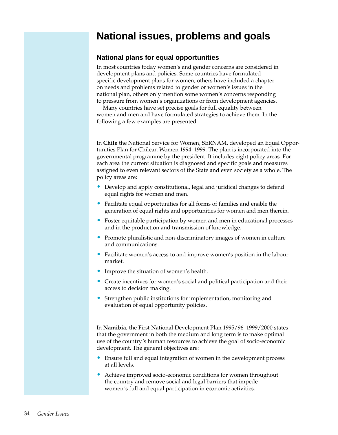# **National issues, problems and goals**

# **National plans for equal opportunities**

In most countries today women's and gender concerns are considered in development plans and policies. Some countries have formulated specific development plans for women, others have included a chapter on needs and problems related to gender or women's issues in the national plan, others only mention some women's concerns responding to pressure from women's organizations or from development agencies.

Many countries have set precise goals for full equality between women and men and have formulated strategies to achieve them. In the following a few examples are presented.

In **Chile** the National Service for Women, SERNAM, developed an Equal Opportunities Plan for Chilean Women 1994–1999. The plan is incorporated into the governmental programme by the president. It includes eight policy areas. For each area the current situation is diagnosed and specific goals and measures assigned to even relevant sectors of the State and even society as a whole. The policy areas are:

- Develop and apply constitutional, legal and juridical changes to defend equal rights for women and men.
- Facilitate equal opportunities for all forms of families and enable the generation of equal rights and opportunities for women and men therein.
- Foster equitable participation by women and men in educational processes and in the production and transmission of knowledge.
- Promote pluralistic and non-discriminatory images of women in culture and communications.
- Facilitate women's access to and improve women's position in the labour market.
- Improve the situation of women's health.
- Create incentives for women's social and political participation and their access to decision making.
- Strengthen public institutions for implementation, monitoring and evaluation of equal opportunity policies.

In **Namibia**, the First National Development Plan 1995/96–1999/2000 states that the government in both the medium and long term is to make optimal use of the country´s human resources to achieve the goal of socio-economic development. The general objectives are:

- Ensure full and equal integration of women in the development process at all levels.
- Achieve improved socio-economic conditions for women throughout the country and remove social and legal barriers that impede women´s full and equal participation in economic activities.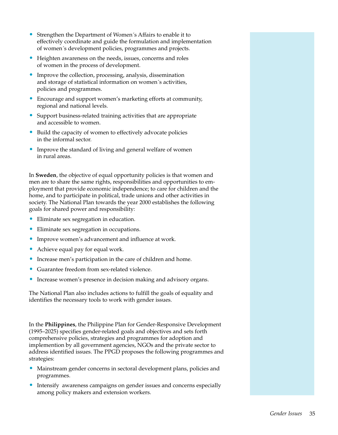- Strengthen the Department of Women's Affairs to enable it to effectively coordinate and guide the formulation and implementation of women´s development policies, programmes and projects.
- Heighten awareness on the needs, issues, concerns and roles of women in the process of development.
- Improve the collection, processing, analysis, dissemination and storage of statistical information on women´s activities, policies and programmes.
- Encourage and support women's marketing efforts at community, regional and national levels.
- Support business-related training activities that are appropriate and accessible to women.
- Build the capacity of women to effectively advocate policies in the informal sector.
- Improve the standard of living and general welfare of women in rural areas.

In **Sweden**, the objective of equal opportunity policies is that women and men are to share the same rights, responsibilities and opportunities to employment that provide economic independence; to care for children and the home, and to participate in political, trade unions and other activities in society. The National Plan towards the year 2000 establishes the following goals for shared power and responsibility:

- Eliminate sex segregation in education.
- Eliminate sex segregation in occupations.
- Improve women's advancement and influence at work.
- Achieve equal pay for equal work.
- Increase men's participation in the care of children and home.
- Guarantee freedom from sex-related violence.
- Increase women's presence in decision making and advisory organs.

The National Plan also includes actions to fulfill the goals of equality and identifies the necessary tools to work with gender issues.

In the **Philippines**, the Philippine Plan for Gender-Responsive Development (1995–2025) specifies gender-related goals and objectives and sets forth comprehensive policies, strategies and programmes for adoption and implemention by all government agencies, NGOs and the private sector to address identified issues. The PPGD proposes the following programmes and strategies:

- Mainstream gender concerns in sectoral development plans, policies and programmes.
- Intensify awareness campaigns on gender issues and concerns especially among policy makers and extension workers.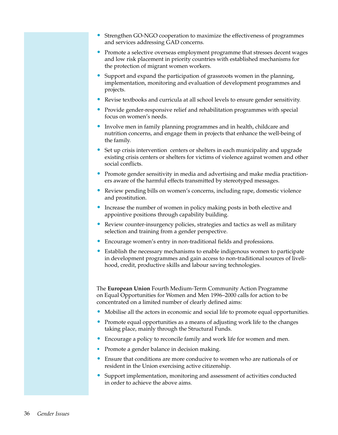- Strengthen GO-NGO cooperation to maximize the effectiveness of programmes and services addressing GAD concerns.
- Promote a selective overseas employment programme that stresses decent wages and low risk placement in priority countries with established mechanisms for the protection of migrant women workers.
- Support and expand the participation of grassroots women in the planning, implementation, monitoring and evaluation of development programmes and projects.
- Revise textbooks and curricula at all school levels to ensure gender sensitivity.
- Provide gender-responsive relief and rehabilitation programmes with special focus on women's needs.
- Involve men in family planning programmes and in health, childcare and nutrition concerns, and engage them in projects that enhance the well-being of the family.
- Set up crisis intervention centers or shelters in each municipality and upgrade existing crisis centers or shelters for victims of violence against women and other social conflicts.
- Promote gender sensitivity in media and advertising and make media practitioners aware of the harmful effects transmitted by stereotyped messages.
- Review pending bills on women's concerns, including rape, domestic violence and prostitution.
- Increase the number of women in policy making posts in both elective and appointive positions through capability building.
- Review counter-insurgency policies, strategies and tactics as well as military selection and training from a gender perspective.
- Encourage women's entry in non-traditional fields and professions.
- Establish the necessary mechanisms to enable indigenous women to participate in development programmes and gain access to non-traditional sources of livelihood, credit, productive skills and labour saving technologies.

The **European Union** Fourth Medium-Term Community Action Programme on Equal Opportunities for Women and Men 1996–2000 calls for action to be concentrated on a limited number of clearly defined aims:

- Mobilise all the actors in economic and social life to promote equal opportunities.
- Promote equal opportunities as a means of adjusting work life to the changes taking place, mainly through the Structural Funds.
- Encourage a policy to reconcile family and work life for women and men.
- Promote a gender balance in decision making.
- Ensure that conditions are more conducive to women who are nationals of or resident in the Union exercising active citizenship.
- Support implementation, monitoring and assessment of activities conducted in order to achieve the above aims.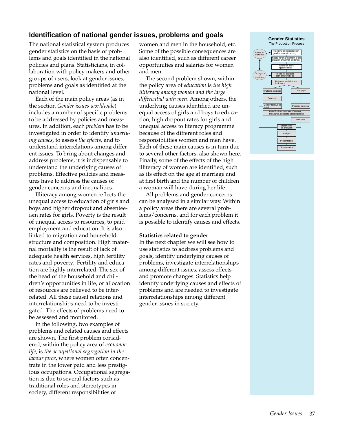# **Identification of national gender issues, problems and goals**

The national statistical system produces gender statistics on the basis of problems and goals identified in the national policies and plans. Statisticians, in collaboration with policy makers and other groups of users, look at gender issues, problems and goals as identified at the national level.

Each of the main policy areas (as in the section *Gender issues worldwide*) includes a number of specific problems to be addressed by policies and measures. In addition, each *problem* has to be investigated in order to identify *underlying causes,* to assess *the effects*, and to understand interrelations among different issues. To bring about changes and address problems, it is indispensable to understand the underlying causes of problems. Effective policies and measures have to address the causes of gender concerns and inequalities.

Illiteracy among women reflects the unequal access to education of girls and boys and higher dropout and absenteeism rates for girls. Poverty is the result of unequal access to resources, to paid employment and education. It is also linked to migration and household structure and composition. High maternal mortality is the result of lack of adequate health services, high fertility rates and poverty. Fertility and education are highly interrelated. The sex of the head of the household and children's opportunities in life, or allocation of resources are believed to be interrelated. All these causal relations and interrelationships need to be investigated. The effects of problems need to be assessed and monitored.

In the following, two examples of problems and related causes and effects are shown. The first problem considered, within the policy area of *economic life*, is *the occupational segregation in the labour force*, where women often concentrate in the lower paid and less prestigious occupations. Occupational segregation is due to several factors such as traditional roles and stereotypes in society, different responsibilities of

women and men in the household, etc. Some of the possible consequences are also identified, such as different career opportunities and salaries for women and men.

The second problem shown, within the policy area of *education* is *the high illiteracy among women and the large differential with men*. Among others, the underlying causes identified are unequal access of girls and boys to education, high dropout rates for girls and unequal access to literacy programme because of the different roles and responsibilities women and men have. Each of these main causes is in turn due to several other factors, also shown here. Finally, some of the effects of the high illiteracy of women are identified, such as its effect on the age at marriage and at first birth and the number of children a woman will have during her life.

All problems and gender concerns can be analysed in a similar way. Within a policy areas there are several problems/concerns, and for each problem it is possible to identify causes and effects.

#### **Statistics related to gender**

In the next chapter we will see how to use statistics to address problems and goals, identify underlying causes of problems, investigate interrelationships among different issues, assess effects and promote changes. Statistics help identify underlying causes and effects of problems and are needed to investigate interrelationships among different gender issues in society.

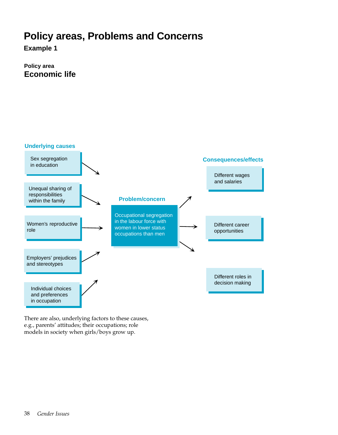# **Policy areas, Problems and Concerns**

**Example 1**

# **Policy area Economic life**

**Underlying causes**



There are also, underlying factors to these causes, e.g., parents' attitudes; their occupations; role models in society when girls/boys grow up.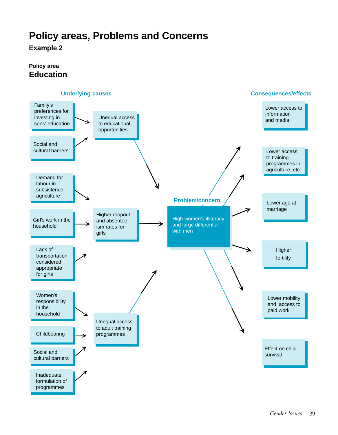# **Policy areas, Problems and Concerns**

**Example 2**

# **Policy area Education**

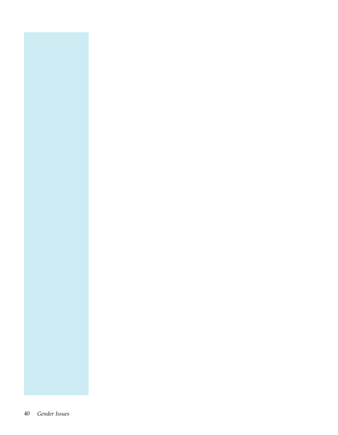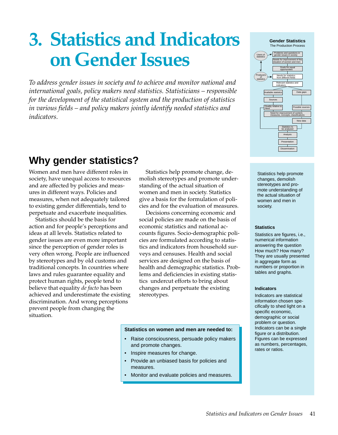# **3. Statistics and Indicators on Gender Issues**

*To address gender issues in society and to achieve and monitor national and international goals, policy makers need statistics. Statisticians – responsible for the development of the statistical system and the production of statistics in various fields – and policy makers jointly identify needed statistics and indicators.*



# **Why gender statistics?**

Women and men have different roles in society, have unequal access to resources and are affected by policies and measures in different ways. Policies and measures, when not adequately tailored to existing gender differentials, tend to perpetuate and exacerbate inequalities.

Statistics should be the basis for action and for people's perceptions and ideas at all levels. Statistics related to gender issues are even more important since the perception of gender roles is very often wrong. People are influenced by stereotypes and by old customs and traditional concepts. In countries where laws and rules guarantee equality and protect human rights, people tend to believe that equality *de facto* has been achieved and underestimate the existing discrimination. And wrong perceptions prevent people from changing the situation.

Statistics help promote change, demolish stereotypes and promote understanding of the actual situation of women and men in society. Statistics give a basis for the formulation of policies and for the evaluation of measures.

Decisions concerning economic and social policies are made on the basis of economic statistics and national accounts figures. Socio-demographic policies are formulated according to statistics and indicators from household surveys and censuses. Health and social services are designed on the basis of health and demographic statistics. Problems and deficiencies in existing statistics undercut efforts to bring about changes and perpetuate the existing stereotypes.

#### **Statistics on women and men are needed to:**

- Raise consciousness, persuade policy makers and promote changes.
- Inspire measures for change.
- Provide an unbiased basis for policies and measures.
- Monitor and evaluate policies and measures.

Statistics help promote changes, demolish stereotypes and promote understanding of the actual situation of women and men in society.

#### **Statistics**

Statistics are figures, i.e., numerical information answering the question How much? How many? They are usually presented in aggregate form as numbers or proportion in tables and graphs.

#### **Indicators**

Indicators are statistical information chosen specifically to shed light on a specific economic, demographic or social problem or question. Indicators can be a single figure or a distribution. Figures can be expressed as numbers, percentages, rates or ratios.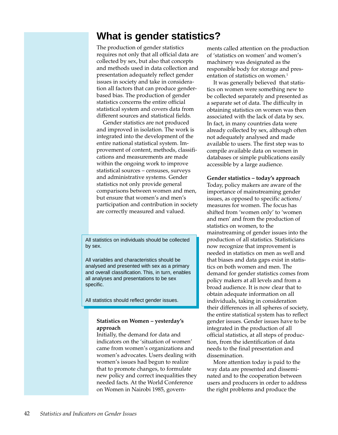# **What is gender statistics?**

The production of gender statistics requires not only that all official data are collected by sex, but also that concepts and methods used in data collection and presentation adequately reflect gender issues in society and take in consideration all factors that can produce genderbased bias. The production of gender statistics concerns the entire official statistical system and covers data from different sources and statistical fields.

Gender statistics are not produced and improved in isolation. The work is integrated into the development of the entire national statistical system. Improvement of content, methods, classifications and measurements are made within the ongoing work to improve statistical sources – censuses, surveys and administrative systems. Gender statistics not only provide general comparisons between women and men, but ensure that women's and men's participation and contribution in society are correctly measured and valued.

All statistics on individuals should be collected by sex.

All variables and characteristics should be analysed and presented with sex as a primary and overall classification. This, in turn, enables all analyses and presentations to be sex specific.

All statistics should reflect gender issues.

# **Statistics on Women – yesterday's approach**

Initially, the demand for data and indicators on the 'situation of women' came from women's organizations and women's advocates. Users dealing with women's issues had begun to realize that to promote changes, to formulate new policy and correct inequalities they needed facts. At the World Conference on Women in Nairobi 1985, governments called attention on the production of 'statistics on women' and women's machinery was designated as the responsible body for storage and presentation of statistics on women.<sup>1</sup>

It was generally believed that statistics on women were something new to be collected separately and presented as a separate set of data. The difficulty in obtaining statistics on women was then associated with the lack of data by sex. In fact, in many countries data were already collected by sex, although often not adequately analysed and made available to users. The first step was to compile available data on women in databases or simple publications easily accessible by a large audience.

#### **Gender statistics – today's approach**

Today, policy makers are aware of the importance of mainstreaming gender issues, as opposed to specific actions/ measures for women. The focus has shifted from 'women only' to 'women and men' and from the production of statistics on women, to the mainstreaming of gender issues into the production of all statistics. Statisticians now recognize that improvement is needed in statistics on men as well and that biases and data gaps exist in statistics on both women and men. The demand for gender statistics comes from policy makers at all levels and from a broad audience. It is now clear that to obtain adequate information on all individuals, taking in consideration their differences in all spheres of society, the entire statistical system has to reflect gender issues. Gender issues have to be integrated in the production of all official statistics, at all steps of production, from the identification of data needs to the final presentation and dissemination.

More attention today is paid to the way data are presented and disseminated and to the cooperation between users and producers in order to address the right problems and produce the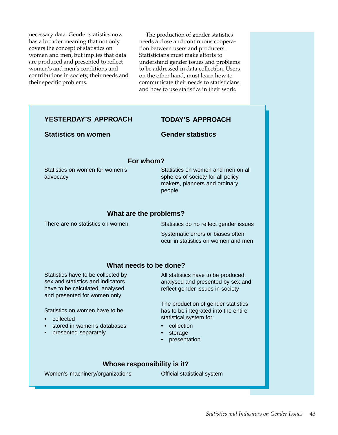necessary data. Gender statistics now has a broader meaning that not only covers the concept of statistics on women and men, but implies that data are produced and presented to reflect women's and men's conditions and contributions in society, their needs and their specific problems.

The production of gender statistics needs a close and continuous cooperation between users and producers. Statisticians must make efforts to understand gender issues and problems to be addressed in data collection. Users on the other hand, must learn how to communicate their needs to statisticians and how to use statistics in their work.

# **YESTERDAY'S APPROACH Statistics on women** There are no statistics on women Statistics have to be collected by sex and statistics and indicators have to be calculated, analysed and presented for women only Statistics on women have to be: • collected stored in women's databases • presented separately Statistics on women for women's advocacy **TODAY'S APPROACH Gender statistics** Statistics do no reflect gender issues Systematic errors or biases often ocur in statistics on women and men All statistics have to be produced, analysed and presented by sex and reflect gender issues in society The production of gender statistics has to be integrated into the entire statistical system for: • collection • storage Statistics on women and men on all spheres of society for all policy makers, planners and ordinary people **For whom? What are the problems? What needs to be done?**

• presentation

# **Whose responsibility is it?**

Women's machinery/organizations

Official statistical system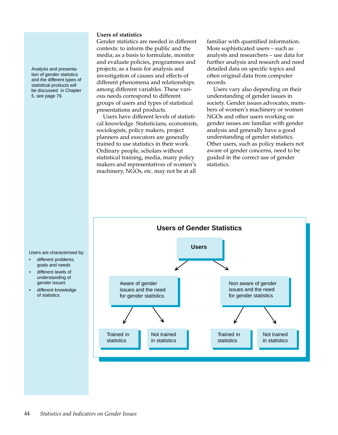Analysis and presentation of gender statistics and the different types of statistical products will be discussed in Chapter 5, see page 79.

### **Users of statistics**

Gender statistics are needed in different contexts: to inform the public and the media; as a basis to formulate, monitor and evaluate policies, programmes and projects; as a basis for analysis and investigation of causes and effects of different phenomena and relationships among different variables. These various needs correspond to different groups of users and types of statistical presentations and products.

Users have different levels of statistical knowledge. Statisticians, economists, sociologists, policy makers, project planners and executors are generally trained to use statistics in their work. Ordinary people, scholars without statistical training, media, many policy makers and representatives of women's machinery, NGOs, etc. may not be at all

familiar with quantified information. More sophisticated users – such as analysts and researchers – use data for further analysis and research and need detailed data on specific topics and often original data from computer records.

Users vary also depending on their understanding of gender issues in society. Gender issues advocates, members of women's machinery or women NGOs and other users working on gender issues are familiar with gender analysis and generally have a good understanding of gender statistics. Other users, such as policy makers not aware of gender concerns, need to be guided in the correct use of gender statistics.



#### Users are characterised by:

- different problems, goals and needs
- different levels of understanding of gender issues
- different knowledge of statistics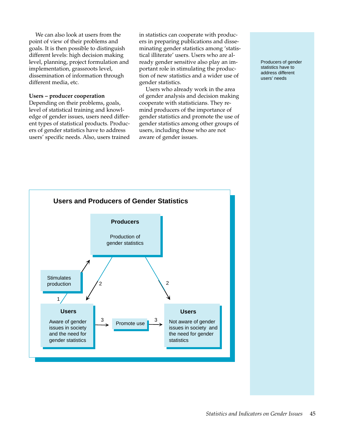We can also look at users from the point of view of their problems and goals. It is then possible to distinguish different levels: high decision making level, planning, project formulation and implementation, grassroots level, dissemination of information through different media, etc.

### **Users – producer cooperation**

Depending on their problems, goals, level of statistical training and knowledge of gender issues, users need different types of statistical products. Producers of gender statistics have to address users' specific needs. Also, users trained in statistics can cooperate with producers in preparing publications and disseminating gender statistics among 'statistical illiterate' users. Users who are already gender sensitive also play an important role in stimulating the production of new statistics and a wider use of gender statistics.

Users who already work in the area of gender analysis and decision making cooperate with statisticians. They remind producers of the importance of gender statistics and promote the use of gender statistics among other groups of users, including those who are not aware of gender issues.

Producers of gender statistics have to address different users' needs

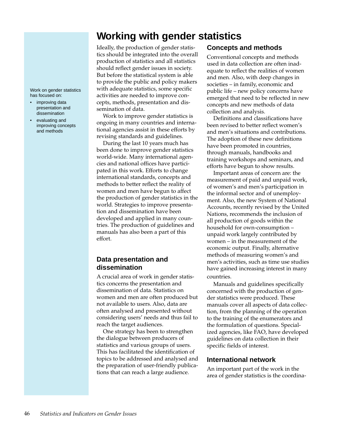# **Working with gender statistics**

Ideally, the production of gender statistics should be integrated into the overall production of statistics and all statistics should reflect gender issues in society. But before the statistical system is able to provide the public and policy makers with adequate statistics, some specific activities are needed to improve concepts, methods, presentation and dissemination of data.

Work to improve gender statistics is ongoing in many countries and international agencies assist in these efforts by revising standards and guidelines.

During the last 10 years much has been done to improve gender statistics world-wide. Many international agencies and national offices have participated in this work. Efforts to change international standards, concepts and methods to better reflect the reality of women and men have begun to affect the production of gender statistics in the world. Strategies to improve presentation and dissemination have been developed and applied in many countries. The production of guidelines and manuals has also been a part of this effort.

# **Data presentation and dissemination**

A crucial area of work in gender statistics concerns the presentation and dissemination of data. Statistics on women and men are often produced but not available to users. Also, data are often analysed and presented without considering users' needs and thus fail to reach the target audiences.

One strategy has been to strengthen the dialogue between producers of statistics and various groups of users. This has facilitated the identification of topics to be addressed and analysed and the preparation of user-friendly publications that can reach a large audience.

# **Concepts and methods**

Conventional concepts and methods used in data collection are often inadequate to reflect the realities of women and men. Also, with deep changes in societies – in family, economic and public life – new policy concerns have emerged that need to be reflected in new concepts and new methods of data collection and analysis.

Definitions and classifications have been revised to better reflect women's and men's situations and contributions. The adoption of these new definitions have been promoted in countries, through manuals, handbooks and training workshops and seminars, and efforts have begun to show results.

Important areas of concern are: the measurement of paid and unpaid work, of women's and men's participation in the informal sector and of unemployment. Also, the new System of National Accounts, recently revised by the United Nations, recommends the inclusion of all production of goods within the household for own-consumption – unpaid work largely contributed by women – in the measurement of the economic output. Finally, alternative methods of measuring women's and men's activities, such as time use studies have gained increasing interest in many countries.

Manuals and guidelines specifically concerned with the production of gender statistics were produced. These manuals cover all aspects of data collection, from the planning of the operation to the training of the enumerators and the formulation of questions. Specialized agencies, like FAO, have developed guidelines on data collection in their specific fields of interest.

# **International network**

An important part of the work in the area of gender statistics is the coordina-

Work on gender statistics has focused on:

- improving data presentation and dissemination
- evaluating and improving concepts and methods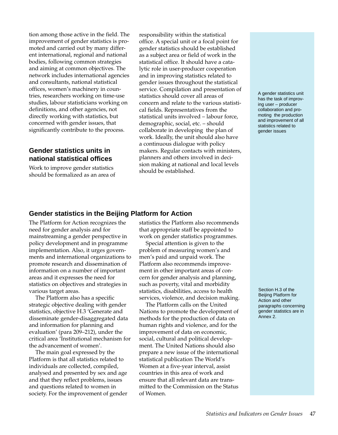tion among those active in the field. The improvement of gender statistics is promoted and carried out by many different international, regional and national bodies, following common strategies and aiming at common objectives. The network includes international agencies and consultants, national statistical offices, women's machinery in countries, researchers working on time-use studies, labour statisticians working on definitions, and other agencies, not directly working with statistics, but concerned with gender issues, that significantly contribute to the process.

# **Gender statistics units in national statistical offices**

Work to improve gender statistics should be formalized as an area of

responsibility within the statistical office. A special unit or a focal point for gender statistics should be established as a subject area or field of work in the statistical office. It should have a catalytic role in user-producer cooperation and in improving statistics related to gender issues throughout the statistical service. Compilation and presentation of statistics should cover all areas of concern and relate to the various statistical fields. Representatives from the statistical units involved – labour force, demographic, social, etc. – should collaborate in developing the plan of work. Ideally, the unit should also have a continuous dialogue with policy makers. Regular contacts with ministers, planners and others involved in decision making at national and local levels should be established.

A gender statistics unit has the task of improving user – producer collaboration and promoting the production and improvement of all statistics related to gender issues

# **Gender statistics in the Beijing Platform for Action**

The Platform for Action recognizes the need for gender analysis and for mainstreaming a gender perspective in policy development and in programme implementation. Also, it urges governments and international organizations to promote research and dissemination of information on a number of important areas and it expresses the need for statistics on objectives and strategies in various target areas.

The Platform also has a specific strategic objective dealing with gender statistics, objective H.3 'Generate and disseminate gender-disaggregated data and information for planning and evaluation' (para 209–212), under the critical area 'Institutional mechanism for the advancement of women'.

The main goal expressed by the Platform is that all statistics related to individuals are collected, compiled, analysed and presented by sex and age and that they reflect problems, issues and questions related to women in society. For the improvement of gender statistics the Platform also recommends that appropriate staff be appointed to work on gender statistics programmes.

Special attention is given to the problem of measuring women's and men's paid and unpaid work. The Platform also recommends improvement in other important areas of concern for gender analysis and planning, such as poverty, vital and morbidity statistics, disabilities, access to health services, violence, and decision making.

The Platform calls on the United Nations to promote the development of methods for the production of data on human rights and violence, and for the improvement of data on economic, social, cultural and political development. The United Nations should also prepare a new issue of the international statistical publication The World's Women at a five-year interval, assist countries in this area of work and ensure that all relevant data are transmitted to the Commission on the Status of Women.

Section H.3 of the Beijing Platform for Action and other paragraphs concerning gender statistics are in Annex 2.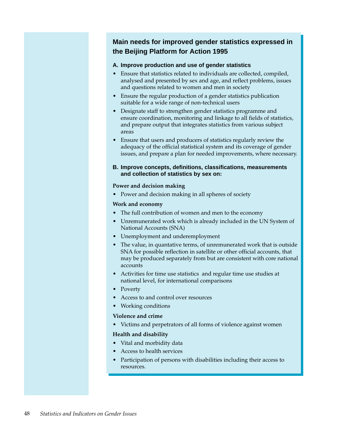# **Main needs for improved gender statistics expressed in the Beijing Platform for Action 1995**

# **A. Improve production and use of gender statistics**

- Ensure that statistics related to individuals are collected, compiled, analysed and presented by sex and age, and reflect problems, issues and questions related to women and men in society
- Ensure the regular production of a gender statistics publication suitable for a wide range of non-technical users
- Designate staff to strengthen gender statistics programme and ensure coordination, monitoring and linkage to all fields of statistics, and prepare output that integrates statistics from various subject areas
- Ensure that users and producers of statistics regularly review the adequacy of the official statistical system and its coverage of gender issues, and prepare a plan for needed improvements, where necessary.

# **B. Improve concepts, definitions, classifications, measurements and collection of statistics by sex on:**

# **Power and decision making**

• Power and decision making in all spheres of society

# **Work and economy**

- The full contribution of women and men to the economy
- Unremunerated work which is already included in the UN System of National Accounts (SNA)
- Unemployment and underemployment
- The value, in quantative terms, of unremunerated work that is outside SNA for possible reflection in satellite or other official accounts, that may be produced separately from but are consistent with core national accounts
- Activities for time use statistics and regular time use studies at national level, for international comparisons
- Poverty
- Access to and control over resources
- Working conditions

# **Violence and crime**

• Victims and perpetrators of all forms of violence against women

# **Health and disability**

- Vital and morbidity data
- Access to health services
- Participation of persons with disabilities including their access to resources.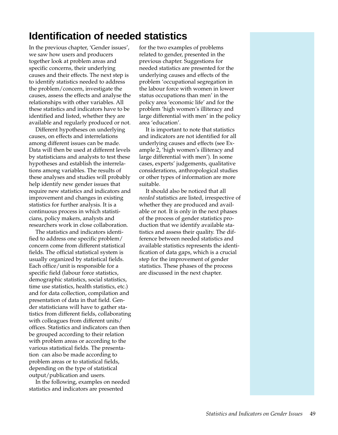# **Identification of needed statistics**

In the previous chapter, 'Gender issues', we saw how users and producers together look at problem areas and specific concerns, their underlying causes and their effects. The next step is to identify statistics needed to address the problem/concern, investigate the causes, assess the effects and analyse the relationships with other variables. All these statistics and indicators have to be identified and listed, whether they are available and regularly produced or not.

Different hypotheses on underlying causes, on effects and interrelations among different issues can be made. Data will then be used at different levels by statisticians and analysts to test these hypotheses and establish the interrelations among variables. The results of these analyses and studies will probably help identify new gender issues that require new statistics and indicators and improvement and changes in existing statistics for further analysis. It is a continuous process in which statisticians, policy makers, analysts and researchers work in close collaboration.

The statistics and indicators identified to address one specific problem/ concern come from different statistical fields. The official statistical system is usually organized by statistical fields. Each office/unit is responsible for a specific field (labour force statistics, demographic statistics, social statistics, time use statistics, health statistics, etc.) and for data collection, compilation and presentation of data in that field. Gender statisticians will have to gather statistics from different fields, collaborating with colleagues from different units/ offices. Statistics and indicators can then be grouped according to their relation with problem areas or according to the various statistical fields. The presentation can also be made according to problem areas or to statistical fields, depending on the type of statistical output/publication and users.

In the following, examples on needed statistics and indicators are presented

for the two examples of problems related to gender, presented in the previous chapter. Suggestions for needed statistics are presented for the underlying causes and effects of the problem 'occupational segregation in the labour force with women in lower status occupations than men' in the policy area 'economic life' and for the problem 'high women's illiteracy and large differential with men' in the policy area 'education'.

It is important to note that statistics and indicators are not identified for all underlying causes and effects (see Example 2, 'high women's illiteracy and large differential with men'). In some cases, experts' judgements, qualitative considerations, anthropological studies or other types of information are more suitable.

It should also be noticed that all *needed* statistics are listed, irrespective of whether they are produced and available or not. It is only in the next phases of the process of gender statistics production that we identify available statistics and assess their quality. The difference between needed statistics and available statistics represents the identification of data gaps, which is a crucial step for the improvement of gender statistics. These phases of the process are discussed in the next chapter.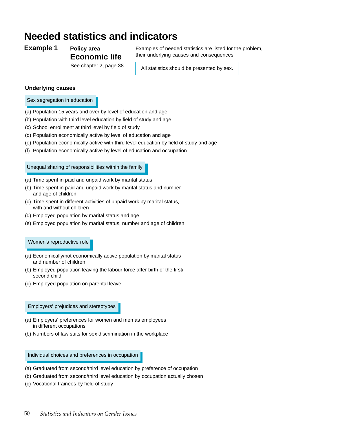# **Needed statistics and indicators**

**Example 1 Policy area**

# **Economic life**

See chapter 2, page 38.

Examples of needed statistics are listed for the problem, their underlying causes and consequences.

All statistics should be presented by sex.

# **Underlying causes**

Sex segregation in education

- (a) Population 15 years and over by level of education and age
- (b) Population with third level education by field of study and age
- (c) School enrollment at third level by field of study
- (d) Population economically active by level of education and age
- (e) Population economically active with third level education by field of study and age
- (f) Population economically active by level of education and occupation

Unequal sharing of responsibilities within the family

- (a) Time spent in paid and unpaid work by marital status
- (b) Time spent in paid and unpaid work by marital status and number and age of children
- (c) Time spent in different activities of unpaid work by marital status, with and without children
- (d) Employed population by marital status and age
- (e) Employed population by marital status, number and age of children

# Women's reproductive role

- (a) Economically/not economically active population by marital status and number of children
- (b) Employed population leaving the labour force after birth of the first/ second child
- (c) Employed population on parental leave

# Employers' prejudices and stereotypes

- (a) Employers' preferences for women and men as employees in different occupations
- (b) Numbers of law suits for sex discrimination in the workplace

# Individual choices and preferences in occupation

- (a) Graduated from second/third level education by preference of occupation
- (b) Graduated from second/third level education by occupation actually chosen
- (c) Vocational trainees by field of study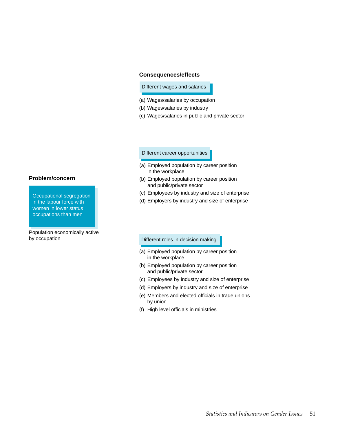#### **Consequences/effects**

# Different wages and salaries

- (a) Wages/salaries by occupation
- (b) Wages/salaries by industry
- (c) Wages/salaries in public and private sector

### Different career opportunities

- (a) Employed population by career position in the workplace
- (b) Employed population by career position and public/private sector
- (c) Employees by industry and size of enterprise
- (d) Employers by industry and size of enterprise

#### Different roles in decision making

- (a) Employed population by career position in the workplace
- (b) Employed population by career position and public/private sector
- (c) Employees by industry and size of enterprise
- (d) Employers by industry and size of enterprise
- (e) Members and elected officials in trade unions by union
- (f) High level officials in ministries

# **Problem/concern**

Occupational segregation in the labour force with women in lower status occupations than men

Population economically active by occupation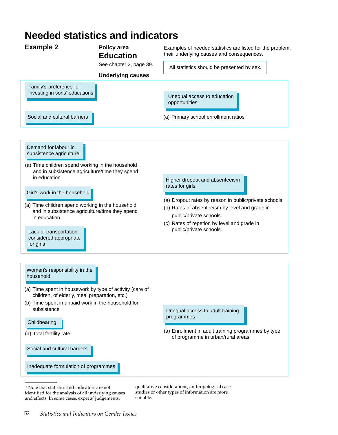# **Needed statistics and indicators**



<sup>&</sup>lt;sup>1</sup> Note that statistics and indicators are not identified for the analysis of all underlying causes and effects. In some cases, experts' judgements,

qualitative considerations, anthropological case studies or other types of information are more suitable.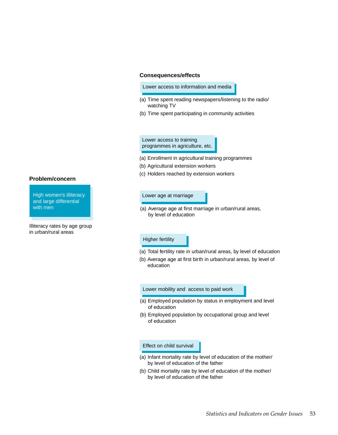#### **Consequences/effects**

#### Lower access to information and media

- (a) Time spent reading newspapers/listening to the radio/ watching TV
- (b) Time spent participating in community activities

### Lower access to training programmes in agriculture, etc.

- (a) Enrollment in agricultural training programmes
- (b) Agricultural extension workers
- (c) Holders reached by extension workers

#### Lower age at marriage

(a) Average age at first marriage in urban/rural areas, by level of education

#### Higher fertility

- (a) Total fertility rate in urban/rural areas, by level of education
- (b) Average age at first birth in urban/rural areas, by level of education

#### Lower mobility and access to paid work

- (a) Employed population by status in employment and level of education
- (b) Employed population by occupational group and level of education

#### Effect on child survival

- (a) Infant mortality rate by level of education of the mother/ by level of education of the father
- (b) Child mortality rate by level of education of the mother/ by level of education of the father

# **Problem/concern**

High women's illiteracy and large differential with men

Illiteracy rates by age group in urban/rural areas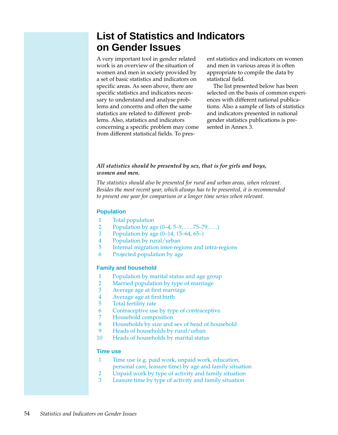# **List of Statistics and Indicators on Gender Issues**

A very important tool in gender related work is an overview of the situation of women and men in society provided by a set of basic statistics and indicators on specific areas. As seen above, there are specific statistics and indicators necessary to understand and analyse problems and concerns and often the same statistics are related to different problems. Also, statistics and indicators concerning a specific problem may come from different statistical fields. To present statistics and indicators on women and men in various areas it is often appropriate to compile the data by statistical field.

The list presented below has been selected on the basis of common experiences with different national publications. Also a sample of lists of statistics and indicators presented in national gender statistics publications is presented in Annex 3.

# *All statistics should be presented by sex, that is for girls and boys, women and men.*

*The statistics should also be presented for rural and urban areas, when relevant. Besides the most recent year, which always has to be presented, it is recommended to present one year for comparison or a longer time series when relevant.*

# **Population**

- 1 Total population
- 2 Population by age  $(0-4, 5-9, \ldots 75-79, \ldots)$
- 3 Population by age (0–14, 15–64, 65–)
- 4 Population by rural/urban
- 5 Internal migration inter-regions and intra-regions
- 6 Projected population by age

# **Family and household**

- 1 Population by marital status and age group
- 2 Married population by type of marriage
- 3 Average age at first marriage
- 4 Average age at first birth
- 5 Total fertility rate
- 6 Contraceptive use by type of contraceptive
- 7 Household composition
- 8 Households by size and sex of head of household
- 9 Heads of households by rural/urban
- 10 Heads of households by marital status

# **Time use**

- 1 Time use (e.g. paid work, unpaid work, education, personal care, leasure time) by age and family situation
- 2 Unpaid work by type of activity and family situation
- 3 Leasure time by type of activity and family situation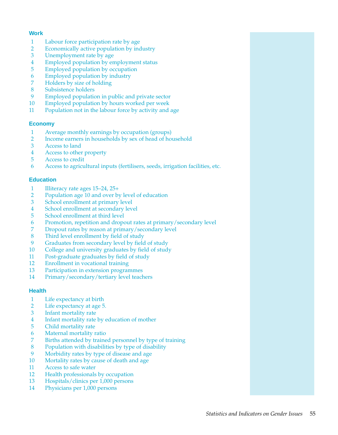# **Work**

- 1 Labour force participation rate by age
- 2 Economically active population by industry
- 3 Unemployment rate by age
- 4 Employed population by employment status
- 5 Employed population by occupation
- 6 Employed population by industry
- 7 Holders by size of holding
- 8 Subsistence holders
- 9 Employed population in public and private sector
- 10 Employed population by hours worked per week
- 11 Population not in the labour force by activity and age

# **Economy**

- 1 Average monthly earnings by occupation (groups)
- 2 Income earners in households by sex of head of household
- 3 Access to land
- 4 Access to other property
- 5 Access to credit
- 6 Access to agricultural inputs (fertilisers, seeds, irrigation facilities, etc.

# **Education**

- 1 Illiteracy rate ages 15–24, 25+
- 2 Population age 10 and over by level of education
- 3 School enrollment at primary level
- 4 School enrollment at secondary level
- 5 School enrollment at third level
- 6 Promotion, repetition and dropout rates at primary/secondary level
- 7 Dropout rates by reason at primary/secondary level
- 8 Third level enrollment by field of study
- 9 Graduates from secondary level by field of study
- 10 College and university graduates by field of study
- 11 Post-graduate graduates by field of study
- 12 Enrollment in vocational training
- 13 Participation in extension programmes
- 14 Primary/secondary/tertiary level teachers

# **Health**

- 1 Life expectancy at birth
- 2 Life expectancy at age 5.
- 3 Infant mortality rate
- 4 Infant mortality rate by education of mother
- 5 Child mortality rate
- 6 Maternal mortality ratio
- 7 Births attended by trained personnel by type of training
- 8 Population with disabilities by type of disability
- 9 Morbidity rates by type of disease and age
- 10 Mortality rates by cause of death and age
- 11 Access to safe water
- 12 Health professionals by occupation
- 13 Hospitals/clinics per 1,000 persons
- 14 Physicians per 1,000 persons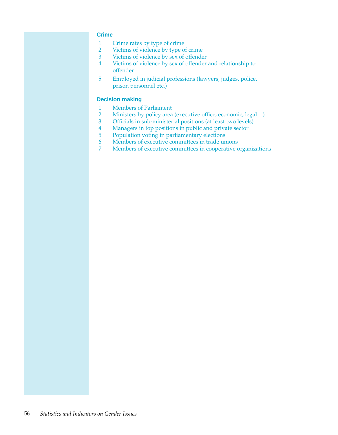# **Crime**

- 1 Crime rates by type of crime<br>2 Victims of violence by type of
	- Victims of violence by type of crime
- 3 Victims of violence by sex of offender
- 4 Victims of violence by sex of offender and relationship to offender
- 5 Employed in judicial professions (lawyers, judges, police, prison personnel etc.)

# **Decision making**

- 1 Members of Parliament
- 2 Ministers by policy area (executive office, economic, legal ...)<br>3 Officials in sub-ministerial positions (at least two levels)
- Officials in sub-ministerial positions (at least two levels)
- 4 Managers in top positions in public and private sector<br>5 Population voting in parliamentary elections
- 5 Population voting in parliamentary elections
- 6 Members of executive committees in trade unions<br>7 Members of executive committees in cooperative c
- Members of executive committees in cooperative organizations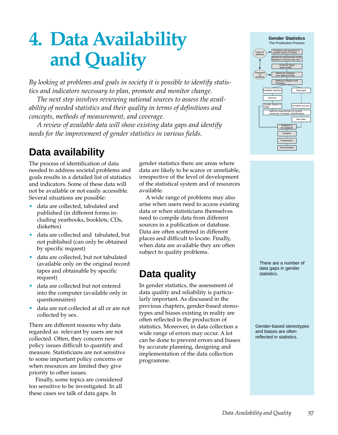# **4. Data Availability and Quality**

*By looking at problems and goals in society it is possible to identify statistics and indicators necessary to plan, promote and monitor change.*

*The next step involves reviewing national sources to assess the availability of needed statistics and their quality in terms of definitions and concepts, methods of measurement, and coverage.*

*A review of available data will show existing data gaps and identify needs for the improvement of gender statistics in various fields.*

# **Data availability**

The process of identification of data needed to address societal problems and goals results in a detailed list of statistics and indicators. Some of these data will not be available or not easily accessible. Several situations are possible:

- data are collected, tabulated and published (in different forms including yearbooks, booklets, CDs, diskettes)
- data are collected and tabulated, but not published (can only be obtained by specific request)
- data are collected, but not tabulated (available only on the original record tapes and obtainable by specific request)
- data are collected but not entered into the computer (available only in questionnaires)
- data are not collected at all or are not collected by sex.

There are different reasons why data regarded as relevant by users are not collected. Often, they concern new policy issues difficult to quantify and measure. Statisticians are not sensitive to some important policy concerns or when resources are limited they give priority to other issues.

Finally, some topics are considered too sensitive to be investigated. In all these cases we talk of data gaps. In

gender statistics there are areas where data are likely to be scarce or unreliable, irrespective of the level of development of the statistical system and of resources available.

A wide range of problems may also arise when users need to access existing data or when statisticians themselves need to compile data from different sources in a publication or database. Data are often scattered in different places and difficult to locate. Finally, when data are available they are often subject to quality problems.

# **Data quality**

In gender statistics, the assessment of data quality and reliability is particularly important. As discussed in the previous chapters, gender-based stereotypes and biases existing in reality are often reflected in the production of statistics. Moreover, in data collection a wide range of errors may occur. A lot can be done to prevent errors and biases by accurate planning, designing and implementation of the data collection programme.



There are a number of data gaps in gender statistics.

Gender-based stereotypes and biases are often reflected in statistics.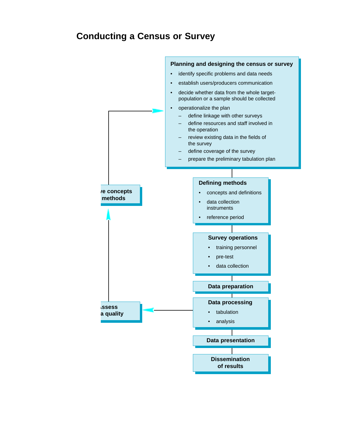# **Conducting a Census or Survey**

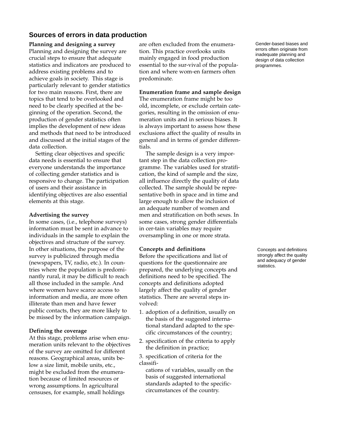# **Sources of errors in data production**

### **Planning and designing a survey**

Planning and designing the survey are crucial steps to ensure that adequate statistics and indicators are produced to address existing problems and to achieve goals in society. This stage is particularly relevant to gender statistics for two main reasons. First, there are topics that tend to be overlooked and need to be clearly specified at the beginning of the operation. Second, the production of gender statistics often implies the development of new ideas and methods that need to be introduced and discussed at the initial stages of the data collection.

Setting clear objectives and specific data needs is essential to ensure that everyone understands the importance of collecting gender statistics and is responsive to change. The participation of users and their assistance in identifying objectives are also essential elements at this stage.

### **Advertising the survey**

In some cases, (i.e., telephone surveys) information must be sent in advance to individuals in the sample to explain the objectives and structure of the survey. In other situations, the purpose of the survey is publicized through media (newspapers, TV, radio, etc.). In countries where the population is predominantly rural, it may be difficult to reach all those included in the sample. And where women have scarce access to information and media, are more often illiterate than men and have fewer public contacts, they are more likely to be missed by the information campaign.

#### **Defining the coverage**

At this stage, problems arise when enumeration units relevant to the objectives of the survey are omitted for different reasons. Geographical areas, units below a size limit, mobile units, etc., might be excluded from the enumeration because of limited resources or wrong assumptions. In agricultural censuses, for example, small holdings

are often excluded from the enumeration. This practice overlooks units mainly engaged in food production essential to the sur-vival of the population and where wom-en farmers often predominate.

### **Enumeration frame and sample design**

The enumeration frame might be too old, incomplete, or exclude certain categories, resulting in the omission of enumeration units and in serious biases. It is always important to assess how these exclusions affect the quality of results in general and in terms of gender differentials.

The sample design is a very important step in the data collection programme. The variables used for stratification, the kind of sample and the size, all influence directly the quality of data collected. The sample should be representative both in space and in time and large enough to allow the inclusion of an adequate number of women and men and stratification on both sexes. In some cases, strong gender differentials in cer-tain variables may require oversampling in one or more strata.

#### **Concepts and definitions**

Before the specifications and list of questions for the questionnaire are prepared, the underlying concepts and definitions need to be specified. The concepts and definitions adopted largely affect the quality of gender statistics. There are several steps involved:

- 1. adoption of a definition, usually on the basis of the suggested international standard adapted to the specific circumstances of the country;
- 2. specification of the criteria to apply the definition in practice;
- 3. specification of criteria for the classifi-

cations of variables, usually on the basis of suggested international standards adapted to the specificcircumstances of the country.

Gender-based biases and errors often originate from inadequate planning and design of data collection programmes.

Concepts and definitions strongly affect the quality and adequacy of gender statistics.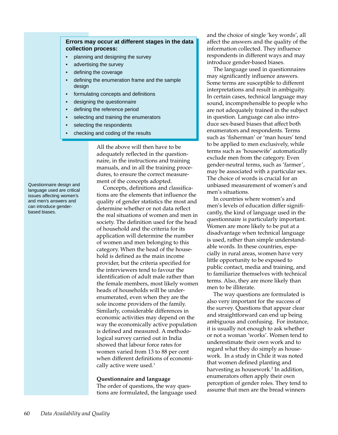# **Errors may occur at different stages in the data collection process:**

- planning and designing the survey
- advertising the survey
- defining the coverage
- defining the enumeration frame and the sample design
- formulating concepts and definitions
- designing the questionnaire
- defining the reference period
- selecting and training the enumerators
- selecting the respondents
- checking and coding of the results

All the above will then have to be adequately reflected in the questionnaire, in the instructions and training manuals, and in all the training procedures, to ensure the correct measurement of the concepts adopted.

Concepts, definitions and classifications are the elements that influence the quality of gender statistics the most and determine whether or not data reflect the real situations of women and men in society. The definition used for the head of household and the criteria for its application will determine the number of women and men belonging to this category. When the head of the household is defined as the main income provider, but the criteria specified for the interviewers tend to favour the identification of adult male rather than the female members, most likely women heads of households will be underenumerated, even when they are the sole income providers of the family. Similarly, considerable differences in economic activities may depend on the way the economically active population is defined and measured. A methodological survey carried out in India showed that labour force rates for women varied from 13 to 88 per cent when different definitions of economically active were used.<sup>1</sup>

#### **Questionnaire and language**

The order of questions, the way questions are formulated, the language used and the choice of single 'key words', all affect the answers and the quality of the information collected. They influence respondents in different ways and may introduce gender-based biases.

The language used in questionnaires may significantly influence answers. Some terms are susceptible to different interpretations and result in ambiguity. In certain cases, technical language may sound, incomprehensible to people who are not adequately trained in the subject in question. Language can also introduce sex-based biases that affect both enumerators and respondents. Terms such as 'fisherman' or 'man hours' tend to be applied to men exclusively, while terms such as 'housewife' automatically exclude men from the category. Even gender-neutral terms, such as 'farmer', may be associated with a particular sex. The choice of words is crucial for an unbiased measurement of women's and men's situations.

In countries where women's and men's levels of education differ significantly, the kind of language used in the questionnaire is particularly important. Women are more likely to be put at a disadvantage when technical language is used, rather than simple understandable words. In these countries, especially in rural areas, women have very little opportunity to be exposed to public contact, media and training, and to familiarize themselves with technical terms. Also, they are more likely than men to be illiterate.

The way questions are formulated is also very important for the success of the survey. Questions that appear clear and straightforward can end up being ambiguous and confusing. For instance, it is usually not enough to ask whether or not a woman 'works'. Women tend to underestimate their own work and to regard what they do simply as housework. In a study in Chile it was noted that women defined planting and harvesting as housework.<sup>2</sup> In addition, enumerators often apply their own perception of gender roles. They tend to assume that men are the bread winners

Questionnaire design and language used are critical issues affecting women's and men's answers and can introduce genderbased biases.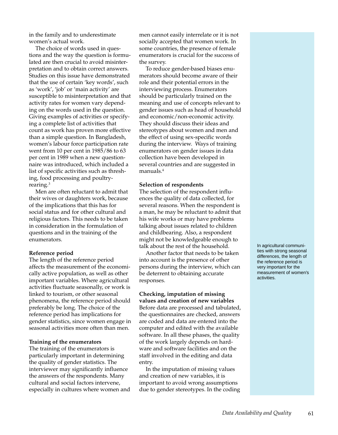in the family and to underestimate women's actual work.

The choice of words used in questions and the way the question is formulated are then crucial to avoid misinterpretation and to obtain correct answers. Studies on this issue have demonstrated that the use of certain 'key words', such as 'work', 'job' or 'main activity' are susceptible to misinterpretation and that activity rates for women vary depending on the words used in the question. Giving examples of activities or specifying a complete list of activities that count as work has proven more effective than a simple question. In Bangladesh, women's labour force participation rate went from 10 per cent in 1985/86 to 63 per cent in 1989 when a new questionnaire was introduced, which included a list of specific activities such as threshing, food processing and poultryrearing.<sup>3</sup>

Men are often reluctant to admit that their wives or daughters work, because of the implications that this has for social status and for other cultural and religious factors. This needs to be taken in consideration in the formulation of questions and in the training of the enumerators.

#### **Reference period**

The length of the reference period affects the measurement of the economically active population, as well as other important variables. Where agricultural activities fluctuate seasonally, or work is linked to tourism, or other seasonal phenomena, the reference period should preferably be long. The choice of the reference period has implications for gender statistics, since women engage in seasonal activities more often than men.

#### **Training of the enumerators**

The training of the enumerators is particularly important in determining the quality of gender statistics. The interviewer may significantly influence the answers of the respondents. Many cultural and social factors intervene, especially in cultures where women and

men cannot easily interrelate or it is not socially accepted that women work. In some countries, the presence of female enumerators is crucial for the success of the survey.

To reduce gender-based biases enumerators should become aware of their role and their potential errors in the interviewing process. Enumerators should be particularly trained on the meaning and use of concepts relevant to gender issues such as head of household and economic/non-economic activity. They should discuss their ideas and stereotypes about women and men and the effect of using sex-specific words during the interview. Ways of training enumerators on gender issues in data collection have been developed in several countries and are suggested in manuals.4

#### **Selection of respondents**

The selection of the respondent influences the quality of data collected, for several reasons. When the respondent is a man, he may be reluctant to admit that his wife works or may have problems talking about issues related to children and childbearing. Also, a respondent might not be knowledgeable enough to talk about the rest of the household.

Another factor that needs to be taken into account is the presence of other persons during the interview, which can be deterrent to obtaining accurate responses.

# **Checking, imputation of missing values and creation of new variables**

Before data are processed and tabulated, the questionnaires are checked, answers are coded and data are entered into the computer and edited with the available software. In all these phases, the quality of the work largely depends on hardware and software facilities and on the staff involved in the editing and data entry.

In the imputation of missing values and creation of new variables, it is important to avoid wrong assumptions due to gender stereotypes. In the coding In agricultural communities with strong seasonal differences, the length of the reference period is very important for the measurement of women's activities.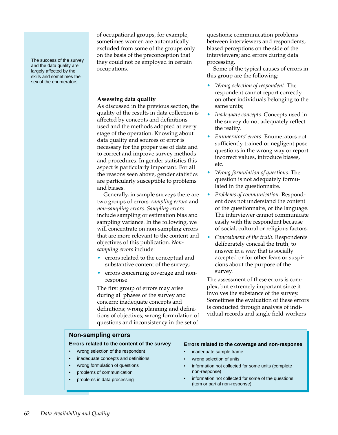The success of the survey and the data quality are largely affected by the skills and sometimes the sex of the enumerators

of occupational groups, for example, sometimes women are automatically excluded from some of the groups only on the basis of the preconception that they could not be employed in certain occupations.

### **Assessing data quality**

As discussed in the previous section, the quality of the results in data collection is affected by concepts and definitions used and the methods adopted at every stage of the operation. Knowing about data quality and sources of error is necessary for the proper use of data and to correct and improve survey methods and procedures. In gender statistics this aspect is particularly important. For all the reasons seen above, gender statistics are particularly susceptible to problems and biases.

Generally, in sample surveys there are two groups of errors: *sampling errors* and *non-sampling errors*. *Sampling errors* include sampling or estimation bias and sampling variance. In the following, we will concentrate on non-sampling errors that are more relevant to the content and objectives of this publication. *Nonsampling errors* include:

- errors related to the conceptual and substantive content of the survey;
- errors concerning coverage and nonresponse.

The first group of errors may arise during all phases of the survey and concern: inadequate concepts and definitions; wrong planning and definitions of objectives; wrong formulation of questions and inconsistency in the set of

questions; communication problems between interviewers and respondents, biased perceptions on the side of the interviewers; and errors during data processing.

Some of the typical causes of errors in this group are the following:

- *Wrong selection of respondent*. The respondent cannot report correctly on other individuals belonging to the same units;
- *Inadequate concepts*. Concepts used in the survey do not adequately reflect the reality.
- *Enumerators' errors*. Enumerators not sufficiently trained or negligent pose questions in the wrong way or report incorrect values, introduce biases, etc.
- *Wrong formulation of questions*. The question is not adequately formulated in the questionnaire.
- *Problems of communication.* Respondent does not understand the content of the questionnaire, or the language. The interviewer cannot communicate easily with the respondent because of social, cultural or religious factors.
- *Concealment of the truth.* Respondents deliberately conceal the truth, to answer in a way that is socially accepted or for other fears or suspicions about the purpose of the survey.

The assessment of these errors is complex, but extremely important since it involves the substance of the survey. Sometimes the evaluation of these errors is conducted through analysis of individual records and single field-workers

# **Non-sampling errors**

**Errors related to the content of the survey**

- wrong selection of the respondent
- inadequate concepts and definitions
- wrong formulation of questions
- problems of communication
- problems in data processing

# **Errors related to the coverage and non-response**

- inadequate sample frame
- wrong selection of units
- information not collected for some units (complete non-response)
- information not collected for some of the questions (item or partial non-response)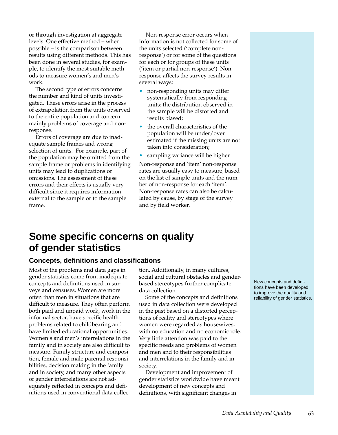or through investigation at aggregate levels. One effective method – when possible – is the comparison between results using different methods. This has been done in several studies, for example, to identify the most suitable methods to measure women's and men's work.

The second type of errors concerns the number and kind of units investigated. These errors arise in the process of extrapolation from the units observed to the entire population and concern mainly problems of coverage and nonresponse.

Errors of coverage are due to inadequate sample frames and wrong selection of units. For example, part of the population may be omitted from the sample frame or problems in identifying units may lead to duplications or omissions. The assessment of these errors and their effects is usually very difficult since it requires information external to the sample or to the sample frame.

Non-response error occurs when information is not collected for some of the units selected ('complete nonresponse') or for some of the questions for each or for groups of these units ('item or partial non-response'). Nonresponse affects the survey results in several ways:

- non-responding units may differ systematically from responding units: the distribution observed in the sample will be distorted and results biased;
- the overall characteristics of the population will be under/over estimated if the missing units are not taken into consideration;
- sampling variance will be higher.

Non-response and 'item' non-response rates are usually easy to measure, based on the list of sample units and the number of non-response for each 'item'. Non-response rates can also be calculated by cause, by stage of the survey and by field worker.

# **Some specific concerns on quality of gender statistics**

# **Concepts, definitions and classifications**

Most of the problems and data gaps in gender statistics come from inadequate concepts and definitions used in surveys and censuses. Women are more often than men in situations that are difficult to measure. They often perform both paid and unpaid work, work in the informal sector, have specific health problems related to childbearing and have limited educational opportunities. Women's and men's interrelations in the family and in society are also difficult to measure. Family structure and composition, female and male parental responsibilities, decision making in the family and in society, and many other aspects of gender interrelations are not adequately reflected in concepts and definitions used in conventional data collection. Additionally, in many cultures, social and cultural obstacles and genderbased stereotypes further complicate data collection.

Some of the concepts and definitions used in data collection were developed in the past based on a distorted perceptions of reality and stereotypes where women were regarded as housewives, with no education and no economic role. Very little attention was paid to the specific needs and problems of women and men and to their responsibilities and interrelations in the family and in society.

Development and improvement of gender statistics worldwide have meant development of new concepts and definitions, with significant changes in

New concepts and definitions have been developed to improve the quality and reliability of gender statistics.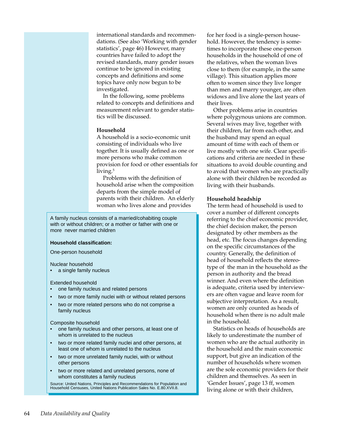international standards and recommendations. (See also 'Working with gender statistics', page 46) However, many countries have failed to adopt the revised standards, many gender issues continue to be ignored in existing concepts and definitions and some topics have only now begun to be investigated.

In the following, some problems related to concepts and definitions and measurement relevant to gender statistics will be discussed.

### **Household**

A household is a socio-economic unit consisting of individuals who live together. It is usually defined as one or more persons who make common provision for food or other essentials for living.<sup>5</sup>

Problems with the definition of household arise when the composition departs from the simple model of parents with their children. An elderly woman who lives alone and provides

A family nucleus consists of a married/cohabiting couple with or without children; or a mother or father with one or more never married children

#### **Household classification:**

One-person household

Nuclear household

• a single family nucleus

Extended household

- one family nucleus and related persons
- two or more family nuclei with or without related persons
- two or more related persons who do not comprise a family nucleus

Composite household

- one family nucleus and other persons, at least one of whom is unrelated to the nucleus
- two or more related family nuclei and other persons, at least one of whom is unrelated to the nucleus
- two or more unrelated family nuclei, with or without other persons
- two or more related and unrelated persons, none of whom constitutes a family nucleus

Source: United Nations, Principles and Recommendations for Population and Household Censuses, United Nations Publication Sales No. E.80.XVII.8.

for her food is a single-person household. However, the tendency is sometimes to incorporate these one-person households in the household of one of the relatives, when the woman lives close to them (for example, in the same village). This situation applies more often to women since they live longer than men and marry younger, are often widows and live alone the last years of their lives.

Other problems arise in countries where polygynous unions are common. Several wives may live, together with their children, far from each other, and the husband may spend an equal amount of time with each of them or live mostly with one wife. Clear specifications and criteria are needed in these situations to avoid double counting and to avoid that women who are practically alone with their children be recorded as living with their husbands.

#### **Household headship**

The term head of household is used to cover a number of different concepts referring to the chief economic provider, the chief decision maker, the person designated by other members as the head, etc. The focus changes depending on the specific circumstances of the country. Generally, the definition of head of household reflects the stereotype of the man in the household as the person in authority and the bread winner. And even where the definition is adequate, criteria used by interviewers are often vague and leave room for subjective interpretation. As a result, women are only counted as heads of household when there is no adult male in the household.

Statistics on heads of households are likely to underestimate the number of women who are the actual authority in the household and the main economic support, but give an indication of the number of households where women are the sole economic providers for their children and themselves. As seen in 'Gender Issues', page 13 ff, women living alone or with their children,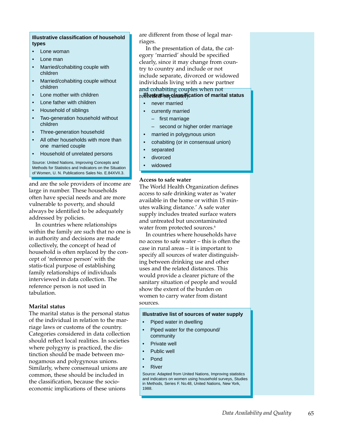# **Illustrative classification of household types**

- Lone woman
- Lone man
- Married/cohabiting couple with children
- Married/cohabiting couple without children
- Lone mother with children
- Lone father with children
- Household of siblings
- Two-generation household without children
- Three-generation household
- All other households with more than one married couple
- Household of unrelated persons

Source: United Nations, Improving Concepts and Methods for Statistics and Indicators on the Situation of Women, U. N. Publications Sales No. E.84XVII.3.

and are the sole providers of income are large in number. These households often have special needs and are more vulnerable to poverty, and should always be identified to be adequately addressed by policies.

In countries where relationships within the family are such that no one is in authority and decisions are made collectively, the concept of head of household is often replaced by the concept of 'reference person' with the statis-tical purpose of establishing family relationships of individuals interviewed in data collection. The reference person is not used in tabulation.

# **Marital status**

The marital status is the personal status of the individual in relation to the marriage laws or customs of the country. Categories considered in data collection should reflect local realities. In societies where polygyny is practiced, the distinction should be made between monogamous and polygynous unions. Similarly, where consensual unions are common, these should be included in the classification, because the socioeconomic implications of these unions

are different from those of legal marriages.

In the presentation of data, the category 'married' should be specified clearly, since it may change from country to country and include or not include separate, divorced or widowed individuals living with a new partner and cohabiting couples when not

# re<del>llustea</del>tive cl<del>ass</del>ification of marital status

- never married
- currently married
	- first marriage
	- second or higher order marriage
- married in polygynous union
- cohabiting (or in consensual union)
- separated
- divorced
- widowed

# **Access to safe water**

The World Health Organization defines access to safe drinking water as 'water available in the home or within 15 minutes walking distance.' A safe water supply includes treated surface waters and untreated but uncontaminated water from protected sources.<sup>6</sup>

In countries where households have no access to safe water – this is often the case in rural areas – it is important to specify all sources of water distinguishing between drinking use and other uses and the related distances. This would provide a clearer picture of the sanitary situation of people and would show the extent of the burden on women to carry water from distant sources.

# **Illustrative list of sources of water supply**

- Piped water in dwelling
- Piped water for the compound/ community
- Private well
- Public well
- Pond
	- **River**

Source: Adapted from United Nations, Improving statistics and indicators on women using household surveys, Studies in Methods, Series F. No.48, United Nations, New York, 1988.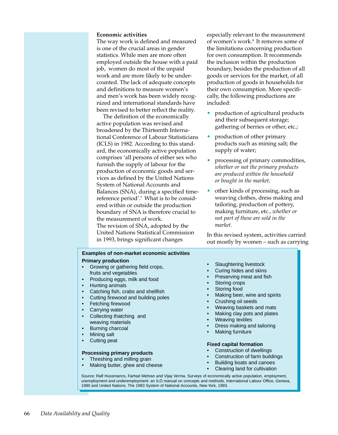### **Economic activities**

The way work is defined and measured is one of the crucial areas in gender statistics. While men are more often employed outside the house with a paid job, women do most of the unpaid work and are more likely to be undercounted. The lack of adequate concepts and definitions to measure women's and men's work has been widely recognized and international standards have been revised to better reflect the reality.

The definition of the economically active population was revised and broadened by the Thirteenth International Conference of Labour Statisticians (ICLS) in 1982. According to this standard, the economically active population comprises 'all persons of either sex who furnish the supply of labour for the production of economic goods and services as defined by the United Nations System of National Accounts and Balances (SNA), during a specified timereference period'. <sup>7</sup> What is to be considered within or outside the production boundary of SNA is therefore crucial to the measurement of work. The revision of SNA, adopted by the United Nations Statistical Commission in 1993, brings significant changes

especially relevant to the measurement of women's work.<sup>8</sup> It removes some of the limitations concerning production for own consumption. It recommends the inclusion within the production boundary, besides the production of all goods or services for the market, of all production of goods in households for their own consumption. More specifically, the following productions are included:

- production of agricultural products and their subsequent storage; gathering of berries or other, etc.;
- production of other primary products such as mining salt; the supply of water;
- processing of primary commodities, *whether or not the primary products are produced within the household or bought in the market;*
- other kinds of processing, such as weaving clothes, dress making and tailoring, production of pottery, making furniture, etc., *whether or not part of these are sold in the market.*

In this revised system, activities carried out mostly by women – such as carrying

| <b>Primary production</b><br>Growing or gathering field crops,<br>fruits and vegetables<br>Producing eggs, milk and food<br>$\bullet$<br>Hunting animals<br>$\bullet$<br>Catching fish, crabs and shellfish<br>$\bullet$<br>Cutting firewood and building poles<br>$\bullet$<br>Fetching firewood<br>۰<br>Carrying water<br>Collecting thatching and<br>weaving materials<br>Burning charcoal<br>$\bullet$<br>Mining salt | Slaughtering livestock<br>Curing hides and skins<br>Preserving meat and fish<br>Storing crops<br>Storing food<br>Making beer, wine and spirits<br>Crushing oil seeds<br>Weaving baskets and mats<br>Making clay pots and plates<br>Weaving textiles<br>Dress making and tailoring<br>Making furniture |
|---------------------------------------------------------------------------------------------------------------------------------------------------------------------------------------------------------------------------------------------------------------------------------------------------------------------------------------------------------------------------------------------------------------------------|-------------------------------------------------------------------------------------------------------------------------------------------------------------------------------------------------------------------------------------------------------------------------------------------------------|
| Cutting peat<br><b>Processing primary products</b><br>Threshing and milling grain<br>Making butter, ghee and cheese                                                                                                                                                                                                                                                                                                       | <b>Fixed capital formation</b><br>Construction of dwellings<br>Construction of farm buildings<br>Building boats and canoes<br>Clearing land for cultivation                                                                                                                                           |

Source: Ralf Hussmanns, Farhad Mehran and Vijay Verma, Surveys of economically active population, employment, unemployment and underemployment: an ILO manual on concepts and methods, International Labour Office, Geneva, 1990 and United Nations, The 1993 System of National Accounts, New York, 1993.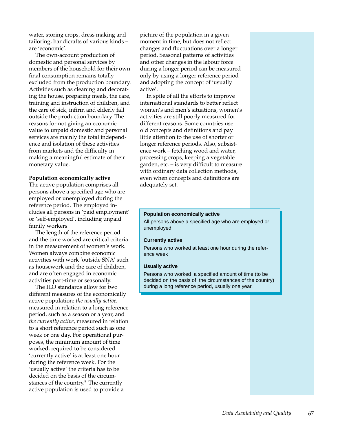water, storing crops, dress making and tailoring, handicrafts of various kinds – are 'economic'.

The own-account production of domestic and personal services by members of the household for their own final consumption remains totally excluded from the production boundary. Activities such as cleaning and decorating the house, preparing meals, the care, training and instruction of children, and the care of sick, infirm and elderly fall outside the production boundary. The reasons for not giving an economic value to unpaid domestic and personal services are mainly the total independence and isolation of these activities from markets and the difficulty in making a meaningful estimate of their monetary value.

#### **Population economically active**

The active population comprises all persons above a specified age who are employed or unemployed during the reference period. The employed includes all persons in 'paid employment' or 'self-employed', including unpaid family workers.

The length of the reference period and the time worked are critical criteria in the measurement of women's work. Women always combine economic activities with work 'outside SNA' such as housework and the care of children, and are often engaged in economic activities part-time or seasonally.

The ILO standards allow for two different measures of the economically active population: *the usually active*, measured in relation to a long reference period, such as a season or a year, and *the currently active*, measured in relation to a short reference period such as one week or one day. For operational purposes, the minimum amount of time worked, required to be considered 'currently active' is at least one hour during the reference week. For the 'usually active' the criteria has to be decided on the basis of the circumstances of the country.<sup>9</sup> The currently active population is used to provide a

picture of the population in a given moment in time, but does not reflect changes and fluctuations over a longer period. Seasonal patterns of activities and other changes in the labour force during a longer period can be measured only by using a longer reference period and adopting the concept of 'usually active'.

In spite of all the efforts to improve international standards to better reflect women's and men's situations, women's activities are still poorly measured for different reasons. Some countries use old concepts and definitions and pay little attention to the use of shorter or longer reference periods. Also, subsistence work – fetching wood and water, processing crops, keeping a vegetable garden, etc. – is very difficult to measure with ordinary data collection methods, even when concepts and definitions are adequately set.

#### **Population economically active**

All persons above a specified age who are employed or unemployed

#### **Currently active**

Persons who worked at least one hour during the reference week

#### **Usually active**

Persons who worked a specified amount of time (to be decided on the basis of the circumstances of the country) during a long reference period, usually one year.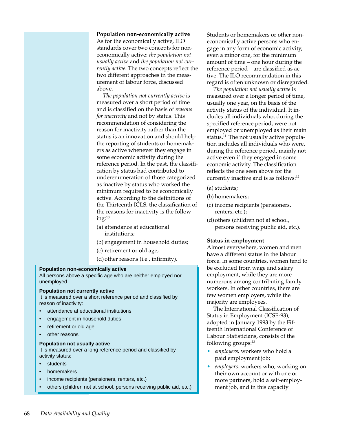**Population non-economically active** As for the economically active, ILO standards cover two concepts for noneconomically active: *the population not usually active* and *the population not currently active*. The two concepts reflect the two different approaches in the measurement of labour force, discussed above.

*The population not currently active* is measured over a short period of time and is classified on the basis of *reasons for inactivity* and not by status. This recommendation of considering the reason for inactivity rather than the status is an innovation and should help the reporting of students or homemakers as active whenever they engage in some economic activity during the reference period. In the past, the classification by status had contributed to underenumeration of those categorized as inactive by status who worked the minimum required to be economically active. According to the definitions of the Thirteenth ICLS, the classification of the reasons for inactivity is the follow $ing: <sup>10</sup>$ 

- (a) attendance at educational institutions;
- (b) engagement in household duties;
- (c) retirement or old age;
- (d) other reasons (i.e., infirmity).

#### **Population non-economically active**

All persons above a specific age who are neither employed nor unemployed

#### **Population not currently active**

It is measured over a short reference period and classified by reason of inactivity:

- attendance at educational institutions
- engagement in household duties
- retirement or old age
- other reasons

### **Population not usually active**

It is measured over a long reference period and classified by activity status:

- students
- homemakers
- income recipients (pensioners, renters, etc.)
- others (children not at school, persons receiving public aid, etc.)

Students or homemakers or other noneconomically active persons who engage in any form of economic activity, even a minor one, for the minimum amount of time – one hour during the reference period – are classified as active. The ILO recommendation in this regard is often unknown or disregarded.

*The population not usually active* is measured over a longer period of time, usually one year, on the basis of the activity status of the individual. It includes all individuals who, during the specified reference period, were not employed or unemployed as their main status.<sup>11</sup> The not usually active population includes all individuals who were, during the reference period, mainly not active even if they engaged in some economic activity. The classification reflects the one seen above for the currently inactive and is as follows:<sup>12</sup>

- (a) students;
- (b) homemakers;
- (c) income recipients (pensioners, renters, etc.);
- (d) others (children not at school, persons receiving public aid, etc.).

#### **Status in employment**

Almost everywhere, women and men have a different status in the labour force. In some countries, women tend to be excluded from wage and salary employment, while they are more numerous among contributing family workers. In other countries, there are few women employers, while the majority are employees.

The International Classification of Status in Employment (ICSE-93), adopted in January 1993 by the Fifteenth International Conference of Labour Statisticians, consists of the following groups:<sup>13</sup>

- *employees:* workers who hold a paid employment job;
- *employers:* workers who, working on their own account or with one or more partners, hold a self-employment job, and in this capacity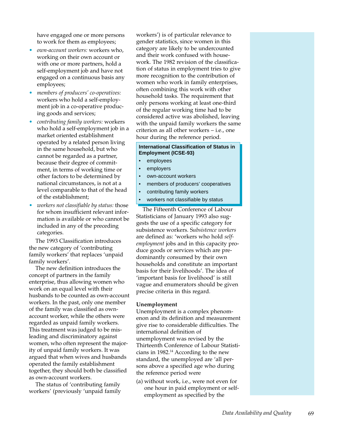have engaged one or more persons to work for them as employees;

- *own-account workers:* workers who, working on their own account or with one or more partners, hold a self-employment job and have not engaged on a continuous basis any employees;
- *members of producers' co-operatives:* workers who hold a self-employment job in a co-operative producing goods and services;
- *contributing family workers:* workers who hold a self-employment job in a market oriented establishment operated by a related person living in the same household, but who cannot be regarded as a partner, because their degree of commitment, in terms of working time or other factors to be determined by national circumstances, is not at a level comparable to that of the head of the establishment;
- *workers not classifiable by status:* those for whom insufficient relevant information is available or who cannot be included in any of the preceding categories.

The 1993 Classification introduces the new category of 'contributing family workers' that replaces 'unpaid family workers'.

The new definition introduces the concept of partners in the family enterprise, thus allowing women who work on an equal level with their husbands to be counted as own-account workers. In the past, only one member of the family was classified as ownaccount worker, while the others were regarded as unpaid family workers. This treatment was judged to be misleading and discriminatory against women, who often represent the majority of unpaid family workers. It was argued that when wives and husbands operated the family establishment together, they should both be classified as own-account workers.

The status of 'contributing family workers' (previously 'unpaid family

workers') is of particular relevance to gender statistics, since women in this category are likely to be undercounted and their work confused with housework. The 1982 revision of the classification of status in employment tries to give more recognition to the contribution of women who work in family enterprises, often combining this work with other household tasks. The requirement that only persons working at least one-third of the regular working time had to be considered active was abolished, leaving with the unpaid family workers the same criterion as all other workers – i.e., one hour during the reference period.

# **International Classification of Status in Employment (ICSE-93)**

- employees
- employers
- own-account workers
- members of producers' cooperatives
- contributing family workers
- workers not classifiable by status

The Fifteenth Conference of Labour Statisticians of January 1993 also suggests the use of a specific category for subsistence workers. S*ubsistence workers* are defined as: 'workers who hold *selfemployment* jobs and in this capacity produce goods or services which are predominantly consumed by their own households and constitute an important basis for their livelihoods'. The idea of 'important basis for livelihood' is still vague and enumerators should be given precise criteria in this regard.

# **Unemployment**

Unemployment is a complex phenomenon and its definition and measurement give rise to considerable difficulties. The international definition of unemployment was revised by the Thirteenth Conference of Labour Statisticians in  $1982<sup>14</sup>$  According to the new standard, the unemployed are 'all persons above a specified age who during the reference period were

(a) without work, i.e., were not even for one hour in paid employment or selfemployment as specified by the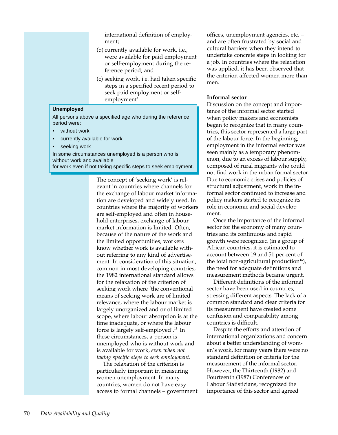international definition of employment;

- (b) currently available for work, i.e., were available for paid employment or self-employment during the reference period; and
- (c) seeking work, i.e. had taken specific steps in a specified recent period to seek paid employment or selfemployment'.

#### **Unemployed**

All persons above a specified age who during the reference period were:

- without work
- currently available for work
- seeking work

In some circumstances unemployed is a person who is without work and available for work even if not taking specific steps to seek employment.

> The concept of 'seeking work' is relevant in countries where channels for the exchange of labour market information are developed and widely used. In countries where the majority of workers are self-employed and often in household enterprises, exchange of labour market information is limited. Often, because of the nature of the work and the limited opportunities, workers know whether work is available without referring to any kind of advertisement. In consideration of this situation, common in most developing countries, the 1982 international standard allows for the relaxation of the criterion of seeking work where 'the conventional means of seeking work are of limited relevance, where the labour market is largely unorganized and or of limited scope, where labour absorption is at the time inadequate, or where the labour force is largely self-employed'. <sup>15</sup> In these circumstances, a person is unemployed who is without work and is available for work, *even when not taking specific steps to seek employment.*

The relaxation of the criterion is particularly important in measuring women unemployment. In many countries, women do not have easy access to formal channels – government offices, unemployment agencies, etc. – and are often frustrated by social and cultural barriers when they intend to undertake concrete steps in looking for a job. In countries where the relaxation was applied, it has been observed that the criterion affected women more than men.

# **Informal sector**

Discussion on the concept and importance of the informal sector started when policy makers and economists began to recognize that in many countries, this sector represented a large part of the labour force. In the beginning, employment in the informal sector was seen mainly as a temporary phenomenon, due to an excess of labour supply, composed of rural migrants who could not find work in the urban formal sector. Due to economic crises and policies of structural adjustment, work in the informal sector continued to increase and policy makers started to recognize its role in economic and social development.

Once the importance of the informal sector for the economy of many countries and its continuous and rapid growth were recognized (in a group of African countries, it is estimated to account between 19 and 51 per cent of the total non-agricultural production $16$ ), the need for adequate definitions and measurement methods became urgent.

Different definitions of the informal sector have been used in countries, stressing different aspects. The lack of a common standard and clear criteria for its measurement have created some confusion and comparability among countries is difficult.

Despite the efforts and attention of international organizations and concern about a better understanding of women's work, for many years there were no standard definition or criteria for the measurement of the informal sector. However, the Thirteenth (1982) and Fourteenth (1987) Conferences of Labour Statisticians, recognized the importance of this sector and agreed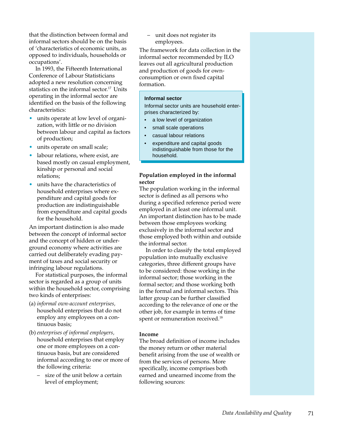that the distinction between formal and informal sectors should be on the basis of 'characteristics of economic units, as opposed to individuals, households or occupations'.

In 1993, the Fifteenth International Conference of Labour Statisticians adopted a new resolution concerning statistics on the informal sector.<sup>17</sup> Units operating in the informal sector are identified on the basis of the following characteristics:

- units operate at low level of organization, with little or no division between labour and capital as factors of production;
- units operate on small scale;
- labour relations, where exist, are based mostly on casual employment, kinship or personal and social relations;
- units have the characteristics of household enterprises where expenditure and capital goods for production are indistinguishable from expenditure and capital goods for the household.

An important distinction is also made between the concept of informal sector and the concept of hidden or underground economy where activities are carried out deliberately evading payment of taxes and social security or infringing labour regulations.

For statistical purposes, the informal sector is regarded as a group of units within the household sector, comprising two kinds of enterprises:

- (a) *informal own-account enterprises,* household enterprises that do not employ any employees on a continuous basis;
- (b)*enterprises of informal employers,* household enterprises that employ one or more employees on a continuous basis, but are considered informal according to one or more of the following criteria:
	- size of the unit below a certain level of employment;

– unit does not register its employees.

The framework for data collection in the informal sector recommended by ILO leaves out all agricultural production and production of goods for ownconsumption or own fixed capital formation.

### **Informal sector**

Informal sector units are household enterprises characterized by:

- a low level of organization
- small scale operations
- casual labour relations
- expenditure and capital goods indistinguishable from those for the household.

# **Population employed in the informal sector**

The population working in the informal sector is defined as all persons who during a specified reference period were employed in at least one informal unit. An important distinction has to be made between those employees working exclusively in the informal sector and those employed both within and outside the informal sector.

In order to classify the total employed population into mutually exclusive categories, three different groups have to be considered: those working in the informal sector; those working in the formal sector; and those working both in the formal and informal sectors. This latter group can be further classified according to the relevance of one or the other job, for example in terms of time spent or remuneration received.<sup>18</sup>

# **Income**

The broad definition of income includes the money return or other material benefit arising from the use of wealth or from the services of persons. More specifically, income comprises both earned and unearned income from the following sources: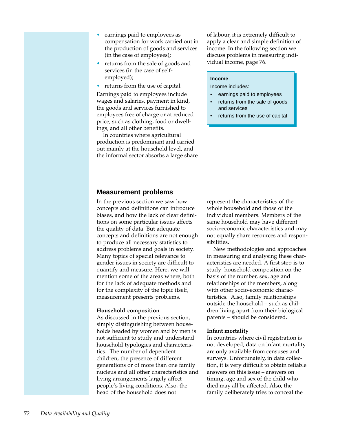- earnings paid to employees as compensation for work carried out in the production of goods and services (in the case of employees);
- returns from the sale of goods and services (in the case of selfemployed);
- returns from the use of capital.

Earnings paid to employees include wages and salaries, payment in kind, the goods and services furnished to employees free of charge or at reduced price, such as clothing, food or dwellings, and all other benefits.

In countries where agricultural production is predominant and carried out mainly at the household level, and the informal sector absorbs a large share of labour, it is extremely difficult to apply a clear and simple definition of income. In the following section we discuss problems in measuring individual income, page 76.

#### **Income**

Income includes:

- earnings paid to employees
- returns from the sale of goods and services
- returns from the use of capital

# **Measurement problems**

In the previous section we saw how concepts and definitions can introduce biases, and how the lack of clear definitions on some particular issues affects the quality of data. But adequate concepts and definitions are not enough to produce all necessary statistics to address problems and goals in society. Many topics of special relevance to gender issues in society are difficult to quantify and measure. Here, we will mention some of the areas where, both for the lack of adequate methods and for the complexity of the topic itself, measurement presents problems.

#### **Household composition**

As discussed in the previous section, simply distinguishing between households headed by women and by men is not sufficient to study and understand household typologies and characteristics. The number of dependent children, the presence of different generations or of more than one family nucleus and all other characteristics and living arrangements largely affect people's living conditions. Also, the head of the household does not

represent the characteristics of the whole household and those of the individual members. Members of the same household may have different socio-economic characteristics and may not equally share resources and responsibilities.

New methodologies and approaches in measuring and analysing these characteristics are needed. A first step is to study household composition on the basis of the number, sex, age and relationships of the members, along with other socio-economic characteristics. Also, family relationships outside the household – such as children living apart from their biological parents – should be considered.

#### **Infant mortality**

In countries where civil registration is not developed, data on infant mortality are only available from censuses and surveys. Unfortunately, in data collection, it is very difficult to obtain reliable answers on this issue – answers on timing, age and sex of the child who died may all be affected. Also, the family deliberately tries to conceal the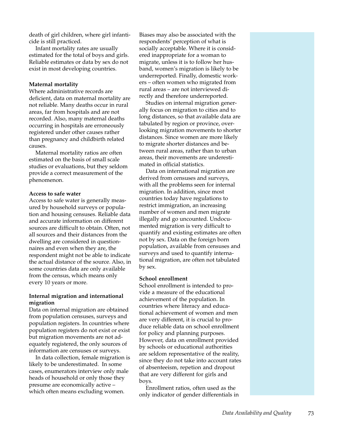death of girl children, where girl infanticide is still practiced.

Infant mortality rates are usually estimated for the total of boys and girls. Reliable estimates or data by sex do not exist in most developing countries.

#### **Maternal mortality**

Where administrative records are deficient, data on maternal mortality are not reliable. Many deaths occur in rural areas, far from hospitals and are not recorded. Also, many maternal deaths occurring in hospitals are erroneously registered under other causes rather than pregnancy and childbirth related causes.

Maternal mortality ratios are often estimated on the basis of small scale studies or evaluations, but they seldom provide a correct measurement of the phenomenon.

#### **Access to safe water**

Access to safe water is generally measured by household surveys or population and housing censuses. Reliable data and accurate information on different sources are difficult to obtain. Often, not all sources and their distances from the dwelling are considered in questionnaires and even when they are, the respondent might not be able to indicate the actual distance of the source. Also, in some countries data are only available from the census, which means only every 10 years or more.

#### **Internal migration and international migration**

Data on internal migration are obtained from population censuses, surveys and population registers. In countries where population registers do not exist or exist but migration movements are not adequately registered, the only sources of information are censuses or surveys.

In data collection, female migration is likely to be underestimated. In some cases, enumerators interview only male heads of household or only those they presume are economically active – which often means excluding women.

Biases may also be associated with the respondents' perception of what is socially acceptable. Where it is considered inappropriate for a woman to migrate, unless it is to follow her husband, women's migration is likely to be underreported. Finally, domestic workers – often women who migrated from rural areas – are not interviewed directly and therefore underreported.

Studies on internal migration generally focus on migration to cities and to long distances, so that available data are tabulated by region or province, overlooking migration movements to shorter distances. Since women are more likely to migrate shorter distances and between rural areas, rather than to urban areas, their movements are underestimated in official statistics.

Data on international migration are derived from censuses and surveys, with all the problems seen for internal migration. In addition, since most countries today have regulations to restrict immigration, an increasing number of women and men migrate illegally and go uncounted. Undocumented migration is very difficult to quantify and existing estimates are often not by sex. Data on the foreign born population, available from censuses and surveys and used to quantify international migration, are often not tabulated by sex.

#### **School enrollment**

School enrollment is intended to provide a measure of the educational achievement of the population. In countries where literacy and educational achievement of women and men are very different, it is crucial to produce reliable data on school enrollment for policy and planning purposes. However, data on enrollment provided by schools or educational authorities are seldom representative of the reality, since they do not take into account rates of absenteeism, repetion and dropout that are very different for girls and boys.

Enrollment ratios, often used as the only indicator of gender differentials in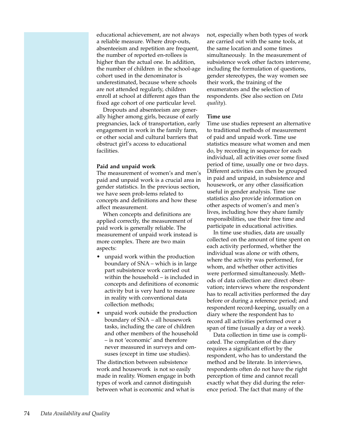educational achievement, are not always a reliable measure. Where drop-outs, absenteeism and repetition are frequent, the number of reported en-rollees is higher than the actual one. In addition, the number of children in the school-age cohort used in the denominator is underestimated, because where schools are not attended regularly, children enroll at school at different ages than the fixed age cohort of one particular level.

Dropouts and absenteeism are generally higher among girls, because of early pregnancies, lack of transportation, early engagement in work in the family farm, or other social and cultural barriers that obstruct girl's access to educational facilities.

#### **Paid and unpaid work**

The measurement of women's and men's paid and unpaid work is a crucial area in gender statistics. In the previous section, we have seen prob-lems related to concepts and definitions and how these affect measurement.

When concepts and definitions are applied correctly, the measurement of paid work is generally reliable. The measurement of unpaid work instead is more complex. There are two main aspects:

- unpaid work within the production boundary of SNA – which is in large part subsistence work carried out within the household – is included in concepts and definitions of economic activity but is very hard to measure in reality with conventional data collection methods;
- unpaid work outside the production boundary of SNA – all housework tasks, including the care of children and other members of the household – is not 'economic' and therefore never measured in surveys and censuses (except in time use studies).

The distinction between subsistence work and housework is not so easily made in reality. Women engage in both types of work and cannot distinguish between what is economic and what is

not, especially when both types of work are carried out with the same tools, at the same location and some times simultaneously. In the measurement of subsistence work other factors intervene, including the formulation of questions, gender stereotypes, the way women see their work, the training of the enumerators and the selection of respondents. (See also section on *Data quality*).

#### **Time use**

Time use studies represent an alternative to traditional methods of measurement of paid and unpaid work. Time use statistics measure what women and men do, by recording in sequence for each individual, all activities over some fixed period of time, usually one or two days. Different activities can then be grouped in paid and unpaid, in subsistence and housework, or any other classification useful in gender analysis. Time use statistics also provide information on other aspects of women's and men's lives, including how they share family responsibilities, use their free time and participate in educational activities.

In time use studies, data are usually collected on the amount of time spent on each activity performed, whether the individual was alone or with others, where the activity was performed, for whom, and whether other activities were performed simultaneously. Methods of data collection are: direct observation; interviews where the respondent has to recall activities performed the day before or during a reference period; and respondent record-keeping, usually on a diary where the respondent has to record all activities performed over a span of time (usually a day or a week).

Data collection in time use is complicated. The compilation of the diary requires a significant effort by the respondent, who has to understand the method and be literate. In interviews, respondents often do not have the right perception of time and cannot recall exactly what they did during the reference period. The fact that many of the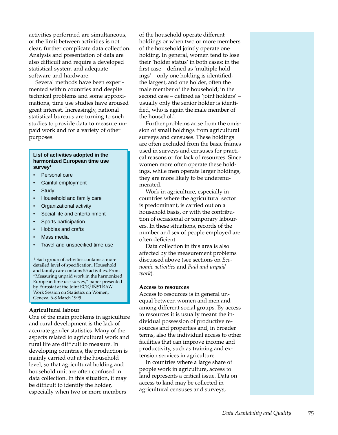activities performed are simultaneous, or the limit between activities is not clear, further complicate data collection. Analysis and presentation of data are also difficult and require a developed statistical system and adequate software and hardware.

Several methods have been experimented within countries and despite technical problems and some approximations, time use studies have aroused great interest. Increasingly, national statistical bureaus are turning to such studies to provide data to measure unpaid work and for a variety of other purposes.

#### **List of activities adopted in the harmonized European time use survey1**

- Personal care
- Gainful employment
- **Study**
- Household and family care
- Organizational activity
- Social life and entertainment
- Sports participation
- Hobbies and crafts
- Mass media
- Travel and unspecified time use

<sup>1</sup> Each group of activities contains a more detailed level of specification. Household and family care contains 55 activities. From "Measuring unpaid work in the harmonized European time use survey," paper presented by Eurostat at the Joint ECE/INSTRAW Work Session on Statistics on Women, Geneva, 6-8 March 1995.

#### **Agricultural labour**

One of the main problems in agriculture and rural development is the lack of accurate gender statistics. Many of the aspects related to agricultural work and rural life are difficult to measure. In developing countries, the production is mainly carried out at the household level, so that agricultural holding and household unit are often confused in data collection. In this situation, it may be difficult to identify the holder, especially when two or more members

of the household operate different holdings or when two or more members of the household jointly operate one holding. In general, women tend to lose their 'holder status' in both cases: in the first case – defined as 'multiple holdings' – only one holding is identified, the largest, and one holder, often the male member of the household; in the second case – defined as 'joint holders' – usually only the senior holder is identified, who is again the male member of the household.

Further problems arise from the omission of small holdings from agricultural surveys and censuses. These holdings are often excluded from the basic frames used in surveys and censuses for practical reasons or for lack of resources. Since women more often operate these holdings, while men operate larger holdings, they are more likely to be underenumerated.

Work in agriculture, especially in countries where the agricultural sector is predominant, is carried out on a household basis, or with the contribution of occasional or temporary labourers. In these situations, records of the number and sex of people employed are often deficient.

Data collection in this area is also affected by the measurement problems discussed above (see sections on *Economic activities* and *Paid and unpaid work*).

#### **Access to resources**

Access to resources is in general unequal between women and men and among different social groups. By access to resources it is usually meant the individual possession of productive resources and properties and, in broader terms, also the individual access to other facilities that can improve income and productivity, such as training and extension services in agriculture.

In countries where a large share of people work in agriculture, access to land represents a critical issue. Data on access to land may be collected in agricultural censuses and surveys,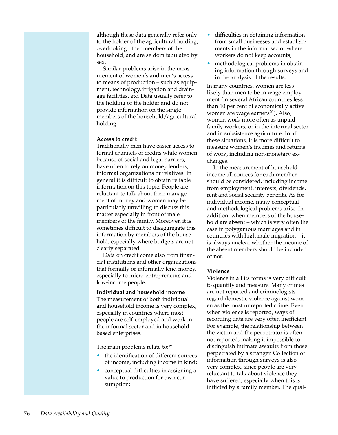although these data generally refer only to the holder of the agricultural holding, overlooking other members of the household, and are seldom tabulated by sex.

Similar problems arise in the measurement of women's and men's access to means of production – such as equipment, technology, irrigation and drainage facilities, etc. Data usually refer to the holding or the holder and do not provide information on the single members of the household/agricultural holding.

#### **Access to credit**

Traditionally men have easier access to formal channels of credits while women, because of social and legal barriers, have often to rely on money lenders, informal organizations or relatives. In general it is difficult to obtain reliable information on this topic. People are reluctant to talk about their management of money and women may be particularly unwilling to discuss this matter especially in front of male members of the family. Moreover, it is sometimes difficult to disaggregate this information by members of the household, especially where budgets are not clearly separated.

Data on credit come also from financial institutions and other organizations that formally or informally lend money, especially to micro-entrepreneurs and low-income people.

#### **Individual and household income**

The measurement of both individual and household income is very complex, especially in countries where most people are self-employed and work in the informal sector and in household based enterprises.

The main problems relate to:<sup>19</sup>

- the identification of different sources of income, including income in kind;
- conceptual difficulties in assigning a value to production for own consumption;
- difficulties in obtaining information from small businesses and establishments in the informal sector where workers do not keep accounts;
- methodological problems in obtaining information through surveys and in the analysis of the results.

In many countries, women are less likely than men to be in wage employment (in several African countries less than 10 per cent of economically active women are wage earners<sup>20</sup>). Also, women work more often as unpaid family workers, or in the informal sector and in subsistence agriculture. In all these situations, it is more difficult to measure women's incomes and returns of work, including non-monetary exchanges.

In the measurement of household income all sources for each member should be considered, including income from employment, interests, dividends, rent and social security benefits. As for individual income, many conceptual and methodological problems arise. In addition, when members of the household are absent – which is very often the case in polygamous marriages and in countries with high male migration – it is always unclear whether the income of the absent members should be included or not.

#### **Violence**

Violence in all its forms is very difficult to quantify and measure. Many crimes are not reported and criminologists regard domestic violence against women as the most unreported crime. Even when violence is reported, ways of recording data are very often inefficient. For example, the relationship between the victim and the perpetrator is often not reported, making it impossible to distinguish intimate assaults from those perpetrated by a stranger. Collection of information through surveys is also very complex, since people are very reluctant to talk about violence they have suffered, especially when this is inflicted by a family member. The qual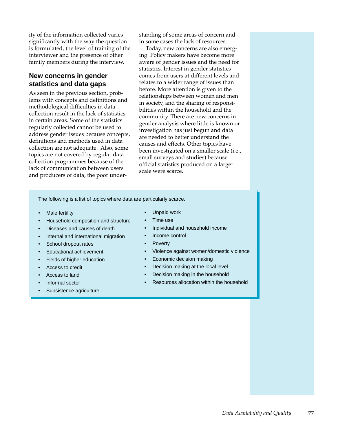ity of the information collected varies significantly with the way the question is formulated, the level of training of the interviewer and the presence of other family members during the interview.

#### **New concerns in gender statistics and data gaps**

As seen in the previous section, problems with concepts and definitions and methodological difficulties in data collection result in the lack of statistics in certain areas. Some of the statistics regularly collected cannot be used to address gender issues because concepts, definitions and methods used in data collection are not adequate. Also, some topics are not covered by regular data collection programmes because of the lack of communication between users and producers of data, the poor understanding of some areas of concern and in some cases the lack of resources.

Today, new concerns are also emerging. Policy makers have become more aware of gender issues and the need for statistics. Interest in gender statistics comes from users at different levels and relates to a wider range of issues than before. More attention is given to the relationships between women and men in society, and the sharing of responsibilities within the household and the community. There are new concerns in gender analysis where little is known or investigation has just begun and data are needed to better understand the causes and effects. Other topics have been investigated on a smaller scale (i.e., small surveys and studies) because official statistics produced on a larger scale were scarce.

The following is a list of topics where data are particularly scarce.

- Male fertility
- Household composition and structure
- Diseases and causes of death
- Internal and international migration
- School dropout rates
- Educational achievement
- Fields of higher education
- Access to credit
- Access to land
- Informal sector
- Subsistence agriculture
- Unpaid work
- Time use
- Individual and household income
- Income control
- **Poverty**
- Violence against women/domestic violence
- Economic decision making
- Decision making at the local level
- Decision making in the household
- Resources allocation within the household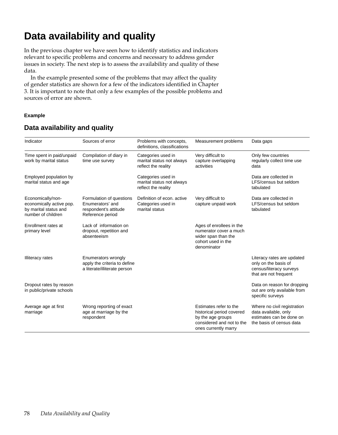## **Data availability and quality**

In the previous chapter we have seen how to identify statistics and indicators relevant to specific problems and concerns and necessary to address gender issues in society. The next step is to assess the availability and quality of these data.

In the example presented some of the problems that may affect the quality of gender statistics are shown for a few of the indicators identified in Chapter 3. It is important to note that only a few examples of the possible problems and sources of error are shown.

#### **Example**

### **Data availability and quality**

| Indicator                                                                                    | Sources of error                                                                          | Problems with concepts,<br>definitions, classifications                | Measurement problems                                                                                                          | Data gaps                                                                                                   |
|----------------------------------------------------------------------------------------------|-------------------------------------------------------------------------------------------|------------------------------------------------------------------------|-------------------------------------------------------------------------------------------------------------------------------|-------------------------------------------------------------------------------------------------------------|
| Time spent in paid/unpaid<br>work by marital status                                          | Compilation of diary in<br>time use survey                                                | Categories used in<br>marital status not always<br>reflect the reality | Very difficult to<br>capture overlapping<br>activities                                                                        | Only few countries<br>regularly collect time use<br>data                                                    |
| Employed population by<br>marital status and age                                             |                                                                                           | Categories used in<br>marital status not always<br>reflect the reality |                                                                                                                               | Data are collected in<br>LFS/census but seldom<br>tabulated                                                 |
| Economically/non-<br>economically active pop.<br>by marital status and<br>number of children | Formulation of questions<br>Enumerators' and<br>respondent's attitude<br>Reference period | Definition of econ, active<br>Categories used in<br>marital status     | Very difficult to<br>capture unpaid work                                                                                      | Data are collected in<br>LFS/census but seldom<br>tabulated                                                 |
| Enrollment rates at<br>primary level                                                         | Lack of information on<br>dropout, repetition and<br>absenteeism                          |                                                                        | Ages of enrollees in the<br>numerator cover a much<br>wider span than the<br>cohort used in the<br>denominator                |                                                                                                             |
| <b>Illiteracy</b> rates                                                                      | Enumerators wrongly<br>apply the criteria to define<br>a literate/illiterate person       |                                                                        |                                                                                                                               | Literacy rates are updated<br>only on the basis of<br>census/literacy surveys<br>that are not frequent      |
| Dropout rates by reason<br>in public/private schools                                         |                                                                                           |                                                                        |                                                                                                                               | Data on reason for dropping<br>out are only available from<br>specific surveys                              |
| Average age at first<br>marriage                                                             | Wrong reporting of exact<br>age at marriage by the<br>respondent                          |                                                                        | Estimates refer to the<br>historical period covered<br>by the age groups<br>considered and not to the<br>ones currently marry | Where no civil registration<br>data available, only<br>estimates can be done on<br>the basis of census data |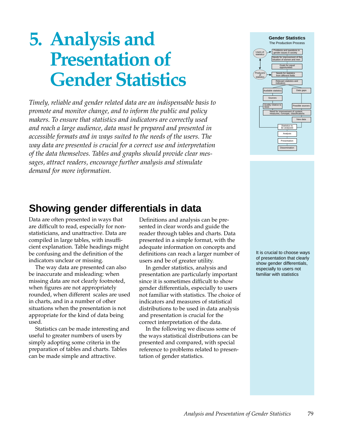# **5. Analysis and Presentation of Gender Statistics**

*Timely, reliable and gender related data are an indispensable basis to promote and monitor change, and to inform the public and policy makers. To ensure that statistics and indicators are correctly used and reach a large audience, data must be prepared and presented in accessible formats and in ways suited to the needs of the users. The way data are presented is crucial for a correct use and interpretation of the data themselves. Tables and graphs should provide clear messages, attract readers, encourage further analysis and stimulate demand for more information.*



## **Showing gender differentials in data**

Data are often presented in ways that are difficult to read, especially for nonstatisticians, and unattractive. Data are compiled in large tables, with insufficient explanation. Table headings might be confusing and the definition of the indicators unclear or missing.

The way data are presented can also be inaccurate and misleading: when missing data are not clearly footnoted, when figures are not appropriately rounded, when different scales are used in charts, and in a number of other situations when the presentation is not appropriate for the kind of data being used.

Statistics can be made interesting and useful to greater numbers of users by simply adopting some criteria in the preparation of tables and charts. Tables can be made simple and attractive.

Definitions and analysis can be presented in clear words and guide the reader through tables and charts. Data presented in a simple format, with the adequate information on concepts and definitions can reach a larger number of users and be of greater utility.

In gender statistics, analysis and presentation are particularly important since it is sometimes difficult to show gender differentials, especially to users not familiar with statistics. The choice of indicators and measures of statistical distributions to be used in data analysis and presentation is crucial for the correct interpretation of the data.

In the following we discuss some of the ways statistical distributions can be presented and compared, with special reference to problems related to presentation of gender statistics.

It is crucial to choose ways of presentation that clearly show gender differentials, especially to users not familiar with statistics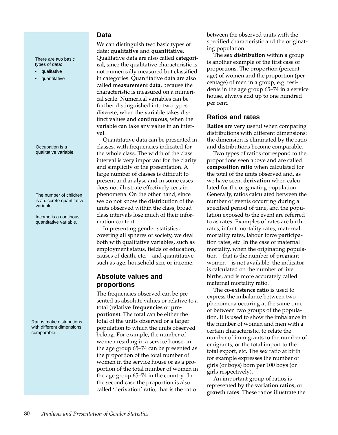There are two basic types of data:

- qualitative
- quantitative

Occupation is a qualitative variable.

The number of children is a discrete quantitative variable.

Income is a continous quantitative variable.

Ratios make distributions with different dimensions comparable.

#### **Data**

We can distinguish two basic types of data: **qualitative** and **quantitative**. Qualitative data are also called **categorical**, since the qualitative characteristic is not numerically measured but classified in categories. Quantitative data are also called **measurement data**, because the characteristic is measured on a numerical scale. Numerical variables can be further distinguished into two types: **discrete**, when the variable takes distinct values and **continuous**, when the variable can take any value in an interval.

Quantitative data can be presented in classes, with frequencies indicated for the whole class. The width of the class interval is very important for the clarity and simplicity of the presentation. A large number of classes is difficult to present and analyse and in some cases does not illustrate effectively certain phenomena. On the other hand, since we do not know the distribution of the units observed within the class, broad class intervals lose much of their information content.

In presenting gender statistics, covering all spheres of society, we deal both with qualitative variables, such as employment status, fields of education, causes of death, etc. – and quantitative – such as age, household size or income.

#### **Absolute values and proportions**

The frequencies observed can be presented as absolute values or relative to a total (**relative frequencies** or **proportions**). The total can be either the total of the units observed or a larger population to which the units observed belong. For example, the number of women residing in a service house, in the age group 65–74 can be presented as the proportion of the total number of women in the service house or as a proportion of the total number of women in the age group 65–74 in the country. In the second case the proportion is also called 'derivation' ratio, that is the ratio

between the observed units with the specified characteristic and the originating population.

The **sex distribution** within a group is another example of the first case of proportions. The proportion (percentage) of women and the proportion (percentage) of men in a group, e.g. residents in the age group 65–74 in a service house, always add up to one hundred per cent.

#### **Ratios and rates**

**Ratios** are very useful when comparing distributions with different dimensions: the dimension is eliminated by the ratio and distributions become comparable.

Two types of ratios correspond to the proportions seen above and are called **composition ratio** when calculated for the total of the units observed and, as we have seen, **derivation** when calculated for the originating population. Generally, ratios calculated between the number of events occurring during a specified period of time, and the population exposed to the event are referred to as **rates**. Examples of rates are birth rates, infant mortality rates, maternal mortality rates, labour force participation rates, etc. In the case of maternal mortality, when the originating population – that is the number of pregnant women – is not available, the indicator is calculated on the number of live births, and is more accurately called maternal mortality ratio.

The **co-existence ratio** is used to express the imbalance between two phenomena occuring at the same time or between two groups of the population. It is used to show the imbalance in the number of women and men with a certain characteristic, to relate the number of immigrants to the number of emigrants, or the total import to the total export, etc. The sex ratio at birth for example expresses the number of girls (or boys) born per 100 boys (or girls respectively).

An important group of ratios is represented by the **variation ratios**, or **growth rates**. These ratios illustrate the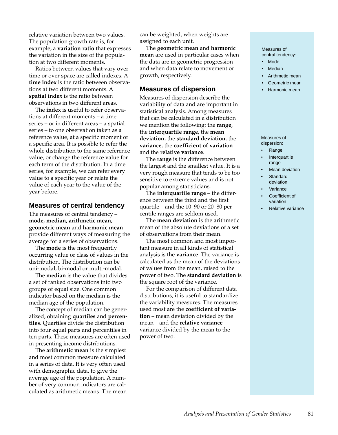relative variation between two values. The population growth rate is, for example, a **variation ratio** that expresses the variation in the size of the population at two different moments.

Ratios between values that vary over time or over space are called indexes. A **time index** is the ratio between observations at two different moments. A **spatial index** is the ratio between observations in two different areas.

The **index** is useful to refer observations at different moments – a time series – or in different areas – a spatial series – to one observation taken as a reference value, at a specific moment or a specific area. It is possible to refer the whole distribution to the same reference value, or change the reference value for each term of the distribution. In a time series, for example, we can refer every value to a specific year or relate the value of each year to the value of the year before.

#### **Measures of central tendency**

The measures of central tendency – **mode, median, arithmetic mean, geometric mean** and **harmonic mean** – provide different ways of measuring the average for a series of observations.

The **mode** is the most frequently occurring value or class of values in the distribution. The distribution can be uni-modal, bi-modal or multi-modal.

The **median** is the value that divides a set of ranked observations into two groups of equal size. One common indicator based on the median is the median age of the population.

The concept of median can be generalized, obtaining **quartiles** and **percentiles**. Quartiles divide the distribution into four equal parts and percentiles in ten parts. These measures are often used in presenting income distributions.

The **arithmetic mean** is the simplest and most common measure calculated in a series of data. It is very often used with demographic data, to give the average age of the population. A number of very common indicators are calculated as arithmetic means. The mean can be weighted, when weights are assigned to each unit.

The **geometric mean** and **harmonic mean** are used in particular cases when the data are in geometric progression and when data relate to movement or growth, respectively.

#### **Measures of dispersion**

Measures of dispersion describe the variability of data and are important in statistical analysis. Among measures that can be calculated in a distribution we mention the following: the **range**, the **interquartile range**, the **mean deviation**, the **standard deviation**, the **variance**, the **coefficient of variation** and the **relative variance**.

The **range** is the difference between the largest and the smallest value. It is a very rough measure that tends to be too sensitive to extreme values and is not popular among statisticians.

The **interquartile range** – the difference between the third and the first quartile – and the 10–90 or 20–80 percentile ranges are seldom used.

The **mean deviation** is the arithmetic mean of the absolute deviations of a set of observations from their mean.

The most common and most important measure in all kinds of statistical analysis is the **variance**. The variance is calculated as the mean of the deviations of values from the mean, raised to the power of two. The **standard deviation** is the square root of the variance.

For the comparison of different data distributions, it is useful to standardize the variability measures. The measures used most are the **coefficient of variation** – mean deviation divided by the mean – and the **relative variance** – variance divided by the mean to the power of two.

#### Measures of central tendency:

- Mode
- Median
- Arithmetic mean
- Geometric mean
- Harmonic mean

#### Measures of dispersion:

- Range
- **Interquartile** range
- **Mean deviation**
- **Standard** deviation
- **Variance**
- Coefficient of variation
- Relative variance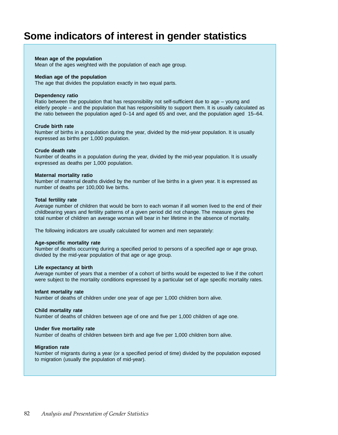## **Some indicators of interest in gender statistics**

#### **Mean age of the population**

Mean of the ages weighted with the population of each age group.

#### **Median age of the population**

The age that divides the population exactly in two equal parts.

#### **Dependency ratio**

Ratio between the population that has responsibility not self-sufficient due to age – young and elderly people – and the population that has responsibility to support them. It is usually calculated as the ratio between the population aged 0–14 and aged 65 and over, and the population aged 15–64.

#### **Crude birth rate**

Number of births in a population during the year, divided by the mid-year population. It is usually expressed as births per 1,000 population.

#### **Crude death rate**

Number of deaths in a population during the year, divided by the mid-year population. It is usually expressed as deaths per 1,000 population.

#### **Maternal mortality ratio**

Number of maternal deaths divided by the number of live births in a given year. It is expressed as number of deaths per 100,000 live births.

#### **Total fertility rate**

Average number of children that would be born to each woman if all women lived to the end of their childbearing years and fertility patterns of a given period did not change. The measure gives the total number of children an average woman will bear in her lifetime in the absence of mortality.

The following indicators are usually calculated for women and men separately:

#### **Age-specific mortality rate**

Number of deaths occurring during a specified period to persons of a specified age or age group, divided by the mid-year population of that age or age group.

#### **Life expectancy at birth**

Average number of years that a member of a cohort of births would be expected to live if the cohort were subject to the mortality conditions expressed by a particular set of age specific mortality rates.

#### **Infant mortality rate**

Number of deaths of children under one year of age per 1,000 children born alive.

#### **Child mortality rate**

Number of deaths of children between age of one and five per 1,000 children of age one.

#### **Under five mortality rate**

Number of deaths of children between birth and age five per 1,000 children born alive.

#### **Migration rate**

Number of migrants during a year (or a specified period of time) divided by the population exposed to migration (usually the population of mid-year).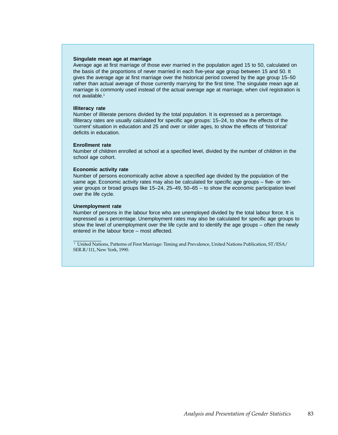#### **Singulate mean age at marriage**

Average age at first marriage of those ever married in the population aged 15 to 50, calculated on the basis of the proportions of never married in each five-year age group between 15 and 50. It gives the average age at first marriage over the historical period covered by the age group 15–50 rather than actual average of those currently marrying for the first time. The singulate mean age at marriage is commonly used instead of the actual average age at marriage, when civil registration is not available.<sup>1</sup>

#### **Illiteracy rate**

Number of illiterate persons divided by the total population. It is expressed as a percentage. Illiteracy rates are usually calculated for specific age groups: 15–24, to show the effects of the 'current' situation in education and 25 and over or older ages, to show the effects of 'historical' deficits in education.

#### **Enrollment rate**

Number of children enrolled at school at a specified level, divided by the number of children in the school age cohort.

#### **Economic activity rate**

Number of persons economically active above a specified age divided by the population of the same age. Economic activity rates may also be calculated for specific age groups – five- or tenyear groups or broad groups like 15–24, 25–49, 50–65 – to show the economic participation level over the life cycle.

#### **Unemployment rate**

Number of persons in the labour force who are unemployed divided by the total labour force. It is expressed as a percentage. Unemployment rates may also be calculated for specific age groups to show the level of unemployment over the life cycle and to identify the age groups – often the newly entered in the labour force – most affected.

<sup>1</sup> United Nations, Patterns of First Marriage: Timing and Prevalence, United Nations Publication, ST/ESA/ SER.R/111, New York, 1990.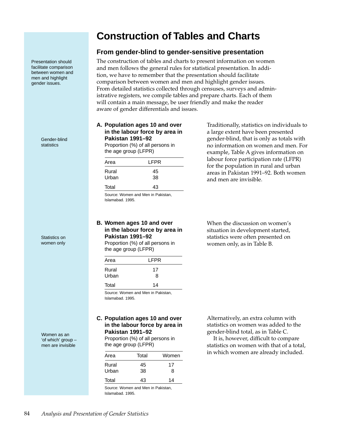Presentation should facilitate comparison between women and men and highlight gender issues.

> Gender-blind statistics

Statistics on women only

Women as an 'of which' group – men are invisible

## **Construction of Tables and Charts**

#### **From gender-blind to gender-sensitive presentation**

The construction of tables and charts to present information on women and men follows the general rules for statistical presentation. In addition, we have to remember that the presentation should facilitate comparison between women and men and highlight gender issues. From detailed statistics collected through censuses, surveys and administrative registers, we compile tables and prepare charts. Each of them will contain a main message, be user friendly and make the reader aware of gender differentials and issues.

#### **A. Population ages 10 and over in the labour force by area in Pakistan 1991–92**

Proportion (%) of all persons in the age group (LFPR)

| Area           | <b>LFPR</b> |  |
|----------------|-------------|--|
| Rural<br>Urban | 45<br>38    |  |
| Total          | 43          |  |

Source: Women and Men in Pakistan, Islamabad. 1995.

**B. Women ages 10 and over in the labour force by area in Pakistan 1991–92** Proportion (%) of all persons in

the age group (LFPR) Area LFPR Rural 17 Urban 8 Total 14

Source: Women and Men in Pakistan, Islamabad. 1995.

#### **C. Population ages 10 and over in the labour force by area in Pakistan 1991–92**

Proportion (%) of all persons in the age group (LFPR)

| Area           | Total    | Women   |
|----------------|----------|---------|
| Rural<br>Urban | 45<br>38 | 17<br>8 |
| Total          | 43       | 14      |

Source: Women and Men in Pakistan, Islamabad. 1995.

Traditionally, statistics on individuals to a large extent have been presented gender-blind, that is only as totals with no information on women and men. For example, Table A gives information on labour force participation rate (LFPR) for the population in rural and urban areas in Pakistan 1991–92. Both women and men are invisible.

When the discussion on women's situation in development started, statistics were often presented on women only, as in Table B.

Alternatively, an extra column with statistics on women was added to the gender-blind total, as in Table C.

It is, however, difficult to compare statistics on women with that of a total, in which women are already included.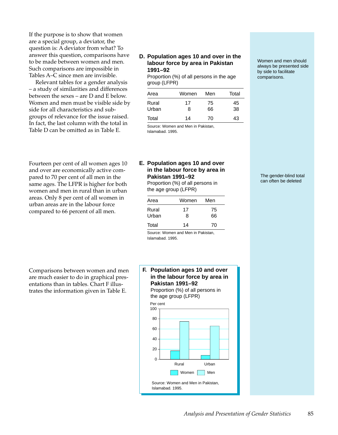If the purpose is to show that women are a special group, a deviator, the question is: A deviator from what? To answer this question, comparisons have to be made between women and men. Such comparisons are impossible in Tables A–C since men are invisible.

Relevant tables for a gender analysis – a study of similarities and differences between the sexes – are D and E below. Women and men must be visible side by side for all characteristics and subgroups of relevance for the issue raised. In fact, the last column with the total in Table D can be omitted as in Table E.

Fourteen per cent of all women ages 10 and over are economically active compared to 70 per cent of all men in the same ages. The LFPR is higher for both women and men in rural than in urban areas. Only 8 per cent of all women in urban areas are in the labour force compared to 66 percent of all men.

Comparisons between women and men are much easier to do in graphical presentations than in tables. Chart F illustrates the information given in Table E.

#### **D. Population ages 10 and over in the labour force by area in Pakistan 1991–92**

Proportion (%) of all persons in the age group (LFPR)

| Area           | Women   | Men      | Total    |
|----------------|---------|----------|----------|
| Rural<br>Urban | 17<br>8 | 75<br>66 | 45<br>38 |
| Total          | 14      | 70       | 43       |

Source: Women and Men in Pakistan, Islamabad. 1995.

#### **E. Population ages 10 and over in the labour force by area in Pakistan 1991–92**

Proportion (%) of all persons in the age group (LFPR)

| Area  | Women | Men |  |
|-------|-------|-----|--|
| Rural | 17    | 75  |  |
| Urban | 8     | 66  |  |
| Total | 14    | 70  |  |

Source: Women and Men in Pakistan, Islamabad. 1995.

#### **F. Population ages 10 and over in the labour force by area in Pakistan 1991–92** Proportion (%) of all persons in

the age group (LFPR)



Women and men should always be presented side by side to facilitate comparisons.

The gender-blind total can often be deleted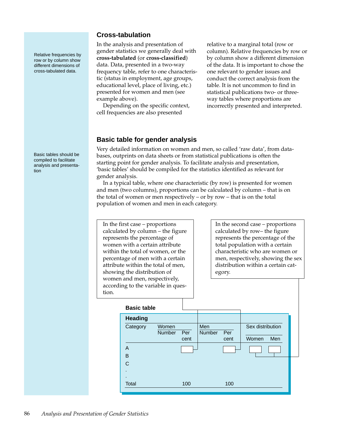Relative frequencies by row or by column show different dimensions of cross-tabulated data.

Basic tables should be compiled to facilitate analysis and presentation

#### **Cross-tabulation**

In the analysis and presentation of gender statistics we generally deal with **cross-tabulated** (or **cross-classified**) data. Data, presented in a two-way frequency table, refer to one characteristic (status in employment, age groups, educational level, place of living, etc.) presented for women and men (see example above).

Depending on the specific context, cell frequencies are also presented

relative to a marginal total (row or column). Relative frequencies by row or by column show a different dimension of the data. It is important to chose the one relevant to gender issues and conduct the correct analysis from the table. It is not uncommon to find in statistical publications two- or threeway tables where proportions are incorrectly presented and interpreted.

#### **Basic table for gender analysis**

Very detailed information on women and men, so called 'raw data', from databases, outprints on data sheets or from statistical publications is often the starting point for gender analysis. To facilitate analysis and presentation, 'basic tables' should be compiled for the statistics identified as relevant for gender analysis.

In a typical table, where one characteristic (by row) is presented for women and men (two columns), proportions can be calculated by column – that is on the total of women or men respectively – or by row – that is on the total population of women and men in each category.

In the first case – proportions calculated by column – the figure represents the percentage of women with a certain attribute within the total of women, or the percentage of men with a certain attribute within the total of men, showing the distribution of women and men, respectively, according to the variable in question.

In the second case – proportions calculated by row– the figure represents the percentage of the total population with a certain characteristic who are women or men, respectively, showing the sex distribution within a certain category.

## **Basic table**

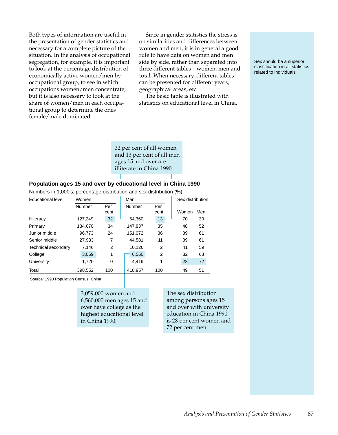Both types of information are useful in the presentation of gender statistics and necessary for a complete picture of the situation. In the analysis of occupational segregation, for example, it is important to look at the percentage distribution of economically active women/men by occupational group, to see in which occupations women/men concentrate; but it is also necessary to look at the share of women/men in each occupational group to determine the ones female/male dominated.

Since in gender statistics the stress is on similarities and differences between women and men, it is in general a good rule to have data on women and men side by side, rather than separated into three different tables – women, men and total. When necessary, different tables can be presented for different years, geographical areas, etc.

The basic table is illustrated with statistics on educational level in China. Sex should be a superior classification in all statistics related to individuals

32 per cent of all women and 13 per cent of all men ages 15 and over are illiterate in China 1990.

#### **Population ages 15 and over by educational level in China 1990**

Numbers in 1,000's, percentage distribution and sex distribution (%)

| <b>Educational level</b>              | Women   |      | Men     |      | Sex distribution |     |
|---------------------------------------|---------|------|---------|------|------------------|-----|
|                                       | Number  | Per  | Number  | Per  |                  |     |
|                                       |         | cent |         | cent | Women            | Men |
| Illiteracy                            | 127,249 | 32   | 54.360  | 13   | 70               | 30  |
| Primary                               | 134.670 | 34   | 147.837 | 35   | 48               | 52  |
| Junior middle                         | 96.773  | 24   | 151.072 | 36   | 39               | 61  |
| Senior middle                         | 27,933  | 7    | 44.581  | 11   | 39               | 61  |
| Technical secondary                   | 7,146   | 2    | 10.126  | 2    | 41               | 59  |
| College                               | 3,059   | 1    | 6,560   | 2    | 32               | 68  |
| University                            | 1.720   | 0    | 4.419   | 1    | 28               | 72  |
| Total                                 | 398,552 | 100  | 418.957 | 100  | 49               | 51  |
| Course: 4000 Depulation Capaua, China |         |      |         |      |                  |     |

Source: 1990 Population Census. China

3,059,000 women and 6,560,000 men ages 15 and over have college as the highest educational level in China 1990.

The sex distribution among persons ages 15 and over with university education in China 1990 is 28 per cent women and 72 per cent men.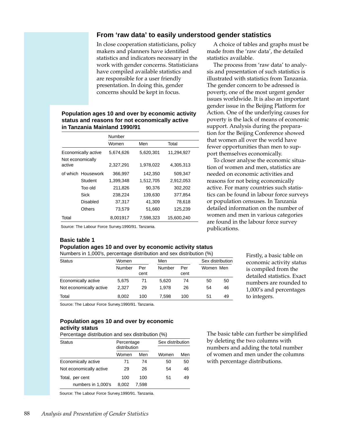#### **From 'raw data' to easily understood gender statistics**

In close cooperation statisticians, policy makers and planners have identified statistics and indicators necessary in the work with gender concerns. Statisticians have compiled available statistics and are responsible for a user friendly presentation. In doing this, gender concerns should be kept in focus.

#### **Population ages 10 and over by economic activity status and reasons for not economically active in Tanzania Mainland 1990/91**

|                                         |                    | Number    |           |            |  |  |
|-----------------------------------------|--------------------|-----------|-----------|------------|--|--|
|                                         |                    | Women     | Men       | Total      |  |  |
| Economically active<br>Not economically |                    | 5,674,626 | 5,620,301 | 11,294,927 |  |  |
| active                                  |                    | 2,327,291 | 1,978,022 | 4,305,313  |  |  |
|                                         | of which Housework | 366,997   | 142,350   | 509,347    |  |  |
|                                         | Student            | 1,399,348 | 1,512,705 | 2,912,053  |  |  |
|                                         | Too old            | 211,826   | 90,376    | 302,202    |  |  |
|                                         | Sick               | 238,224   | 139,630   | 377,854    |  |  |
|                                         | Disabled           | 37,317    | 41,309    | 78,618     |  |  |
|                                         | Others             | 73.579    | 51,660    | 125,239    |  |  |
| Total                                   |                    | 8,001917  | 7,598,323 | 15,600,240 |  |  |

Source: The Labour Force Survey.1990/91. Tanzania.

#### **Basic table 1**

**Population ages 10 and over by economic activity status**

Numbers in 1,000's, percentage distribution and sex distribution (%)

| <b>Status</b>           | Women  |      | Men    |      |           | Sex distribution |  |
|-------------------------|--------|------|--------|------|-----------|------------------|--|
|                         | Number | Per  | Number | Per  | Women Men |                  |  |
|                         |        | cent |        | cent |           |                  |  |
| Economically active     | 5,675  | 71   | 5.620  | 74   | 50        | 50               |  |
| Not economically active | 2.327  | 29   | 1.978  | 26   | 54        | 46               |  |
| Total                   | 8.002  | 100  | 7.598  | 100  | 51        | 49               |  |

Firstly, a basic table on economic activity status is compiled from the detailed statistics. Exact numbers are rounded to 1,000's and percentages to integers.

Source: The Labour Force Survey.1990/91. Tanzania.

#### **Population ages 10 and over by economic activity status**

|    | Percentage distribution and sex distribution (%) |  |  |  |  |
|----|--------------------------------------------------|--|--|--|--|
| __ |                                                  |  |  |  |  |

| <b>Status</b>           |                    | Percentage<br>distribution |       | Sex distribution |     |
|-------------------------|--------------------|----------------------------|-------|------------------|-----|
|                         |                    | Women                      | Men   | Women            | Men |
| Economically active     |                    | 71                         | 74    | 50               | 50  |
| Not economically active |                    | 29                         | 26    | 54               | 46  |
|                         | Total, per cent    | 100                        | 100   | 51               | 49  |
|                         | numbers in 1,000's | 8.002                      | 7.598 |                  |     |

Source: The Labour Force Survey.1990/91. Tanzania.

A choice of tables and graphs must be made from the 'raw data', the detailed statistics available.

The process from 'raw data' to analysis and presentation of such statistics is illustrated with statistics from Tanzania. The gender concern to be adressed is poverty, one of the most urgent gender issues worldwide. It is also an important gender issue in the Beijing Platform for Action. One of the underlying causes for poverty is the lack of means of economic support. Analysis during the preparation for the Beijing Conference showed that women all over the world have fewer opportunities than men to support themselves economically.

To closer analyse the economic situation of women and men, statistics are needed on economic activities and reasons for not being economically active. For many countries such statistics can be found in labour force surveys or population censuses. In Tanzania detailed information on the number of women and men in various categories are found in the labour force survey publications.

The basic table can further be simplified by deleting the two columns with numbers and adding the total number of women and men under the columns with percentage distributions.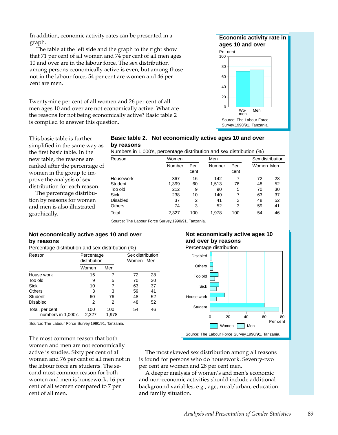In addition, economic activity rates can be presented in a graph.

The table at the left side and the graph to the right show that 71 per cent of all women and 74 per cent of all men ages 10 and over are in the labour force. The sex distribution among persons economically active is even, but among those not in the labour force, 54 per cent are women and 46 per cent are men.

Twenty-nine per cent of all women and 26 per cent of all men ages 10 and over are not economically active. What are the reasons for not being economically active? Basic table 2 is compiled to answer this question.



This basic table is further simplified in the same way as the first basic table. In the new table, the reasons are ranked after the percentage of women in the group to improve the analysis of sex distribution for each reason.

The percentage distribution by reasons for women and men is also illustrated graphically.

#### **Basic table 2. Not economically active ages 10 and over by reasons**

Numbers in 1,000's, percentage distribution and sex distribution (%)

| Reason          | Women  |      |        | Men  |           | Sex distribution |  |
|-----------------|--------|------|--------|------|-----------|------------------|--|
|                 | Number | Per  | Number | Per  | Women Men |                  |  |
|                 |        | cent |        | cent |           |                  |  |
| Housework       | 367    | 16   | 142    | 7    | 72        | 28               |  |
| Student         | 1,399  | 60   | 1.513  | 76   | 48        | 52               |  |
| Too old         | 212    | 9    | 90     | 5    | 70        | 30               |  |
| <b>Sick</b>     | 238    | 10   | 140    | 7    | 63        | 37               |  |
| <b>Disabled</b> | 37     | 2    | 41     | 2    | 48        | 52               |  |
| <b>Others</b>   | 74     | 3    | 52     | 3    | 59        | 41               |  |
| Total           | 2,327  | 100  | 1.978  | 100  | 54        | 46               |  |

Source: The Labour Force Survey.1990/91, Tanzania.

#### **Not economically active ages 10 and over by reasons**

Percentage distribution and sex distribution (%)

| Reason                                | Percentage<br>distribution |              | Sex distribution<br>Women | Men |
|---------------------------------------|----------------------------|--------------|---------------------------|-----|
|                                       | Women                      | Men          |                           |     |
| House work                            | 16                         |              | 72                        | 28  |
| Too old                               | 9                          | 5            | 70                        | 30  |
| Sick                                  | 10                         | 7            | 63                        | 37  |
| Others                                | 3                          | 3            | 59                        | 41  |
| Student                               | 60                         | 76           | 48                        | 52  |
| Disabled                              | 2                          | 2            | 48                        | 52  |
| Total, per cent<br>numbers in 1,000's | 100<br>2,327               | 100<br>1,978 | 54                        | 46  |

Source: The Labour Force Survey.1990/91, Tanzania.

The most common reason that both women and men are not economically active is studies. Sixty per cent of all women and 76 per cent of all men not in the labour force are students. The second most common reason for both women and men is housework, 16 per cent of all women compared to 7 per cent of all men.

## Disabled **Others** Too old Sick **Not economically active ages 10 and over by reasons** Percentage distribution



Source: The Labour Force Survey.1990/91, Tanzania.

The most skewed sex distribution among all reasons is found for persons who do housework. Seventy-two per cent are women and 28 per cent men.

A deeper analysis of women's and men's economic and non-economic activities should include additional background variables, e.g., age, rural/urban, education and family situation.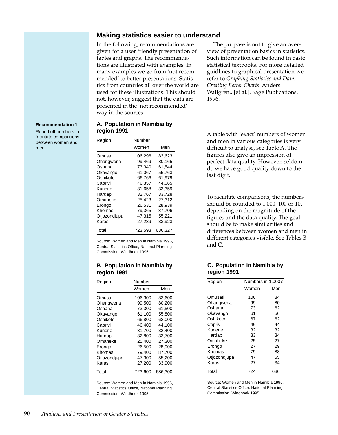#### **Making statistics easier to understand**

In the following, recommendations are given for a user friendly presentation of tables and graphs. The recommendations are illustrated with examples. In many examples we go from 'not recommended' to better presentations. Statistics from countries all over the world are used for these illustrations. This should not, however, suggest that the data are presented in the 'not recommended' way in the sources.

The purpose is not to give an overview of presentation basics in statistics. Such information can be found in basic statistical textbooks. For more detailed guidlines to graphical presentation we refer to *Graphing Statistics and Data: Creating Better Charts*. Anders Wallgren...[et al.]. Sage Publications. 1996.

#### **Recommendation 1**

Round off numbers to facilitate comparisons between women and men.

#### **A. Population in Namibia by region 1991**

| Region       | Number  |         |  |  |
|--------------|---------|---------|--|--|
|              | Women   | Men     |  |  |
| Omusati      | 106,296 | 83,623  |  |  |
| Ohangwena    | 99.469  | 80.165  |  |  |
| Oshana       | 73,340  | 61.544  |  |  |
| Okavango     | 61,067  | 55,763  |  |  |
| Oshikoto     | 66,766  | 61.979  |  |  |
| Caprivi      | 46,357  | 44,065  |  |  |
| Kunene       | 31.658  | 32.359  |  |  |
| Hardap       | 32.767  | 33.728  |  |  |
| Omaheke      | 25.423  | 27,312  |  |  |
| Erongo       | 26.531  | 28.939  |  |  |
| Khomas       | 79,365  | 87,706  |  |  |
| Otjozondjupa | 47,315  | 55,221  |  |  |
| Karas        | 27.239  | 33,923  |  |  |
| Total        | 723.593 | 686.327 |  |  |

Source: Women and Men in Namibia 1995, Central Statistics Office, National Planning Commission. Windhoek 1995.

#### **B. Population in Namibia by region 1991**

| Region       | Number  |         |
|--------------|---------|---------|
|              | Women   | Men     |
| Omusati      | 106.300 | 83.600  |
| Ohangwena    | 99.500  | 80,200  |
| Oshana       | 73,300  | 61.500  |
| Okavango     | 61,100  | 55,800  |
| Oshikoto     | 66.800  | 62.000  |
| Caprivi      | 46.400  | 44.100  |
| Kunene       | 31,700  | 32.400  |
| Hardap       | 32.800  | 33.700  |
| Omaheke      | 25.400  | 27,300  |
| Erongo       | 26.500  | 28.900  |
| Khomas       | 79.400  | 87.700  |
| Otjozondjupa | 47,300  | 55,200  |
| Karas        | 27.200  | 33.900  |
| Total        | 723.600 | 686.300 |

Source: Women and Men in Namibia 1995, Central Statistics Office, National Planning Commission. Windhoek 1995.

A table with 'exact' numbers of women and men in various categories is very difficult to analyse, see Table A. The figures also give an impression of perfect data quality. However, seldom do we have good quality down to the last digit.

To facilitate comparisons, the numbers should be rounded to 1,000, 100 or 10, depending on the magnitude of the figures and the data quality. The goal should be to make similarities and differences between women and men in different categories visible. See Tables B and C.

#### **C. Population in Namibia by region 1991**

| Region       | Numbers in 1,000's |     |  |
|--------------|--------------------|-----|--|
|              | Women              | Men |  |
| Omusati      | 106                | 84  |  |
| Ohangwena    | 99                 | 80  |  |
| Oshana       | 73                 | 62  |  |
| Okavango     | 61                 | 56  |  |
| Oshikoto     | 67                 | 62  |  |
| Caprivi      | 46                 | 44  |  |
| Kunene       | 32                 | 32  |  |
| Hardap       | 33                 | 34  |  |
| Omaheke      | 25                 | 27  |  |
| Erongo       | 27                 | 29  |  |
| Khomas       | 79                 | 88  |  |
| Otjozondjupa | 47                 | 55  |  |
| Karas        | 27                 | 34  |  |
| Total        | 724                | 686 |  |

Source: Women and Men in Namibia 1995, Central Statistics Office, National Planning Commission. Windhoek 1995.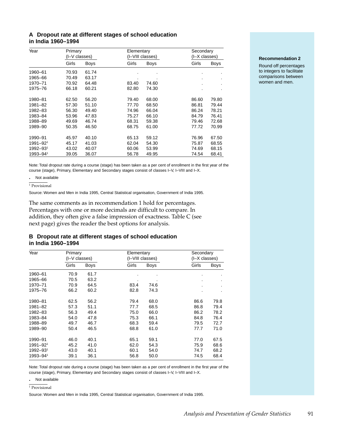#### **A Dropout rate at different stages of school education in India 1960–1994**

| Year     | Primary<br>(I-V classes) |             | Elementary<br>(I-VIII classes) |             | Secondary<br>(I-X classes) |             |
|----------|--------------------------|-------------|--------------------------------|-------------|----------------------------|-------------|
|          | Girls                    | <b>Boys</b> | Girls                          | <b>Boys</b> | Girls                      | <b>Boys</b> |
| 1960-61  | 70.93                    | 61.74       |                                |             |                            |             |
| 1965-66  | 70.49                    | 63.17       |                                |             |                            |             |
| 1970-71  | 70.92                    | 64.48       | 83.40                          | 74.60       |                            |             |
| 1975-76  | 66.18                    | 60.21       | 82.80                          | 74.30       |                            |             |
| 1980-81  | 62.50                    | 56.20       | 79.40                          | 68.00       | 86.60                      | 79.80       |
| 1981-82  | 57.30                    | 51.10       | 77.70                          | 68.50       | 86.81                      | 79.44       |
| 1982-83  | 56.30                    | 49.40       | 74.96                          | 66.04       | 86.24                      | 78.21       |
| 1983-84  | 53.96                    | 47.83       | 75.27                          | 66.10       | 84.79                      | 76.41       |
| 1988-89  | 49.69                    | 46.74       | 68.31                          | 59.38       | 79.46                      | 72.68       |
| 1989-90  | 50.35                    | 46.50       | 68.75                          | 61.00       | 77.72                      | 70.99       |
| 1990-91  | 45.97                    | 40.10       | 65.13                          | 59.12       | 76.96                      | 67.50       |
| 1991-921 | 45.17                    | 41.03       | 62.04                          | 54.30       | 75.87                      | 68.55       |
| 1992-931 | 43.02                    | 40.07       | 60.06                          | 53.99       | 74.69                      | 68.15       |
| 1993-941 | 39.05                    | 36.07       | 56.78                          | 49.95       | 74.54                      | 68.41       |

Note: Total dropout rate during a course (stage) has been taken as a per cent of enrollment in the first year of the course (stage), Primary, Elementary and Secondary stages consist of classes I–V, I–VIII and I–X.

**.** Not available

<sup>1</sup> Provisional

Source: Women and Men in India 1995, Central Statistical organisation, Government of India 1995.

The same comments as in recommendation 1 hold for percentages. Percentages with one or more decimals are difficult to compare. In addition, they often give a false impression of exactness. Table C (see next page) gives the reader the best options for analysis.

#### **B Dropout rate at different stages of school education in India 1960–1994**

| Year<br>Primary<br>(I-V classes) |       |      |       | Elementary<br>(I-VIII classes) |       | Secondary<br>(I-X classes) |  |
|----------------------------------|-------|------|-------|--------------------------------|-------|----------------------------|--|
|                                  | Girls | Boys | Girls | <b>Boys</b>                    | Girls | <b>Boys</b>                |  |
| 1960-61                          | 70.9  | 61.7 |       |                                |       |                            |  |
| 1965-66                          | 70.5  | 63.2 |       |                                |       | $\bullet$                  |  |
| 1970-71                          | 70.9  | 64.5 | 83.4  | 74.6                           |       | $\bullet$                  |  |
| 1975-76                          | 66.2  | 60.2 | 82.8  | 74.3                           |       |                            |  |
| 1980-81                          | 62.5  | 56.2 | 79.4  | 68.0                           | 86.6  | 79.8                       |  |
| 1981-82                          | 57.3  | 51.1 | 77.7  | 68.5                           | 86.8  | 79.4                       |  |
| 1982-83                          | 56.3  | 49.4 | 75.0  | 66.0                           | 86.2  | 78.2                       |  |
| 1983-84                          | 54.0  | 47.8 | 75.3  | 66.1                           | 84.8  | 76.4                       |  |
| 1988-89                          | 49.7  | 46.7 | 68.3  | 59.4                           | 79.5  | 72.7                       |  |
| 1989-90                          | 50.4  | 46.5 | 68.8  | 61.0                           | 77.7  | 71.0                       |  |
| 1990-91                          | 46.0  | 40.1 | 65.1  | 59.1                           | 77.0  | 67.5                       |  |
| 1991-921                         | 45.2  | 41.0 | 62.0  | 54.3                           | 75.9  | 68.6                       |  |
| 1992-931                         | 43.0  | 40.1 | 60.1  | 54.0                           | 74.7  | 68.2                       |  |
| 1993-941                         | 39.1  | 36.1 | 56.8  | 50.0                           | 74.5  | 68.4                       |  |

Note: Total dropout rate during a course (stage) has been taken as a per cent of enrollment in the first year of the course (stage), Primary, Elementary and Secondary stages consist of classes I–V, I–VIII and I–X.

**.** Not available

 $\frac{1 \text{Provisional}}{1 \text{.}}$ 

Source: Women and Men in India 1995, Central Statistical organisation, Government of India 1995.

#### **Recommendation 2**

Round off percentages to integers to facilitate comparisons between women and men.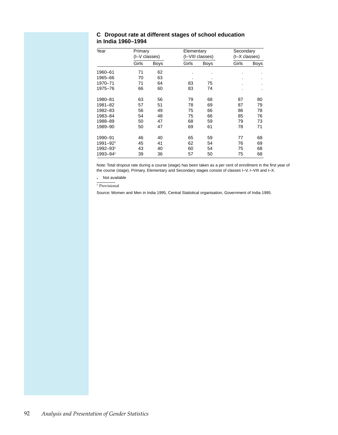| Year     | Primary<br>Elementary<br>(I-VIII classes)<br>(I-V classes) |             |       |             | Secondary | (I-X classes) |  |
|----------|------------------------------------------------------------|-------------|-------|-------------|-----------|---------------|--|
|          | Girls                                                      | <b>Boys</b> | Girls | <b>Boys</b> | Girls     | <b>Boys</b>   |  |
| 1960-61  | 71                                                         | 62          | ٠     | ٠           | ٠         | ٠             |  |
| 1965-66  | 70                                                         | 63          |       |             |           |               |  |
| 1970-71  | 71                                                         | 64          | 83    | 75          |           |               |  |
| 1975-76  | 66                                                         | 60          | 83    | 74          |           |               |  |
| 1980-81  | 63                                                         | 56          | 79    | 68          | 87        | 80            |  |
| 1981–82  | 57                                                         | 51          | 78    | 69          | 87        | 79            |  |
| 1982-83  | 56                                                         | 49          | 75    | 66          | 86        | 78            |  |
| 1983-84  | 54                                                         | 48          | 75    | 66          | 85        | 76            |  |
| 1988-89  | 50                                                         | 47          | 68    | 59          | 79        | 73            |  |
| 1989-90  | 50                                                         | 47          | 69    | 61          | 78        | 71            |  |
| 1990-91  | 46                                                         | 40          | 65    | 59          | 77        | 68            |  |
| 1991-921 | 45                                                         | 41          | 62    | 54          | 76        | 69            |  |
| 1992-931 | 43                                                         | 40          | 60    | 54          | 75        | 68            |  |
| 1993-941 | 39                                                         | 36          | 57    | 50          | 75        | 68            |  |

#### **C Dropout rate at different stages of school education in India 1960–1994**

Note: Total dropout rate during a course (stage) has been taken as a per cent of enrollment in the first year of the course (stage), Primary, Elementary and Secondary stages consist of classes I–V, I–VIII and I–X.

**.** Not available

 $\frac{1}{1}$  Provisional

Source: Women and Men in India 1995, Central Statistical organisation, Government of India 1995.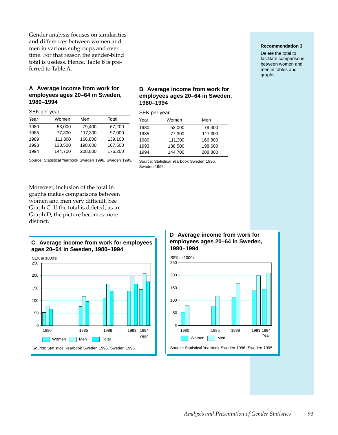Gender analysis focuses on similarities and differences between women and men in various subgroups and over time. For that reason the gender-blind total is useless. Hence, Table B is preferred to Table A.

#### **A Average income from work for employees ages 20–64 in Sweden, 1980–1994**

| SEK per year |       |
|--------------|-------|
| Year         | Women |

| Year | Women   | Men     | Total   |  |
|------|---------|---------|---------|--|
| 1980 | 53.000  | 79,400  | 67,200  |  |
| 1985 | 77.300  | 117.300 | 97.000  |  |
| 1989 | 111.300 | 166.800 | 139.100 |  |
| 1993 | 138.500 | 198.600 | 167.500 |  |
| 1994 | 144.700 | 208.800 | 176,200 |  |

#### **B Average income from work for employees ages 20–64 in Sweden, 1980–1994**

SEK per year

Sweden 1995.

| Year | Women   | Men     |
|------|---------|---------|
| 1980 | 53,000  | 79,400  |
| 1985 | 77.300  | 117.300 |
| 1989 | 111,300 | 166.800 |
| 1993 | 138.500 | 198.600 |
| 1994 | 144,700 | 208,800 |
|      |         |         |

Source: Statistical Yearbook Sweden 1996,

Source: Statistical Yearbook Sweden 1996, Sweden 1995.

Moreover, inclusion of the total in graphs makes comparisons between women and men very difficult. See Graph C. If the total is deleted, as in Graph D, the picture becomes more distinct.



#### **D Average income from work for employees ages 20–64 in Sweden, 1980–1994**



#### **Recommendation 3**

Delete the total to facilitate comparisons between women and men in tables and graphs.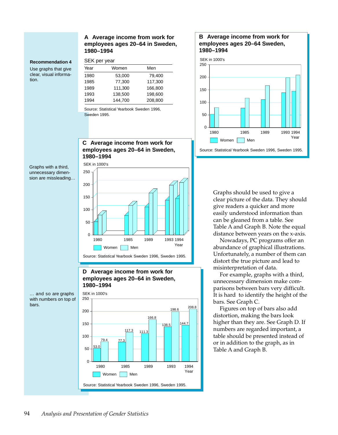#### **A Average income from work for employees ages 20–64 in Sweden, 1980–1994**

#### **Recommendation 4**

Use graphs that give clear, visual information.

#### SEK per year Year Women Men 1980 53,000 79,400 1985 77,300 117,300 1989 111,300 166,800 1993 138,500 198,600 1994 144,700 208,800

Source: Statistical Yearbook Sweden 1996, Sweden 1995.

#### **C Average income from work for employees ages 20–64 in Sweden, 1980–1994**

Graphs with a third, unnecessary dimension are missleading...

... and so are graphs with numbers on top of

bars.



**D Average income from work for employees ages 20–64 in Sweden, 1980–1994**



#### **B Average income from work for employees ages 20–64 Sweden, 1980–1994**



Graphs should be used to give a clear picture of the data. They should give readers a quicker and more easily understood information than can be gleaned from a table. See Table A and Graph B. Note the equal distance between years on the x-axis.

Nowadays, PC programs offer an abundance of graphical illustrations. Unfortunately, a number of them can distort the true picture and lead to misinterpretation of data.

For example, graphs with a third, unnecessary dimension make comparisons between bars very difficult. It is hard to identify the height of the bars. See Graph C.

Figures on top of bars also add distortion, making the bars look higher than they are. See Graph D. If numbers are regarded important, a table should be presented instead of or in addition to the graph, as in Table A and Graph B.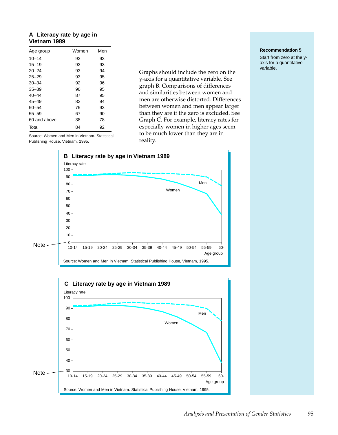#### **A Literacy rate by age in Vietnam 1989**

| Age group    | Women | Men |
|--------------|-------|-----|
| $10 - 14$    | 92    | 93  |
| $15 - 19$    | 92    | 93  |
| $20 - 24$    | 93    | 94  |
| $25 - 29$    | 93    | 95  |
| $30 - 34$    | 92    | 96  |
| $35 - 39$    | 90    | 95  |
| $40 - 44$    | 87    | 95  |
| $45 - 49$    | 82    | 94  |
| $50 - 54$    | 75    | 93  |
| $55 - 59$    | 67    | 90  |
| 60 and above | 38    | 78  |
| Total        | 84    | 92  |

Source: Women and Men in Vietnam. Statistical

Publishing House, Vietnam, 1995.

Graphs should include the zero on the y-axis for a quantitative variable. See graph B. Comparisons of differences and similarities between women and men are otherwise distorted. Differences between women and men appear larger than they are if the zero is excluded. See Graph C. For example, literacy rates for especially women in higher ages seem to be much lower than they are in reality.





#### **Recommendation 5**

Start from zero at the yaxis for a quantitative variable.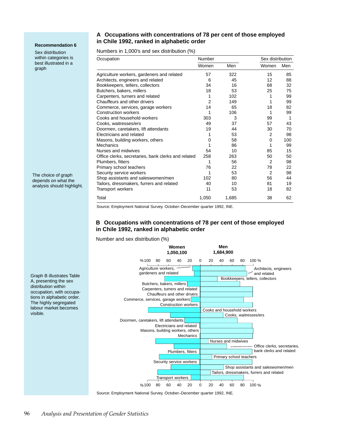#### **Recommendation 6**

Sex distribution within categories is best illustrated in a graph

The choice of graph depends on what the analysis should highlight.

#### **A Occupations with concentrations of 78 per cent of those employed in Chile 1992, ranked in alphabetic order**

Numbers in 1,000's and sex distribution (%)

| Occupation                                          | Number |       | Sex distribution |     |
|-----------------------------------------------------|--------|-------|------------------|-----|
|                                                     | Women  | Men   | Women            | Men |
| Agriculture workers, gardeners and related          | 57     | 322   | 15               | 85  |
| Architects, engineers and related                   | 6      | 45    | 12               | 88  |
| Bookkeepers, tellers, collectors                    | 34     | 16    | 68               | 32  |
| Butchers, bakers, millers                           | 18     | 53    | 25               | 75  |
| Carpenters, turners and related                     | 1      | 102   | 1                | 99  |
| Chauffeurs and other drivers                        | 2      | 149   | 1                | 99  |
| Commerce, services, garage workers                  | 14     | 65    | 18               | 82  |
| <b>Construction workers</b>                         | 1      | 106   | 1                | 99  |
| Cooks and household workers                         | 303    | 3     | 99               | 1   |
| Cooks, waitresses/ers                               | 49     | 37    | 57               | 43  |
| Doormen, caretakers, lift attendants                | 19     | 44    | 30               | 70  |
| Electricians and related                            | 1      | 53    | 2                | 98  |
| Masons, building workers, others                    | 0      | 58    | 0                | 100 |
| Mechanics                                           | 1      | 86    | 1                | 99  |
| Nurses and midwives                                 | 54     | 10    | 85               | 15  |
| Office clerks, secretaries, bank clerks and related | 258    | 263   | 50               | 50  |
| Plumbers, fitters                                   | 1      | 56    | 2                | 98  |
| Primary school teachers                             | 76     | 22    | 78               | 22  |
| Security service workers                            | 1      | 53    | $\overline{2}$   | 98  |
| Shop assistants and saleswomen/men                  | 102    | 80    | 56               | 44  |
| Tailors, dressmakers, furrers and related           | 40     | 10    | 81               | 19  |
| <b>Transport workers</b>                            | 11     | 53    | 18               | 82  |
| Total                                               | 1,050  | 1,685 | 38               | 62  |

Source: Employment National Survey. October–December quarter 1992, INE.

#### **B Occupations with concentrations of 78 per cent of those employed in Chile 1992, ranked in alphabetic order**

Number and sex distribution (%)



Source: Employment National Survey. October–December quarter 1992, INE.

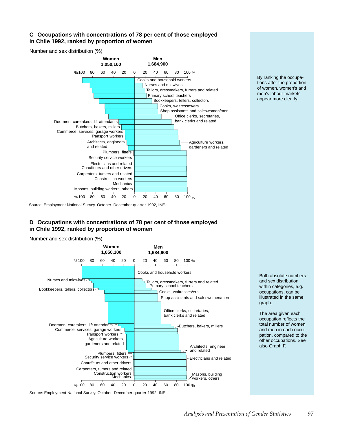#### **C Occupations with concentrations of 78 per cent of those employed in Chile 1992, ranked by proportion of women**

Number and sex distribution (%)



Source: Employment National Survey. October–December quarter 1992, INE.

#### **D Occupations with concentrations of 78 per cent of those employed in Chile 1992, ranked by proportion of women**

Number and sex distribution (%)



Source: Employment National Survey. October–December quarter 1992, INE.

By ranking the occupations after the proportion of women, women's and men's labour markets appear more clearly.

Both absolute numbers and sex distribution within categories, e.g. occupations, can be illustrated in the same graph.

The area given each occupation reflects the total number of women and men in each occupation, compared to the other occupations. See also Graph F.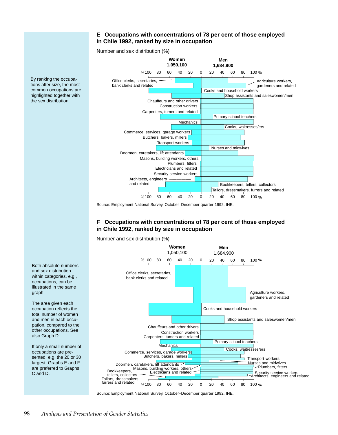#### **E Occupations with concentrations of 78 per cent of those employed in Chile 1992, ranked by size in occupation**

Number and sex distribution (%)



Source: Employment National Survey. October–December quarter 1992, INE.

#### **F Occupations with concentrations of 78 per cent of those employed in Chile 1992, ranked by size in occupation**



Source: Employment National Survey. October–December quarter 1992, INE.

By ranking the occupations after size, the most common occupations are highlighted together with the sex distribution.

Both absolute numbers and sex distribution within categories, e.g., occupations, can be illustrated in the same graph.

The area given each occupation reflects the total number of women and men in each occupation, compared to the other occupations. See also Graph D.

If only a small number of occupations are presented, e.g. the 20 or 30 largest, Graphs E and F are preferred to Graphs C and D.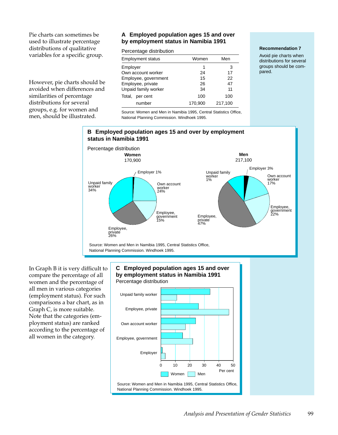Pie charts can sometimes be used to illustrate percentage distributions of qualitative variables for a specific group.

However, pie charts should be avoided when differences and similarities of percentage distributions for several groups, e.g. for women and men, should be illustrated.

#### **A Employed population ages 15 and over by employment status in Namibia 1991**

#### Percentage distribution

| <b>Employment status</b> | Women   | Men     |
|--------------------------|---------|---------|
| Employer                 | 1       | 3       |
| Own account worker       | 24      | 17      |
| Employee, government     | 15      | 22      |
| Employee, private        | 26      | 47      |
| Unpaid family worker     | 34      | 11      |
| Total.<br>per cent       | 100     | 100     |
| number                   | 170.900 | 217,100 |

Source: Women and Men in Namibia 1995, Central Statistics Office, National Planning Commission. Windhoek 1995.



In Graph B it is very difficult to compare the percentage of all women and the percentage of all men in various categories (employment status). For such comparisons a bar chart, as in Graph C, is more suitable. Note that the categories (employment status) are ranked according to the percentage of all women in the category.

#### **C Employed population ages 15 and over by employment status in Namibia 1991** Percentage distribution



#### **Recommendation 7**

Avoid pie charts when distributions for several groups should be compared.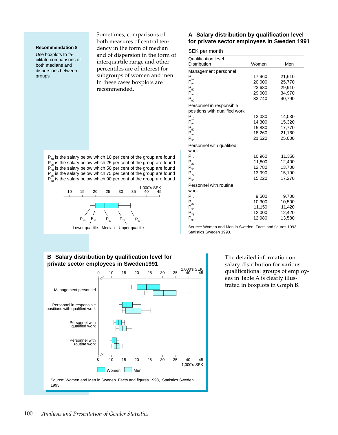#### **Recommendation 8**

Use boxplots to facilitate comparisons of both medians and dispersions between groups.

Sometimes, comparisons of both measures of central tendency in the form of median and of dispersion in the form of interquartile range and other percentiles are of interest for subgroups of women and men. In these cases boxplots are recommended.

#### **A Salary distribution by qualification level for private sector employees in Sweden 1991**

SEK per month

| JEN PEI IIIUIIIII                     |        |        |
|---------------------------------------|--------|--------|
| <b>Qualification level</b>            |        |        |
| <b>Distribution</b>                   | Women  | Men    |
| Management personnel                  |        |        |
| $P_{10}$                              | 17,960 | 21,610 |
| $\mathsf{P}_{\mathsf{25}}$            | 20,000 | 25,770 |
| $\mathsf{P}_{_{50}}$                  | 23,680 | 29,910 |
| $P_{75}$                              | 29,000 | 34,970 |
| $\mathsf{P}_{\mathsf{90}}$            | 33,740 | 40,790 |
| Personnel in responsible              |        |        |
| positions with qualified work         |        |        |
| $P_{10}$                              | 13,080 | 14,030 |
| $P_{25}$                              | 14,300 | 15,320 |
| $\mathsf{P}_{_{50}}$                  | 15,830 | 17,770 |
| $\mathsf{P}_{75}$                     | 18,260 | 21,160 |
| $\mathsf{P}_{\scriptscriptstyle{90}}$ | 21,520 | 25,000 |
| Personnel with qualified              |        |        |
| work                                  |        |        |
| $P_{10}$                              | 10,960 | 11,350 |
| $P_{25}$                              | 11,800 | 12,400 |
| $\mathsf{P}_{_{50}}$                  | 12,780 | 13,700 |
| $P_{75}$                              | 13,990 | 15,190 |
| $\mathsf{P}_{\mathsf{90}}$            | 15,220 | 17,270 |
| Personnel with routine                |        |        |
| work                                  |        |        |
| $P_{10}$                              | 9,500  | 9,700  |
| $\mathsf{P}_{\mathsf{25}}$            | 10,300 | 10,500 |
| $\mathsf{P}_{_{50}}$                  | 11,150 | 11,420 |
| $P_{75}$                              | 12,000 | 12,420 |
| $\mathsf{P}_{\scriptscriptstyle{90}}$ | 12,980 | 13,580 |

 $P_{10}$  is the salary below which 10 per cent of the group are found  $P_{10}$  is the salary below which 25 per cent of the group are found  $P_{25}^{\sim}$  is the salary below which 25 per cent of the group are found  $P_{50}$  is the salary below which 50 per cent of the group are found  $P_{75}^-$  is the salary below which 75 per cent of the group are found  $P_{90}$  is the salary below which 90 per cent of the group are found 1,000's SEK



Source: Women and Men in Sweden. Facts and figures 1993, Statistics Sweden 1993.



The detailed information on salary distribution for various qualificational groups of employees in Table A is clearly illustrated in boxplots in Graph B.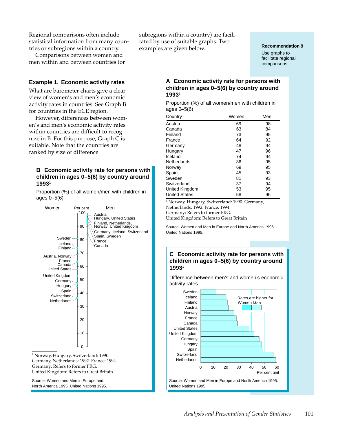Regional comparisons often include statistical information from many countries or subregions within a country.

Comparisons between women and men within and between countries (or

#### **Example 1. Economic activity rates**

What are barometer charts give a clear view of women's and men's economic activity rates in countries. See Graph B for countries in the ECE region.

However, differences between women's and men's economic activity rates within countries are difficult to recognize in B. For this purpose, Graph C is suitable. Note that the countries are ranked by size of difference.

#### **B Economic activity rate for persons with children in ages 0–5(6) by country around 1993**<sup>1</sup>

Proportion (%) of all women/men with children in ages 0–5(6)



subregions within a country) are facilitated by use of suitable graphs. Two examples are given below. **Recommendation 9** 

Use graphs to facilitate regional comparisons.

#### **A Economic activity rate for persons with children in ages 0–5(6) by country around 1993**<sup>1</sup>

Proportion (%) of all women/men with children in ages 0–5(6)

| Country              | Women | Men |
|----------------------|-------|-----|
| Austria              | 69    | 98  |
| Canada               | 63    | 84  |
| Finland              | 73    | 95  |
| France               | 64    | 92  |
| Germany              | 48    | 94  |
| Hungary              | 47    | 96  |
| Iceland              | 74    | 94  |
| <b>Netherlands</b>   | 36    | 95  |
| Norway               | 69    | 95  |
| Spain                | 45    | 93  |
| Sweden               | 81    | 93  |
| Switzerland          | 37    | 94  |
| United Kingdom       | 53    | 95  |
| <b>United States</b> | 58    | 96  |

<sup>1</sup> Norway, Hungary, Switzerland: 1990. Germany, Netherlands: 1992. France: 1994.

Germany: Refers to former FRG.

United Kingdom: Refers to Great Britain

Source: Women and Men in Europe and North America 1995. United Nations 1995.

#### **C Economic activity rate for persons with children in ages 0–5(6) by country around 1993**<sup>1</sup>

Difference between men's and women's economic activity rates

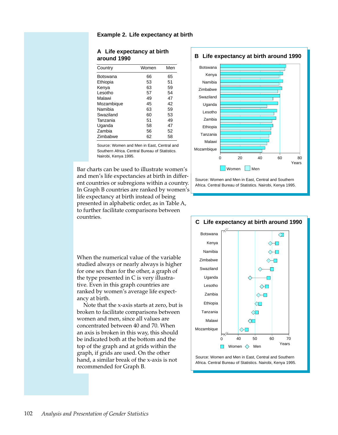#### **Example 2. Life expectancy at birth**

#### **A Life expectancy at birth around 1990**

| Country    | Women | Men |
|------------|-------|-----|
| Botswana   | 66    | 65  |
| Ethiopia   | 53    | 51  |
| Kenya      | 63    | 59  |
| Lesotho    | 57    | 54  |
| Malawi     | 49    | 47  |
| Mozambique | 45    | 42  |
| Namibia    | 63    | 59  |
| Swaziland  | 60    | 53  |
| Tanzania   | 51    | 49  |
| Uganda     | 58    | 47  |
| Zambia     | 56    | 52  |
| Zimbabwe   | 62    | 58  |
|            |       |     |

Source: Women and Men in East, Central and Southern Africa. Central Bureau of Statistics. Nairobi, Kenya 1995.

Bar charts can be used to illustrate women's and men's life expectancies at birth in different countries or subregions within a country. In Graph B countries are ranked by women's life expectancy at birth instead of being presented in alphabetic order, as in Table A, to further facilitate comparisons between countries.

When the numerical value of the variable studied always or nearly always is higher for one sex than for the other, a graph of the type presented in C is very illustrative. Even in this graph countries are ranked by women's average life expectancy at birth.

Note that the x-axis starts at zero, but is broken to facilitate comparisons between women and men, since all values are concentrated between 40 and 70. When an axis is broken in this way, this should be indicated both at the bottom and the top of the graph and at grids within the graph, if grids are used. On the other hand, a similar break of the x-axis is not recommended for Graph B.

**B Life expectancy at birth around 1990**







Source: Women and Men in East, Central and Southern Africa. Central Bureau of Statistics. Nairobi, Kenya 1995.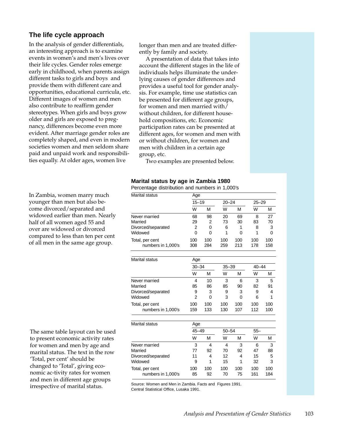#### **The life cycle approach**

In the analysis of gender differentials, an interesting approach is to examine events in women's and men's lives over their life cycles. Gender roles emerge early in childhood, when parents assign different tasks to girls and boys and provide them with different care and opportunities, educational curricula, etc. Different images of women and men also contribute to reaffirm gender stereotypes. When girls and boys grow older and girls are exposed to pregnancy, differences become even more evident. After marriage gender roles are completely shaped, and even in modern societies women and men seldom share paid and unpaid work and responsibilities equally. At older ages, women live

In Zambia, women marry much younger than men but also become divorced/separated and widowed earlier than men. Nearly half of all women aged 55 and over are widowed or divorced compared to less than ten per cent of all men in the same age group.

longer than men and are treated differently by family and society.

A presentation of data that takes into account the different stages in the life of individuals helps illuminate the underlying causes of gender differences and provides a useful tool for gender analysis. For example, time use statistics can be presented for different age groups, for women and men married with/ without children, for different household compositions, etc. Economic participation rates can be presented at different ages, for women and men with or without children, for women and men with children in a certain age group, etc.

Two examples are presented below.

#### **Marital status by age in Zambia 1980**

Percentage distribution and numbers in 1,000's

| Marital status                        |            | Age        |            |            |            |            |  |  |
|---------------------------------------|------------|------------|------------|------------|------------|------------|--|--|
|                                       |            | $15 - 19$  |            | $20 - 24$  |            | $25 - 29$  |  |  |
|                                       | W          | М          | W          | М          | W          | М          |  |  |
| Never married                         | 68         | 98         | 20         | 69         | 8          | 27         |  |  |
| Married                               | 29         | 2          | 73         | 30         | 83         | 70         |  |  |
| Divorced/separated                    | 2          | 0          | 6          | 1          | 8          | 3          |  |  |
| Widowed                               | 0          | 0          |            | 0          |            | 0          |  |  |
| Total, per cent<br>numbers in 1,000's | 100<br>308 | 100<br>284 | 100<br>259 | 100<br>213 | 100<br>178 | 100<br>158 |  |  |
|                                       |            |            |            |            |            |            |  |  |

| Marital status                        | Age        |            |            |            |            |            |  |
|---------------------------------------|------------|------------|------------|------------|------------|------------|--|
|                                       | $30 - 34$  |            | $35 - 39$  |            | -44        |            |  |
|                                       | W          | М          | W          | М          | w          | М          |  |
| Never married                         | 4          | 10         | 3          | 6          | 3          | 5          |  |
| Married                               | 85         | 86         | 85         | 90         | 82         | 91         |  |
| Divorced/separated                    | 9          | 3          | 9          | 3          | 9          | 4          |  |
| Widowed                               | 2          | 0          | 3          | 0          | 6          |            |  |
| Total, per cent<br>numbers in 1,000's | 100<br>159 | 100<br>133 | 100<br>130 | 100<br>107 | 100<br>112 | 100<br>100 |  |

| Marital status     | Age       |     |           |     |        |     |  |
|--------------------|-----------|-----|-----------|-----|--------|-----|--|
|                    | $45 - 49$ |     | $50 - 54$ |     | $55 -$ |     |  |
|                    | W         | М   | W         | м   | W      | М   |  |
| Never married      | 3         | 4   | 4         | 3   | 6      | 3   |  |
| Married            | 77        | 92  | 70        | 92  | 47     | 88  |  |
| Divorced/separated | 11        | 4   | 12        | 4   | 15     | 5   |  |
| Widowed            | 9         | 1   | 15        |     | 32     | 3   |  |
| Total, per cent    | 100       | 100 | 100       | 100 | 100    | 100 |  |
| numbers in 1,000's | 85        | 92  | 70        | 75  | 161    | 184 |  |

Source: Women and Men in Zambia. Facts and Figures 1991. Central Statistical Office, Lusaka 1991.

for women and men by age and marital status. The text in the row 'Total, per cent' should be changed to 'Total', giving economic ac-tivity rates for women and men in different age groups irrespective of marital status.

The same table layout can be used to present economic activity rates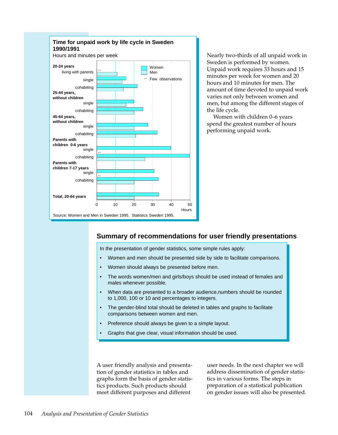

Nearly two-thirds of all unpaid work in Sweden is performed by women. Unpaid work requires 33 hours and 15 minutes per week for women and 20 hours and 10 minutes for men. The amount of time devoted to unpaid work varies not only between women and men, but among the different stages of the life cycle.

Women with children 0–6 years spend the greatest number of hours performing unpaid work.

#### **Summary of recommendations for user friendly presentations**

In the presentation of gender statistics, some simple rules apply:

- Women and men should be presented side by side to facilitate comparisons.
- Women should always be presented before men.
- The words women/men and girls/boys should be used instead of females and males whenever possible.
- When data are presented to a broader audience,numbers should be rounded to 1,000, 100 or 10 and percentages to integers.
- The gender-blind total should be deleted in tables and graphs to facilitate comparisons between women and men.
- Preference should always be given to a simple layout.
- Graphs that give clear, visual information should be used.

A user friendly analysis and presentation of gender statistics in tables and graphs form the basis of gender statistics products. Such products should meet different purposes and different

user needs. In the next chapter we will address dissemination of gender statistics in various forms. The steps in preparation of a statistical publication on gender issues will also be presented.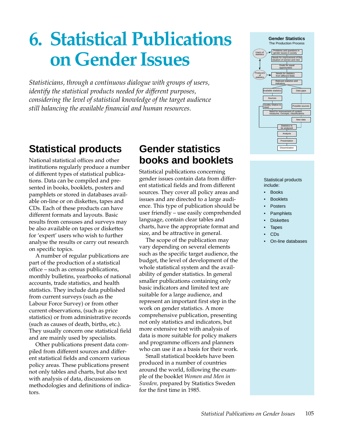# **6. Statistical Publications on Gender Issues**

*Statisticians, through a continuous dialogue with groups of users, identify the statistical products needed for different purposes, considering the level of statistical knowledge of the target audience still balancing the available financial and human resources.*

## **Statistical products**

National statistical offices and other institutions regularly produce a number of different types of statistical publications. Data can be compiled and presented in books, booklets, posters and pamphlets or stored in databases available on-line or on diskettes, tapes and CDs. Each of these products can have different formats and layouts. Basic results from censuses and surveys may be also available on tapes or diskettes for 'expert' users who wish to further analyse the results or carry out research on specific topics.

A number of regular publications are part of the production of a statistical office – such as census publications, monthly bulletins, yearbooks of national accounts, trade statistics, and health statistics. They include data published from current surveys (such as the Labour Force Survey) or from other current observations, (such as price statistics) or from administrative records (such as causes of death, births, etc.). They usually concern one statistical field and are mainly used by specialists.

Other publications present data compiled from different sources and different statistical fields and concern various policy areas. These publications present not only tables and charts, but also text with analysis of data, discussions on methodologies and definitions of indicators.

## **Gender statistics books and booklets**

Statistical publications concerning gender issues contain data from different statistical fields and from different sources. They cover all policy areas and issues and are directed to a large audience. This type of publication should be user friendly – use easily comprehended language, contain clear tables and charts, have the appropriate format and size, and be attractive in general.

The scope of the publication may vary depending on several elements such as the specific target audience, the budget, the level of development of the whole statistical system and the availability of gender statistics. In general smaller publications containing only basic indicators and limited text are suitable for a large audience, and represent an important first step in the work on gender statistics. A more comprehensive publication, presenting not only statistics and indicators, but more extensive text with analysis of data is more suitable for policy makers and programme officers and planners who can use it as a basis for their work.

Small statistical booklets have been produced in a number of countries around the world, following the example of the booklet *Women and Men in Sweden,* prepared by Statistics Sweden for the first time in 1985.



Statistical products include:

- Books
- Booklets
- **Posters**
- **Pamphlets**
- **Diskettes**
- **Tapes**
- CDs
- On-line databases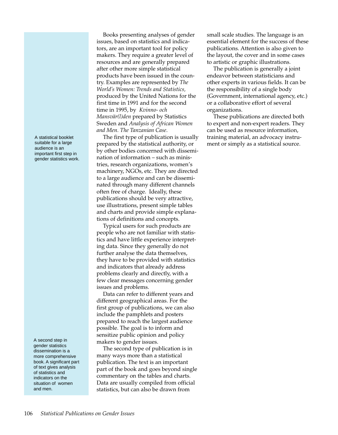A statistical booklet suitable for a large audience is an important first step in gender statistics work.

A second step in gender statistics dissemination is a more comprehensive book. A significant part of text gives analysis of statistics and indicators on the situation of women and men.

Books presenting analyses of gender issues, based on statistics and indicators, are an important tool for policy makers. They require a greater level of resources and are generally prepared after other more simple statistical products have been issued in the country. Examples are represented by *The World's Women: Trends and Statistics,* produced by the United Nations for the first time in 1991 and for the second time in 1995, by *Kvinno- och Mansvär(l)den* prepared by Statistics Sweden and *Analysis of African Women and Men. The Tanzanian Case*.

The first type of publication is usually prepared by the statistical authority, or by other bodies concerned with dissemination of information – such as ministries, research organizations, women's machinery, NGOs, etc. They are directed to a large audience and can be disseminated through many different channels often free of charge. Ideally, these publications should be very attractive, use illustrations, present simple tables and charts and provide simple explanations of definitions and concepts.

Typical users for such products are people who are not familiar with statistics and have little experience interpreting data. Since they generally do not further analyse the data themselves, they have to be provided with statistics and indicators that already address problems clearly and directly, with a few clear messages concerning gender issues and problems.

Data can refer to different years and different geographical areas. For the first group of publications, we can also include the pamphlets and posters prepared to reach the largest audience possible. The goal is to inform and sensitize public opinion and policy makers to gender issues.

The second type of publication is in many ways more than a statistical publication. The text is an important part of the book and goes beyond single commentary on the tables and charts. Data are usually compiled from official statistics, but can also be drawn from

small scale studies. The language is an essential element for the success of these publications. Attention is also given to the layout, the cover and in some cases to artistic or graphic illustrations.

The publication is generally a joint endeavor between statisticians and other experts in various fields. It can be the responsibility of a single body (Government, international agency, etc.) or a collaborative effort of several organizations.

These publications are directed both to expert and non-expert readers. They can be used as resource information, training material, an advocacy instrument or simply as a statistical source.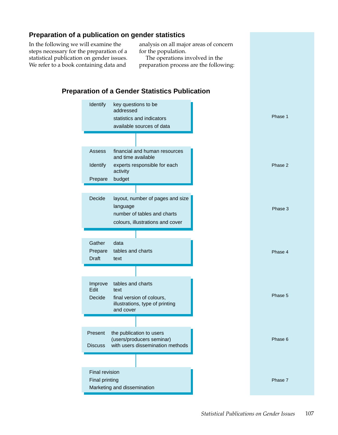#### **Preparation of a publication on gender statistics**

In the following we will examine the steps necessary for the preparation of a statistical publication on gender issues. We refer to a book containing data and

analysis on all major areas of concern for the population.

The operations involved in the preparation process are the following:

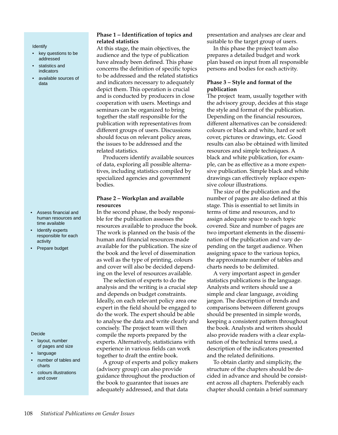#### **Identify**

- key questions to be addressed
- statistics and indicators
- available sources of data

- Assess financial and human resources and time available
- Identify experts responsible for each activity
- Prepare budget

#### Decide

- layout, number of pages and size
- language
- number of tables and charts
- colours illustrations and cover

#### **Phase 1 – Identification of topics and related statistics**

At this stage, the main objectives, the audience and the type of publication have already been defined. This phase concerns the definition of specific topics to be addressed and the related statistics and indicators necessary to adequately depict them. This operation is crucial and is conducted by producers in close cooperation with users. Meetings and seminars can be organized to bring together the staff responsible for the publication with representatives from different groups of users. Discussions should focus on relevant policy areas, the issues to be addressed and the related statistics.

Producers identify available sources of data, exploring all possible alternatives, including statistics compiled by specialized agencies and government bodies.

#### **Phase 2 – Workplan and available resources**

In the second phase, the body responsible for the publication assesses the resources available to produce the book. The work is planned on the basis of the human and financial resources made available for the publication. The size of the book and the level of dissemination as well as the type of printing, colours and cover will also be decided depending on the level of resources available.

The selection of experts to do the analysis and the writing is a crucial step and depends on budget constraints. Ideally, on each relevant policy area one expert in the field should be engaged to do the work. The expert should be able to analyse the data and write clearly and concisely. The project team will then compile the reports prepared by the experts. Alternatively, statisticians with experience in various fields can work together to draft the entire book.

A group of experts and policy makers (advisory group) can also provide guidance throughout the production of the book to guarantee that issues are adequately addressed, and that data

presentation and analyses are clear and suitable to the target group of users.

In this phase the project team also prepares a detailed budget and work plan based on input from all responsible persons and bodies for each activity.

#### **Phase 3 – Style and format of the publication**

The project team, usually together with the advisory group, decides at this stage the style and format of the publication. Depending on the financial resources, different alternatives can be considered: colours or black and white, hard or soft cover, pictures or drawings, etc. Good results can also be obtained with limited resources and simple techniques. A black and white publication, for example, can be as effective as a more expensive publication. Simple black and white drawings can effectively replace expensive colour illustrations.

The size of the publication and the number of pages are also defined at this stage. This is essential to set limits in terms of time and resources, and to assign adequate space to each topic covered. Size and number of pages are two important elements in the dissemination of the publication and vary depending on the target audience. When assigning space to the various topics, the approximate number of tables and charts needs to be delimited.

A very important aspect in gender statistics publications is the language. Analysts and writers should use a simple and clear language, avoiding jargon. The description of trends and comparisons between different groups should be presented in simple words, keeping a consistent pattern throughout the book. Analysts and writers should also provide readers with a clear explanation of the technical terms used, a description of the indicators presented and the related definitions.

To obtain clarity and simplicity, the structure of the chapters should be decided in advance and should be consistent across all chapters. Preferably each chapter should contain a brief summary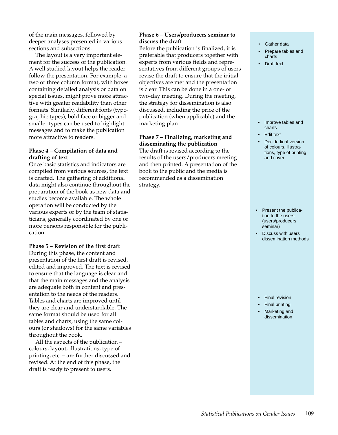of the main messages, followed by deeper analyses presented in various sections and subsections.

The layout is a very important element for the success of the publication. A well studied layout helps the reader follow the presentation. For example, a two or three column format, with boxes containing detailed analysis or data on special issues, might prove more attractive with greater readability than other formats. Similarly, different fonts (typographic types), bold face or bigger and smaller types can be used to highlight messages and to make the publication more attractive to readers.

#### **Phase 4 – Compilation of data and drafting of text**

Once basic statistics and indicators are compiled from various sources, the text is drafted. The gathering of additional data might also continue throughout the preparation of the book as new data and studies become available. The whole operation will be conducted by the various experts or by the team of statisticians, generally coordinated by one or more persons responsible for the publication.

#### **Phase 5 – Revision of the first draft**

During this phase, the content and presentation of the first draft is revised, edited and improved. The text is revised to ensure that the language is clear and that the main messages and the analysis are adequate both in content and presentation to the needs of the readers. Tables and charts are improved until they are clear and understandable. The same format should be used for all tables and charts, using the same colours (or shadows) for the same variables throughout the book.

All the aspects of the publication – colours, layout, illustrations, type of printing, etc. – are further discussed and revised. At the end of this phase, the draft is ready to present to users.

#### **Phase 6 – Users/producers seminar to discuss the draft**

Before the publication is finalized, it is preferable that producers together with experts from various fields and representatives from different groups of users revise the draft to ensure that the initial objectives are met and the presentation is clear. This can be done in a one- or two-day meeting. During the meeting, the strategy for dissemination is also discussed, including the price of the publication (when applicable) and the marketing plan.

#### **Phase 7 – Finalizing, marketing and disseminating the publication**

The draft is revised according to the results of the users/producers meeting and then printed. A presentation of the book to the public and the media is recommended as a dissemination strategy.

- Gather data
- Prepare tables and charts
- Draft text

- Improve tables and charts
- Edit text
- Decide final version of colours, illustrations, type of printing and cover

- Present the publication to the users (users/producers seminar)
- Discuss with users dissemination methods

- Final revision
- Final printing
- Marketing and dissemination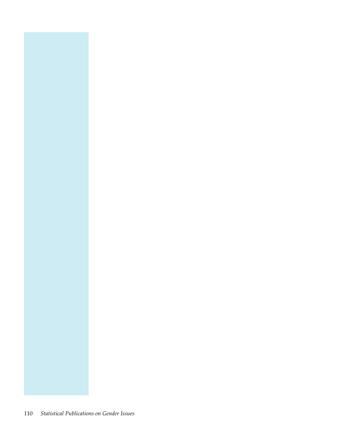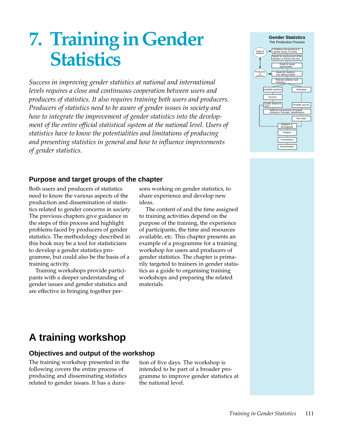## **7. Training in Gender Statistics**

*Success in improving gender statistics at national and international levels requires a close and continuous cooperation between users and producers of statistics. It also requires training both users and producers. Producers of statistics need to be aware of gender issues in society and how to integrate the improvement of gender statistics into the development of the entire official statistical system at the national level. Users of statistics have to know the potentialities and limitations of producing and presenting statistics in general and how to influence improvements of gender statistics.*

#### **Purpose and target groups of the chapter**

Both users and producers of statistics need to know the various aspects of the production and dissemination of statistics related to gender concerns in society. The previous chapters give guidance in the steps of this process and highlight problems faced by producers of gender statistics. The methodology described in this book may be a tool for statisticians to develop a gender statistics programme, but could also be the basis of a training activity.

Training workshops provide participants with a deeper understanding of gender issues and gender statistics and are effective in bringing together per-

sons working on gender statistics, to share experience and develop new ideas.

The content of and the time assigned to training activities depend on the purpose of the training, the experience of participants, the time and resources available, etc. This chapter presents an example of a programme for a training workshop for users and producers of gender statistics. The chapter is primarily targeted to trainers in gender statistics as a guide to organising training workshops and preparing the related materials.



## **A training workshop**

#### **Objectives and output of the workshop**

The training workshop presented in the following covers the entire process of producing and disseminating statistics related to gender issues. It has a dura-

tion of five days. The workshop is intended to be part of a broader programme to improve gender statistics at the national level.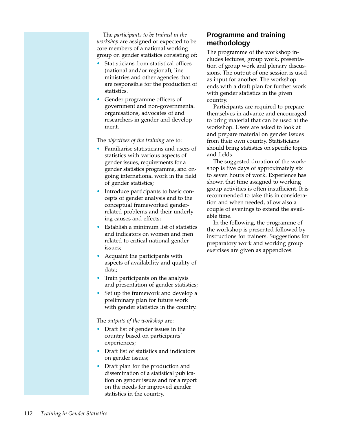The *participants to be trained in the workshop* are assigned or expected to be core members of a national working group on gender statistics consisting of:

- Statisticians from statistical offices (national and/or regional), line ministries and other agencies that are responsible for the production of statistics.
- Gender programme officers of government and non-governmental organisations, advocates of and researchers in gender and development.

The *objectives of the training* are to:

- Familiarise statisticians and users of statistics with various aspects of gender issues, requirements for a gender statistics programme, and ongoing international work in the field of gender statistics;
- Introduce participants to basic concepts of gender analysis and to the conceptual frameworked genderrelated problems and their underlying causes and effects;
- Establish a minimum list of statistics and indicators on women and men related to critical national gender issues;
- Acquaint the participants with aspects of availability and quality of data;
- Train participants on the analysis and presentation of gender statistics;
- Set up the framework and develop a preliminary plan for future work with gender statistics in the country.

The *outputs of the workshop* are:

- Draft list of gender issues in the country based on participants' experiences;
- Draft list of statistics and indicators on gender issues;
- Draft plan for the production and dissemination of a statistical publication on gender issues and for a report on the needs for improved gender statistics in the country.

#### **Programme and training methodology**

The programme of the workshop includes lectures, group work, presentation of group work and plenary discussions. The output of one session is used as input for another. The workshop ends with a draft plan for further work with gender statistics in the given country.

Participants are required to prepare themselves in advance and encouraged to bring material that can be used at the workshop. Users are asked to look at and prepare material on gender issues from their own country. Statisticians should bring statistics on specific topics and fields.

The suggested duration of the workshop is five days of approximately six to seven hours of work. Experience has shown that time assigned to working group activities is often insufficient. It is recommended to take this in consideration and when needed, allow also a couple of evenings to extend the available time.

In the following, the programme of the workshop is presented followed by instructions for trainers. Suggestions for preparatory work and working group exercises are given as appendices.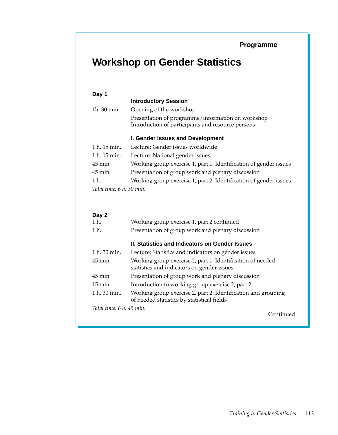### **Programme**

## **Workshop on Gender Statistics**

#### **Day 1**

|                          | <b>Introductory Session</b>                                                                            |
|--------------------------|--------------------------------------------------------------------------------------------------------|
| 1h. 30 min.              | Opening of the workshop                                                                                |
|                          | Presentation of programme/information on workshop<br>Introduction of participants and resource persons |
|                          | I. Gender Issues and Development                                                                       |
| 1 h. 15 min.             | Lecture: Gender issues worldwide                                                                       |
| 1 h. 15 min.             | Lecture: National gender issues                                                                        |
| $45 \,\mathrm{min}$ .    | Working group exercise 1, part 1: Identification of gender issues                                      |
| $45 \,\mathrm{min}$ .    | Presentation of group work and plenary discussion                                                      |
| 1 h.                     | Working group exercise 1, part 2: Identification of gender issues                                      |
| Total time: 6 h, 30 min. |                                                                                                        |

#### **Day 2**

| 1 h.                     | Working group exercise 1, part 2 continued                                                                  |
|--------------------------|-------------------------------------------------------------------------------------------------------------|
| 1 h.                     | Presentation of group work and plenary discussion                                                           |
|                          | <b>II. Statistics and Indicators on Gender Issues</b>                                                       |
| 1 h. 30 min.             | Lecture: Statistics and indicators on gender issues                                                         |
| $45 \,\mathrm{min}$ .    | Working group exercise 2, part 1: Identification of needed<br>statistics and indicators on gender issues    |
| $45 \,\mathrm{min}$ .    | Presentation of group work and plenary discussion                                                           |
| $15 \,\mathrm{min}$ .    | Introduction to working group exercise 2, part 2                                                            |
| 1 h. 30 min.             | Working group exercise 2, part 2: Identification and grouping<br>of needed statistics by statistical fields |
| Total time: 6 h. 45 min. |                                                                                                             |
|                          | Continued                                                                                                   |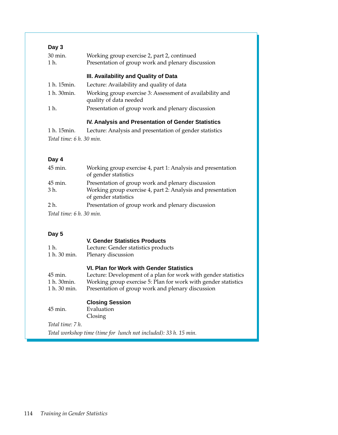| Day 3<br>30 min.<br>1 h. | Working group exercise 2, part 2, continued<br>Presentation of group work and plenary discussion |
|--------------------------|--------------------------------------------------------------------------------------------------|
|                          | III. Availability and Quality of Data                                                            |
| 1 h. 15min.              | Lecture: Availability and quality of data                                                        |
| 1 h. 30 min.             | Working group exercise 3: Assessment of availability and<br>quality of data needed               |
| 1 h.                     | Presentation of group work and plenary discussion                                                |
|                          | <b>IV. Analysis and Presentation of Gender Statistics</b>                                        |

1 h. 15min. Lecture: Analysis and presentation of gender statistics *Total time: 6 h. 30 min.*

#### **Day 4**

| $45 \,\mathrm{min}$ .         | Working group exercise 4, part 1: Analysis and presentation<br>of gender statistics                                                      |
|-------------------------------|------------------------------------------------------------------------------------------------------------------------------------------|
| $45 \,\mathrm{min}$ .<br>3 h. | Presentation of group work and plenary discussion<br>Working group exercise 4, part 2: Analysis and presentation<br>of gender statistics |
| 2 h.                          | Presentation of group work and plenary discussion                                                                                        |

*Total time: 6 h. 30 min.*

#### **Day 5**

#### **V. Gender Statistics Products** 1 h. Lecture: Gender statistics products<br>1 h. 30 min. Plenary discussion Plenary discussion

#### **VI. Plan for Work with Gender Statistics**

| 45 min.      | Lecture: Development of a plan for work with gender statistics |
|--------------|----------------------------------------------------------------|
| 1 h. 30 min. | Working group exercise 5: Plan for work with gender statistics |
| 1 h. 30 min. | Presentation of group work and plenary discussion              |

#### **Closing Session**

45 min. Evaluation

Closing

#### *Total time: 7 h.*

*Total workshop time (time for lunch not included): 33 h. 15 min.*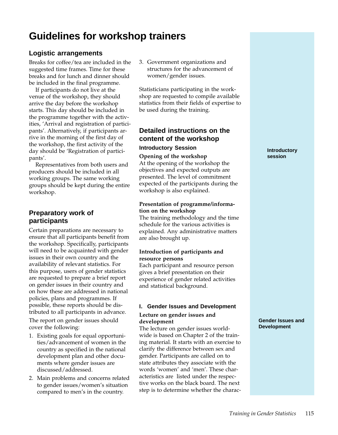## **Guidelines for workshop trainers**

#### **Logistic arrangements**

Breaks for coffee/tea are included in the suggested time frames. Time for these breaks and for lunch and dinner should be included in the final programme.

If participants do not live at the venue of the workshop, they should arrive the day before the workshop starts. This day should be included in the programme together with the activities, 'Arrival and registration of participants'. Alternatively, if participants arrive in the morning of the first day of the workshop, the first activity of the day should be 'Registration of participants'.

Representatives from both users and producers should be included in all working groups. The same working groups should be kept during the entire workshop.

#### **Preparatory work of participants**

Certain preparations are necessary to ensure that all participants benefit from the workshop. Specifically, participants will need to be acquainted with gender issues in their own country and the availability of relevant statistics. For this purpose, users of gender statistics are requested to prepare a brief report on gender issues in their country and on how these are addressed in national policies, plans and programmes. If possible, these reports should be distributed to all participants in advance.

The report on gender issues should cover the following:

- 1. Existing goals for equal opportunities/advancement of women in the country as specified in the national development plan and other documents where gender issues are discussed/addressed.
- 2. Main problems and concerns related to gender issues/women's situation compared to men's in the country.

3. Government organizations and structures for the advancement of women/gender issues.

Statisticians participating in the workshop are requested to compile available statistics from their fields of expertise to be used during the training.

#### **Detailed instructions on the content of the workshop Introductory Session**

#### **Opening of the workshop**

At the opening of the workshop the objectives and expected outputs are presented. The level of commitment expected of the participants during the workshop is also explained.

#### **Presentation of programme/information on the workshop**

The training methodology and the time schedule for the various activities is explained. Any administrative matters are also brought up.

#### **Introduction of participants and resource persons**

Each participant and resource person gives a brief presentation on their experience of gender related activities and statistical background.

#### **I. Gender Issues and Development**

#### **Lecture on gender issues and development**

The lecture on gender issues worldwide is based on Chapter 2 of the training material. It starts with an exercise to clarify the difference between sex and gender. Participants are called on to state attributes they associate with the words 'women' and 'men'. These characteristics are listed under the respective works on the black board. The next step is to determine whether the charac**Introductory session**

**Gender Issues and Development**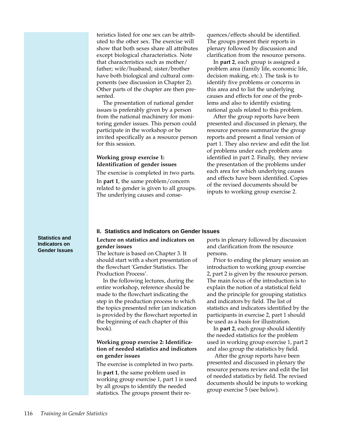teristics listed for one sex can be attributed to the other sex. The exercise will show that both sexes share all attributes except biological characteristics. Note that characteristics such as mother/ father; wife/husband; sister/brother have both biological and cultural components (see discussion in Chapter 2). Other parts of the chapter are then presented.

The presentation of national gender issues is preferably given by a person from the national machinery for monitoring gender issues. This person could participate in the workshop or be invited specifically as a resource person for this session.

#### **Working group exercise 1: Identification of gender issues**

The exercise is completed in two parts.

In **part 1**, the same problem/concern related to gender is given to all groups. The underlying causes and conse-

quences/effects should be identified. The groups present their reports in plenary followed by discussion and clarification from the resource persons.

In **part 2**, each group is assigned a problem area (family life, economic life, decision making, etc.). The task is to identify five problems or concerns in this area and to list the underlying causes and effects for one of the problems and also to identify existing national goals related to this problem.

After the group reports have been presented and discussed in plenary, the resource persons summarize the group reports and present a final version of part 1. They also review and edit the list of problems under each problem area identified in part 2. Finally, they review the presentation of the problems under each area for which underlying causes and effects have been identified. Copies of the revised documents should be inputs to working group exercise 2.

#### **II. Statistics and Indicators on Gender Issues**

#### **Lecture on statistics and indicators on gender issues**

The lecture is based on Chapter 3. It should start with a short presentation of the flowchart 'Gender Statistics. The Production Process'.

In the following lectures, during the entire workshop, reference should be made to the flowchart indicating the step in the production process to which the topics presented refer (an indication is provided by the flowchart reported in the beginning of each chapter of this book).

#### **Working group exercise 2: Identification of needed statistics and indicators on gender issues**

The exercise is completed in two parts.

In **part 1**, the same problem used in working group exercise 1, part 1 is used by all groups to identify the needed statistics. The groups present their reports in plenary followed by discussion and clarification from the resource persons.

Prior to ending the plenary session an introduction to working group exercise 2, part 2 is given by the resource person. The main focus of the introduction is to explain the notion of a statistical field and the principle for grouping statistics and indicators by field. The list of statistics and indicators identified by the participants in exercise 2, part 1 should be used as a basis for illustration.

In **part 2**, each group should identify the needed statistics for the problem used in working group exercise 1, part 2 and also group the statistics by field.

After the group reports have been presented and discussed in plenary the resource persons review and edit the list of needed statistics by field. The revised documents should be inputs to working group exercise 5 (see below).

**Statistics and Indicators on Gender Issues**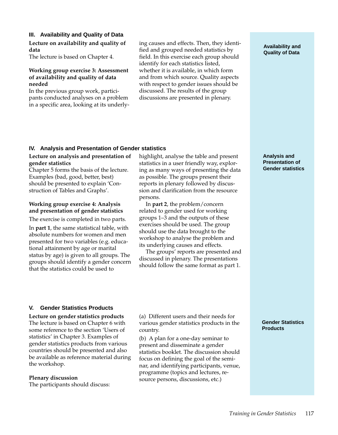#### **III. Availability and Quality of Data**

#### **Lecture on availability and quality of data**

The lecture is based on Chapter 4.

#### **Working group exercise 3: Assessment of availability and quality of data needed**

In the previous group work, participants conducted analyses on a problem in a specific area, looking at its underlying causes and effects. Then, they identified and grouped needed statistics by field. In this exercise each group should identify for each statistics listed, whether it is available, in which form and from which source. Quality aspects with respect to gender issues should be discussed. The results of the group discussions are presented in plenary.

**Availability and Quality of Data**

#### **IV. Analysis and Presentation of Gender statistics**

#### **Lecture on analysis and presentation of gender statistics**

Chapter 5 forms the basis of the lecture. Examples (bad, good, better, best) should be presented to explain 'Construction of Tables and Graphs'.

#### **Working group exercise 4: Analysis and presentation of gender statistics**

The exercise is completed in two parts.

In **part 1**, the same statistical table, with absolute numbers for women and men presented for two variables (e.g. educational attainment by age or marital status by age) is given to all groups. The groups should identify a gender concern that the statistics could be used to

highlight, analyse the table and present statistics in a user friendly way, exploring as many ways of presenting the data as possible. The groups present their reports in plenary followed by discussion and clarification from the resource persons.

In **part 2**, the problem/concern related to gender used for working groups 1–3 and the outputs of these exercises should be used. The group should use the data brought to the workshop to analyse the problem and its underlying causes and effects.

The groups' reports are presented and discussed in plenary. The presentations should follow the same format as part 1.

**Analysis and Presentation of Gender statistics**

#### **V. Gender Statistics Products**

**Lecture on gender statistics products** The lecture is based on Chapter 6 with some reference to the section 'Users of statistics' in Chapter 3. Examples of gender statistics products from various countries should be presented and also be available as reference material during the workshop.

#### **Plenary discussion**

The participants should discuss:

(a) Different users and their needs for various gender statistics products in the country.

(b) A plan for a one-day seminar to present and disseminate a gender statistics booklet. The discussion should focus on defining the goal of the seminar, and identifying participants, venue, programme (topics and lectures, resource persons, discussions, etc.)

**Gender Statistics Products**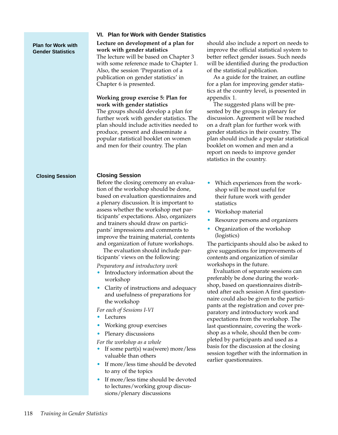|                                                | VI. Plan for Work with Gender Statistics                                                                                                                                                                                                                                                                                                                                                                                                                                                                                                                                                                                                                                                                                                                                                                                                                                                                                                                                                                                                                                                 |                                                                                                                                                                                                                                                                                                                                                                                                                                                                                                                                                                                                                                                                                                                                                                                                                                                                                                                                                                            |
|------------------------------------------------|------------------------------------------------------------------------------------------------------------------------------------------------------------------------------------------------------------------------------------------------------------------------------------------------------------------------------------------------------------------------------------------------------------------------------------------------------------------------------------------------------------------------------------------------------------------------------------------------------------------------------------------------------------------------------------------------------------------------------------------------------------------------------------------------------------------------------------------------------------------------------------------------------------------------------------------------------------------------------------------------------------------------------------------------------------------------------------------|----------------------------------------------------------------------------------------------------------------------------------------------------------------------------------------------------------------------------------------------------------------------------------------------------------------------------------------------------------------------------------------------------------------------------------------------------------------------------------------------------------------------------------------------------------------------------------------------------------------------------------------------------------------------------------------------------------------------------------------------------------------------------------------------------------------------------------------------------------------------------------------------------------------------------------------------------------------------------|
| Plan for Work with<br><b>Gender Statistics</b> | Lecture on development of a plan for<br>work with gender statistics<br>The lecture will be based on Chapter 3<br>with some reference made to Chapter 1.<br>Also, the session 'Preparation of a<br>publication on gender statistics' in<br>Chapter 6 is presented.<br>Working group exercise 5: Plan for<br>work with gender statistics<br>The groups should develop a plan for<br>further work with gender statistics. The<br>plan should include activities needed to<br>produce, present and disseminate a<br>popular statistical booklet on women<br>and men for their country. The plan                                                                                                                                                                                                                                                                                                                                                                                                                                                                                              | should also include a report on needs to<br>improve the official statistical system to<br>better reflect gender issues. Such needs<br>will be identified during the production<br>of the statistical publication.<br>As a guide for the trainer, an outline<br>for a plan for improving gender statis-<br>tics at the country level, is presented in<br>appendix 1.<br>The suggested plans will be pre-<br>sented by the groups in plenary for<br>discussion. Agreement will be reached<br>on a draft plan for further work with<br>gender statistics in their country. The<br>plan should include a popular statistical<br>booklet on women and men and a<br>report on needs to improve gender<br>statistics in the country.                                                                                                                                                                                                                                              |
| <b>Closing Session</b>                         | <b>Closing Session</b><br>Before the closing ceremony an evalua-<br>tion of the workshop should be done,<br>based on evaluation questionnaires and<br>a plenary discussion. It is important to<br>assess whether the workshop met par-<br>ticipants' expectations. Also, organizers<br>and trainers should draw on partici-<br>pants' impressions and comments to<br>improve the training material, contents<br>and organization of future workshops.<br>The evaluation should include par-<br>ticipants' views on the following:<br>Preparatory and introductory work<br>Introductory information about the<br>workshop<br>Clarity of instructions and adequacy<br>and usefulness of preparations for<br>the workshop<br>For each of Sessions I-VI<br>Lectures<br>Working group exercises<br>Plenary discussions<br>For the workshop as a whole<br>If some part(s) was (were) more/less<br>valuable than others<br>If more/less time should be devoted<br>to any of the topics<br>If more/less time should be devoted<br>to lectures/working group discus-<br>sions/plenary discussions | Which experiences from the work-<br>٠<br>shop will be most useful for<br>their future work with gender<br>statistics<br>Workshop material<br>Resource persons and organizers<br>Organization of the workshop<br>(logistics)<br>The participants should also be asked to<br>give suggestions for improvements of<br>contents and organization of similar<br>workshops in the future.<br>Evaluation of separate sessions can<br>preferably be done during the work-<br>shop, based on questionnaires distrib-<br>uted after each session A first question-<br>naire could also be given to the partici-<br>pants at the registration and cover pre-<br>paratory and introductory work and<br>expectations from the workshop. The<br>last questionnaire, covering the work-<br>shop as a whole, should then be com-<br>pleted by participants and used as a<br>basis for the discussion at the closing<br>session together with the information in<br>earlier questionnaires. |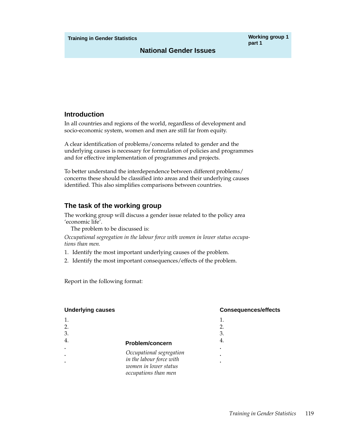#### **National Gender Issues**

#### **Introduction**

In all countries and regions of the world, regardless of development and socio-economic system, women and men are still far from equity.

A clear identification of problems/concerns related to gender and the underlying causes is necessary for formulation of policies and programmes and for effective implementation of programmes and projects.

To better understand the interdependence between different problems/ concerns these should be classified into areas and their underlying causes identified. This also simplifies comparisons between countries.

#### **The task of the working group**

The working group will discuss a gender issue related to the policy area 'economic life'.

The problem to be discussed is:

*Occupational segregation in the labour force with women in lower status occupations than men.*

1. Identify the most important underlying causes of the problem.

2. Identify the most important consequences/effects of the problem.

Report in the following format:

#### **Underlying causes**

#### **Consequences/effects**

| 2. |                                                      | 2. |
|----|------------------------------------------------------|----|
| 3. |                                                      | 3. |
|    | Problem/concern                                      | 4. |
|    | Occupational segregation<br>in the labour force with |    |
|    | women in lower status<br>occupations than men        |    |
|    |                                                      |    |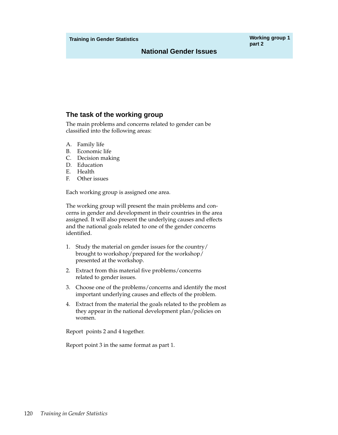**Training in Gender Statistics Working group 1** 

**part 2**

#### **National Gender Issues**

#### **The task of the working group**

The main problems and concerns related to gender can be classified into the following areas:

- A. Family life
- B. Economic life
- C. Decision making
- D. Education
- E. Health
- F. Other issues

Each working group is assigned one area.

The working group will present the main problems and concerns in gender and development in their countries in the area assigned. It will also present the underlying causes and effects and the national goals related to one of the gender concerns identified.

- 1. Study the material on gender issues for the country/ brought to workshop/prepared for the workshop/ presented at the workshop.
- 2. Extract from this material five problems/concerns related to gender issues.
- 3. Choose one of the problems/concerns and identify the most important underlying causes and effects of the problem.
- 4. Extract from the material the goals related to the problem as they appear in the national development plan/policies on women.

Report points 2 and 4 together.

Report point 3 in the same format as part 1.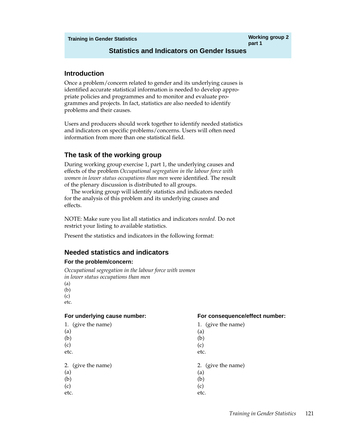#### **Statistics and Indicators on Gender Issues**

#### **Introduction**

Once a problem/concern related to gender and its underlying causes is identified accurate statistical information is needed to develop appropriate policies and programmes and to monitor and evaluate programmes and projects. In fact, statistics are also needed to identify problems and their causes.

Users and producers should work together to identify needed statistics and indicators on specific problems/concerns. Users will often need information from more than one statistical field.

#### **The task of the working group**

During working group exercise 1, part 1, the underlying causes and effects of the problem *Occupational segregation in the labour force with women in lower status occupations than men* were identified. The result of the plenary discussion is distributed to all groups.

The working group will identify statistics and indicators needed for the analysis of this problem and its underlying causes and effects.

NOTE: Make sure you list all statistics and indicators *needed*. Do not restrict your listing to available statistics.

Present the statistics and indicators in the following format:

#### **Needed statistics and indicators**

#### **For the problem/concern:**

*Occupational segregation in the labour force with women in lower status occupations than men* (a)

(b)

(c) etc.

### **For underlying cause number:**

#### **For consequence/effect number:**

1. (give the name) (a) (b) (c) etc. 2. (give the name) (a) (b) (c) etc. 1. (give the name) (a) (b) (c) etc. 2. (give the name) (a) (b) (c) etc.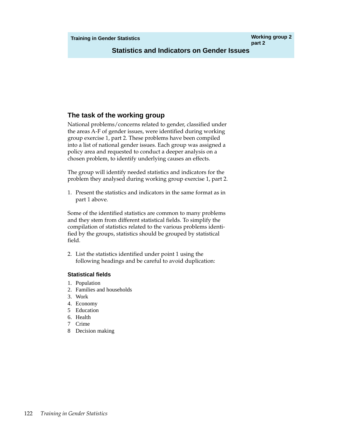**Statistics and Indicators on Gender Issues**

#### **The task of the working group**

National problems/concerns related to gender, classified under the areas A-F of gender issues, were identified during working group exercise 1, part 2. These problems have been compiled into a list of national gender issues. Each group was assigned a policy area and requested to conduct a deeper analysis on a chosen problem, to identify underlying causes an effects.

The group will identify needed statistics and indicators for the problem they analysed during working group exercise 1, part 2.

1. Present the statistics and indicators in the same format as in part 1 above.

Some of the identified statistics are common to many problems and they stem from different statistical fields. To simplify the compilation of statistics related to the various problems identified by the groups, statistics should be grouped by statistical field.

2. List the statistics identified under point 1 using the following headings and be careful to avoid duplication:

#### **Statistical fields**

- 1. Population
- 2. Families and households
- 3. Work
- 4. Economy
- 5 Education
- 6. Health
- 7 Crime
- 8 Decision making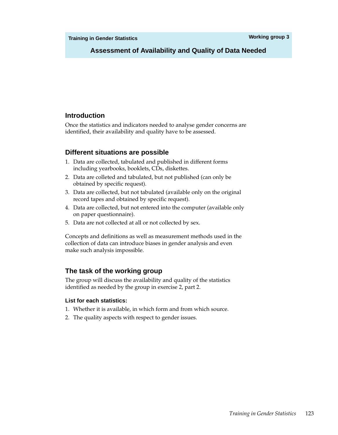#### **Assessment of Availability and Quality of Data Needed**

#### **Introduction**

Once the statistics and indicators needed to analyse gender concerns are identified, their availability and quality have to be assessed.

#### **Different situations are possible**

- 1. Data are collected, tabulated and published in different forms including yearbooks, booklets, CDs, diskettes.
- 2. Data are colleted and tabulated, but not published (can only be obtained by specific request).
- 3. Data are collected, but not tabulated (available only on the original record tapes and obtained by specific request).
- 4. Data are collected, but not entered into the computer (available only on paper questionnaire).
- 5. Data are not collected at all or not collected by sex.

Concepts and definitions as well as measurement methods used in the collection of data can introduce biases in gender analysis and even make such analysis impossible.

#### **The task of the working group**

The group will discuss the availability and quality of the statistics identified as needed by the group in exercise 2, part 2.

#### **List for each statistics:**

- 1. Whether it is available, in which form and from which source.
- 2. The quality aspects with respect to gender issues.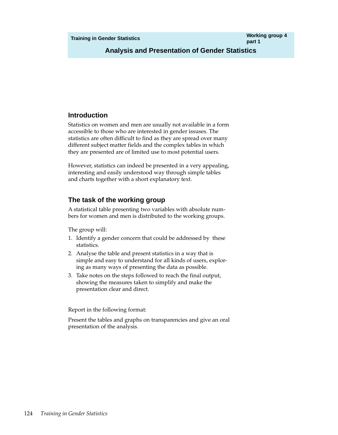**Analysis and Presentation of Gender Statistics**

#### **Introduction**

Statistics on women and men are usually not available in a form accessible to those who are interested in gender issuses. The statistics are often difficult to find as they are spread over many different subject matter fields and the complex tables in which they are presented are of limited use to most potential users.

However, statistics can indeed be presented in a very appealing, interesting and easily understood way through simple tables and charts together with a short explanatory text.

#### **The task of the working group**

A statistical table presenting two variables with absolute numbers for women and men is distributed to the working groups.

The group will:

- 1. Identify a gender concern that could be addressed by these statistics.
- 2. Analyse the table and present statistics in a way that is simple and easy to understand for all kinds of users, exploring as many ways of presenting the data as possible.
- 3. Take notes on the steps followed to reach the final output, showing the measures taken to simplify and make the presentation clear and direct.

Report in the following format:

Present the tables and graphs on transparencies and give an oral presentation of the analysis.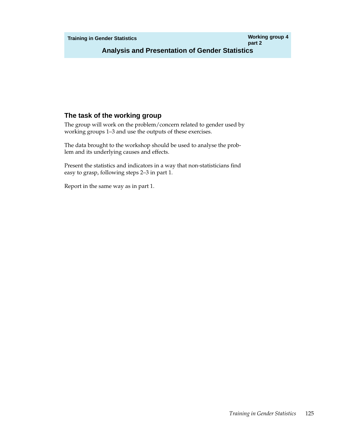**Analysis and Presentation of Gender Statistics**

#### **The task of the working group**

The group will work on the problem/concern related to gender used by working groups 1–3 and use the outputs of these exercises.

The data brought to the workshop should be used to analyse the problem and its underlying causes and effects.

Present the statistics and indicators in a way that non-statisticians find easy to grasp, following steps 2–3 in part 1.

Report in the same way as in part 1.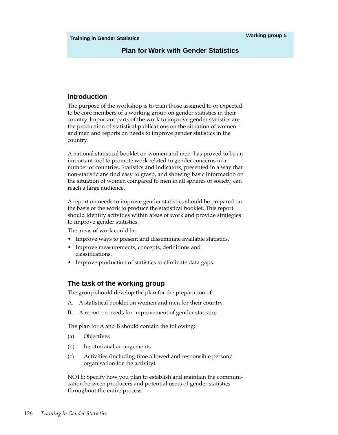## **Plan for Work with Gender Statistics Plan for Work with Gender Statistics**

#### **Introduction**

The purpose of the workshop is to train those assigned to or expected to be core members of a working group on gender statistics in their country. Important parts of the work to improve gender statistics are the production of statistical publications on the situation of women and men and reports on needs to improve gender statistics in the country.

A national statistical booklet on women and men has proved to be an important tool to promote work related to gender concerns in a number of countries. Statistics and indicators, presented in a way that non-statisticians find easy to grasp, and showing basic information on the situation of women compared to men in all spheres of society, can reach a large audience.

A report on needs to improve gender statistics should be prepared on the basis of the work to produce the statistical booklet. This report should identify activities within areas of work and provide strategies to improve gender statistics.

The areas of work could be:

- Improve ways to present and disseminate available statistics.
- Improve measurements, concepts, definitions and classifications.
- Improve production of statistics to eliminate data gaps.

#### **The task of the working group**

The group should develop the plan for the preparation of:

- A. A statistical booklet on women and men for their country.
- B. A report on needs for improvement of gender statistics.

The plan for A and B should contain the following:

- (a) Objectives
- (b) Institutional arrangements
- (c) Activities (including time allowed and responsible person/ organisation for the activity).

NOTE: Specify how you plan to establish and maintain the communication between producers and potential users of gender statistics throughout the entire process.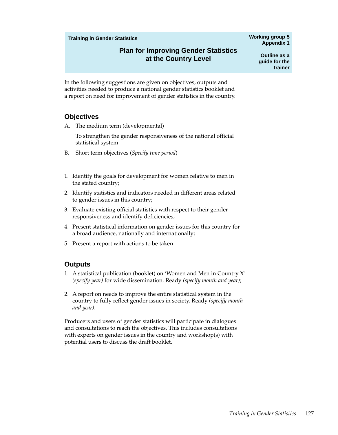**Training in Gender Statistics**

#### **Plan for Improving Gender Statistics at the Country Level**

**Working group 5 Appendix 1**

> **Outline as a guide for the trainer**

In the following suggestions are given on objectives, outputs and activities needed to produce a national gender statistics booklet and a report on need for improvement of gender statistics in the country.

#### **Objectives**

A. The medium term (developmental)

To strengthen the gender responsiveness of the national official statistical system

- B. Short term objectives (*Specify time period*)
- 1. Identify the goals for development for women relative to men in the stated country;
- 2. Identify statistics and indicators needed in different areas related to gender issues in this country;
- 3. Evaluate existing official statistics with respect to their gender responsiveness and identify deficiencies;
- 4. Present statistical information on gender issues for this country for a broad audience, nationally and internationally;
- 5. Present a report with actions to be taken.

#### **Outputs**

- 1. A statistical publication (booklet) on 'Women and Men in Country X*' (specify year)* for wide dissemination. Ready *(specify month and year)*;
- 2. A report on needs to improve the entire statistical system in the country to fully reflect gender issues in society. Ready *(specify month and year)*.

Producers and users of gender statistics will participate in dialogues and consultations to reach the objectives. This includes consultations with experts on gender issues in the country and workshop(s) with potential users to discuss the draft booklet.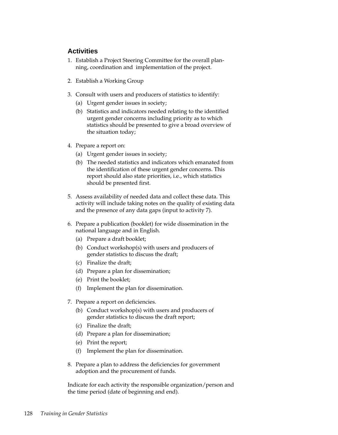#### **Activities**

- 1. Establish a Project Steering Committee for the overall planning, coordination and implementation of the project.
- 2. Establish a Working Group
- 3. Consult with users and producers of statistics to identify:
	- (a) Urgent gender issues in society;
	- (b) Statistics and indicators needed relating to the identified urgent gender concerns including priority as to which statistics should be presented to give a broad overview of the situation today;
- 4. Prepare a report on:
	- (a) Urgent gender issues in society;
	- (b) The needed statistics and indicators which emanated from the identification of these urgent gender concerns. This report should also state priorities, i.e., which statistics should be presented first.
- 5. Assess availability of needed data and collect these data. This activity will include taking notes on the quality of existing data and the presence of any data gaps (input to activity 7).
- 6. Prepare a publication (booklet) for wide dissemination in the national language and in English.
	- (a) Prepare a draft booklet;
	- (b) Conduct workshop(s) with users and producers of gender statistics to discuss the draft;
	- (c) Finalize the draft;
	- (d) Prepare a plan for dissemination;
	- (e) Print the booklet;
	- (f) Implement the plan for dissemination.
- 7. Prepare a report on deficiencies.
	- (b) Conduct workshop(s) with users and producers of gender statistics to discuss the draft report;
	- (c) Finalize the draft;
	- (d) Prepare a plan for dissemination;
	- (e) Print the report;
	- (f) Implement the plan for dissemination.
- 8. Prepare a plan to address the deficiencies for government adoption and the procurement of funds.

Indicate for each activity the responsible organization/person and the time period (date of beginning and end).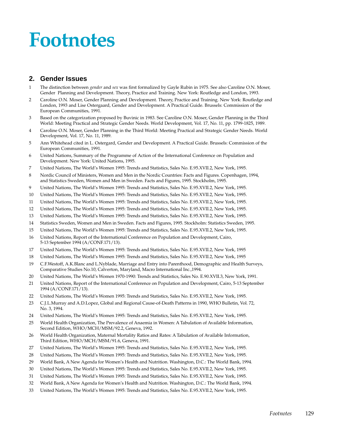## **Footnotes**

#### **2. Gender Issues**

- 1 The distinction between *gender* and *sex* was first formalized by Gayle Rubin in 1975. See also Caroline O.N. Moser, Gender Planning and Development. Theory, Practice and Training. New York: Routledge and London, 1993.
- 2 Caroline O.N. Moser, Gender Planning and Development. Theory, Practice and Training. New York: Routledge and London, 1993 and Lise Ostergaard, Gender and Development. A Practical Guide. Brussels: Commission of the European Communities, 1991.
- 3 Based on the categorization proposed by Buvinic in 1983. See Caroline O.N. Moser, Gender Planning in the Third World: Meeting Practical and Strategic Gender Needs. World Development, Vol. 17, No. 11, pp. 1799-1825, 1989.
- 4 Caroline O.N. Moser, Gender Planning in the Third World: Meeting Practical and Strategic Gender Needs. World Development, Vol. 17, No. 11, 1989.
- 5 Ann Whitehead cited in L. Ostergard, Gender and Development. A Practical Guide. Brussels: Commission of the European Communities, 1991.
- 6 United Nations, Summary of the Programme of Action of the International Conference on Population and Development. New York: United Nations, 1995.
- 7 United Nations, The World's Women 1995: Trends and Statistics, Sales No. E.95.XVII.2, New York, 1995.
- 8 Nordic Council of Ministers, Women and Men in the Nordic Countries: Facts and Figures. Copenhagen, 1994, and Statistics Sweden, Women and Men in Sweden. Facts and Figures, 1995. Stockholm, 1995.
- 9 United Nations, The World's Women 1995: Trends and Statistics, Sales No. E.95.XVII.2, New York, 1995.
- 10 United Nations, The World's Women 1995: Trends and Statistics, Sales No. E.95.XVII.2, New York, 1995.
- 11 United Nations, The World's Women 1995: Trends and Statistics, Sales No. E.95.XVII.2, New York, 1995.
- 12 United Nations, The World's Women 1995: Trends and Statistics, Sales No. E.95.XVII.2, New York, 1995.
- 13 United Nations, The World's Women 1995: Trends and Statistics, Sales No. E.95.XVII.2, New York, 1995.
- 14 Statistics Sweden, Women and Men in Sweden. Facts and Figures, 1995. Stockholm: Statistics Sweden, 1995.
- 15 United Nations, The World's Women 1995: Trends and Statistics, Sales No. E.95.XVII.2, New York, 1995.
- 16 United Nations, Report of the International Conference on Population and Development, Cairo, 5-13 September 1994 (A/CONF.171/13).
- 17 United Nations, The World's Women 1995: Trends and Statistics, Sales No. E.95.XVII.2, New York, 1995
- 18 United Nations, The World's Women 1995: Trends and Statistics, Sales No. E.95.XVII.2, New York, 1995
- 19 C.F.Westoff, A.K.Blanc and L.Nyblade, Marriage and Entry into Parenthood, Demographic and Health Surveys, Comparative Studies No.10, Calverton, Maryland, Macro International Inc.,1994.
- 20 United Nations, The World's Women 1970-1990: Trends and Statistics, Sales No. E.90.XVII.3, New York, 1991.
- 21 United Nations, Report of the International Conference on Population and Development, Cairo, 5-13 September 1994 (A/CONF.171/13).
- 22 United Nations, The World's Women 1995: Trends and Statistics, Sales No. E.95.XVII.2, New York, 1995.
- 23 C.J.L.Murray and A.D.Lopez, Global and Regional Cause-of-Death Patterns in 1990, WHO Bulletin, Vol. 72, No. 3, 1994.
- 24 United Nations, The World's Women 1995: Trends and Statistics, Sales No. E.95.XVII.2, New York, 1995.
- 25 World Health Organization, The Prevalence of Anaemia in Women: A Tabulation of Available Information, Second Edition, WHO/MCH/MSM/92.2, Geneva, 1992.
- 26 World Health Organization, Maternal Mortality Ratios and Rates: A Tabulation of Available Information, Third Edition, WHO/MCH/MSM/91.6, Geneva, 1991.
- 27 United Nations, The World's Women 1995: Trends and Statistics, Sales No. E.95.XVII.2, New York, 1995.
- 28 United Nations, The World's Women 1995: Trends and Statistics, Sales No. E.95.XVII.2, New York, 1995.
- 29 World Bank, A New Agenda for Women's Health and Nutrition. Washington, D.C.: The World Bank, 1994.
- 30 United Nations, The World's Women 1995: Trends and Statistics, Sales No. E.95.XVII.2, New York, 1995.
- 31 United Nations, The World's Women 1995: Trends and Statistics, Sales No. E.95.XVII.2, New York, 1995.
- 32 World Bank, A New Agenda for Women's Health and Nutrition. Washington, D.C.: The World Bank, 1994.
- 33 United Nations, The World's Women 1995: Trends and Statistics, Sales No. E.95.XVII.2, New York, 1995.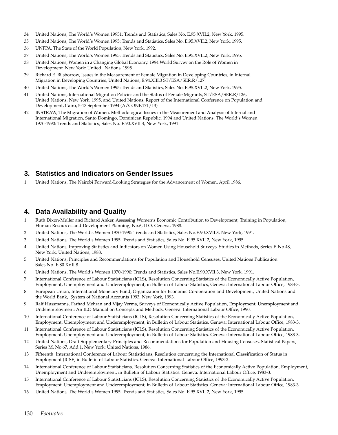- 34 United Nations, The World's Women 19951: Trends and Statistics, Sales No. E.95.XVII.2, New York, 1995.
- 35 United Nations, The World's Women 1995: Trends and Statistics, Sales No. E.95.XVII.2, New York, 1995.
- 36 UNFPA, The State of the World Population, New York, 1992.
- 37 United Nations, The World's Women 1995: Trends and Statistics, Sales No. E.95.XVII.2, New York, 1995.
- 38 United Nations, Women in a Changing Global Economy. 1994 World Survey on the Role of Women in Development. New York: United Nations, 1995.
- 39 Richard E. Bilsborrow, Issues in the Measurement of Female Migration in Developing Countries, in Internal Migration in Developing Countries, United Nations, E.94.XIII.3 ST/ESA/SER.R/127.
- 40 United Nations, The World's Women 1995: Trends and Statistics, Sales No. E.95.XVII.2, New York, 1995.
- 41 United Nations, International Migration Policies and the Status of Female Migrants, ST/ESA/SER.R/126, United Nations, New York, 1995, and United Nations, Report of the International Conference on Population and Development, Cairo, 5-13 September 1994 (A/CONF.171/13)
- 42 INSTRAW, The Migration of Women. Methodological Issues in the Measurement and Analysis of Internal and International Migration, Santo Domingo, Dominican Republic, 1994 and United Nations, The World's Women 1970-1990: Trends and Statistics, Sales No. E.90.XVII.3, New York, 1991.

#### **3. Statistics and Indicators on Gender Issues**

1 United Nations, The Nairobi Forward-Looking Strategies for the Advancement of Women, April 1986.

#### **4. Data Availability and Quality**

- 1 Ruth Dixon-Muller and Richard Anker, Assessing Women's Economic Contribution to Development, Training in Population, Human Resources and Development Planning, No.6, ILO, Geneva, 1988.
- 2 United Nations, The World's Women 1970-1990: Trends and Statistics, Sales No.E.90.XVII.3, New York, 1991.
- 3 United Nations, The World's Women 1995: Trends and Statistics, Sales No. E.95.XVII.2, New York, 1995.
- 4 United Nations, Improving Statistics and Indicators on Women Using Household Surveys. Studies in Methods, Series F. No.48, New York: United Nations, 1988.
- 5 United Nations, Principles and Recommendations for Population and Household Censuses, United Nations Publication Sales No. E.80.XVII.8.
- 6 United Nations, The World's Women 1970-1990: Trends and Statistics, Sales No.E.90.XVII.3, New York, 1991.
- 7 International Conference of Labour Statisticians (ICLS), Resolution Concerning Statistics of the Economically Active Population, Employment, Unemployment and Underemployment, in Bulletin of Labour Statistics, Geneva: International Labour Office, 1983-3.
- 8 European Union, International Monetary Fund, Organization for Economic Co-operation and Development, United Nations and the World Bank, System of National Accounts 1993, New York, 1993.
- 9 Ralf Hussmanns, Farhad Mehran and Vijay Verma, Surveys of Economically Active Population, Employment, Unemployment and Underemployment: An ILO Manual on Concepts and Methods. Geneva: International Labour Office, 1990.
- 10 International Conference of Labour Statisticians (ICLS), Resolution Concerning Statistics of the Economically Active Population, Employment, Unemployment and Underemployment, in Bulletin of Labour Statistics. Geneva: International Labour Office, 1983-3.
- 11 International Conference of Labour Statisticians (ICLS), Resolution Concerning Statistics of the Economically Active Population, Employment, Unemployment and Underemployment, in Bulletin of Labour Statistics. Geneva: International Labour Office, 1983-3.
- 12 United Nations, Draft Supplementary Principles and Recommendations for Population and Housing Censuses. Statistical Papers, Series M, No.67, Add.1, New York: United Nations, 1986.
- 13 Fifteenth International Conference of Labour Statisticians, Resolution concerning the International Classification of Status in Employment (ICSE, in Bulletin of Labour Statistics. Geneva: International Labour Office, 1993-2.
- 14 International Conference of Labour Statisticians, Resolution Concerning Statistics of the Economically Active Population, Employment, Unemployment and Underemployment, in Bulletin of Labour Statistics. Geneva: International Labour Office, 1983-3.
- 15 International Conference of Labour Statisticians (ICLS), Resolution Concerning Statistics of the Economically Active Population, Employment, Unemployment and Underemployment, in Bulletin of Labour Statistics. Geneva: International Labour Office, 1983-3.
- 16 United Nations, The World's Women 1995: Trends and Statistics, Sales No. E.95.XVII.2, New York, 1995.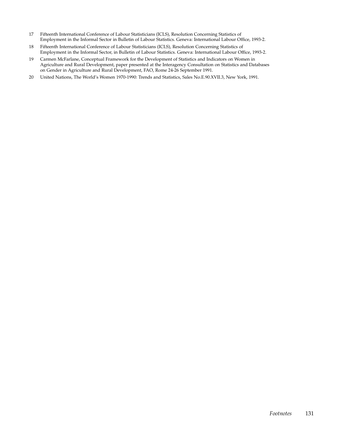- 17 Fifteenth International Conference of Labour Statisticians (ICLS), Resolution Concerning Statistics of Employment in the Informal Sector in Bulletin of Labour Statistics. Geneva: International Labour Office, 1993-2.
- 18 Fifteenth International Conference of Labour Statisticians (ICLS), Resolution Concerning Statistics of Employment in the Informal Sector, in Bulletin of Labour Statistics. Geneva: International Labour Office, 1993-2.
- 19 Carmen McFarlane, Conceptual Framework for the Development of Statistics and Indicators on Women in Agriculture and Rural Development, paper presented at the Interagency Consultation on Statistics and Databases on Gender in Agriculture and Rural Development, FAO, Rome 24-26 September 1991.
- 20 United Nations, The World's Women 1970-1990: Trends and Statistics, Sales No.E.90.XVII.3, New York, 1991.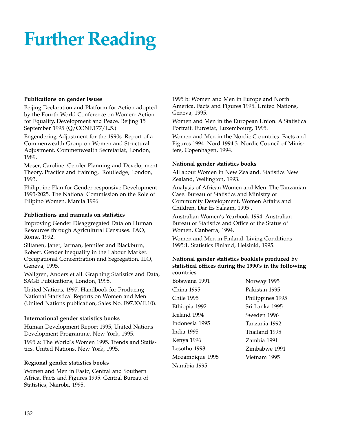# **Further Reading**

#### **Publications on gender issues**

Beijing Declaration and Platform for Action adopted by the Fourth World Conference on Women: Action for Equality, Development and Peace. Beijing 15 September 1995 (Q/CONF.177/L.5.).

Engendering Adjustment for the 1990s. Report of a Commenwealth Group on Women and Structural Adjustment. Commenwealth Secretariat, London, 1989.

Moser, Caroline. Gender Planning and Development. Theory, Practice and training, Routledge, London, 1993.

Philippine Plan for Gender-responsive Development 1995-2025. The National Commission on the Role of Filipino Women. Manila 1996.

#### **Publications and manuals on statistics**

Improving Gender Disaggregated Data on Human Resources through Agricultural Censuses. FAO, Rome, 1992.

Siltanen, Janet, Jarman, Jennifer and Blackburn, Robert. Gender Inequality in the Labour Market. Occupational Concentration and Segregation. ILO, Geneva, 1995.

Wallgren, Anders et all. Graphing Statistics and Data, SAGE Publications, London, 1995.

United Nations, 1997. Handbook for Producing National Statistical Reports on Women and Men (United Nations publication, Sales No. E97.XVII.10).

#### **International gender statistics books**

Human Development Report 1995, United Nations Development Programme, New York, 1995.

1995 a: The World's Women 1995. Trends and Statistics. United Nations, New York, 1995.

#### **Regional gender statistics books**

Women and Men in Eastc, Central and Southern Africa. Facts and Figures 1995. Central Bureau of Statistics, Nairobi, 1995.

1995 b: Women and Men in Europe and North America. Facts and Figures 1995. United Nations, Geneva, 1995.

Women and Men in the European Union. A Statistical Portrait. Eurostat, Luxembourg, 1995.

Women and Men in the Nordic C ountries. Facts and Figures 1994. Nord 1994:3. Nordic Council of Ministers, Copenhagen, 1994.

#### **National gender statistics books**

All about Women in New Zealand. Statistics New Zealand, Wellington, 1993.

Analysis of African Women and Men. The Tanzanian Case. Bureau of Statistics and Ministry of Community Development, Women Affairs and Children, Dar Es Salaam, 1995 .

Australian Women's Yearbook 1994. Australian Bureau of Statistics and Office of the Status of Women, Canberra, 1994.

Women and Men in Finland. Living Conditions 1995:1. Statistics Finland, Helsinki, 1995.

#### **National gender statistics booklets produced by statistical offices during the 1990's in the following countries**

| Botswana 1991   | Norway 1995      |
|-----------------|------------------|
| China 1995      | Pakistan 1995    |
| Chile 1995      | Philippines 1995 |
| Ethiopia 1992   | Sri Lanka 1995   |
| Iceland 1994    | Sweden 1996      |
| Indonesia 1995  | Tanzania 1992    |
| India 1995      | Thailand 1995    |
| Kenya 1996      | Zambia 1991      |
| Lesotho 1993    | Zimbabwe 1991    |
| Mozambique 1995 | Vietnam 1995     |
| Namibia 1995    |                  |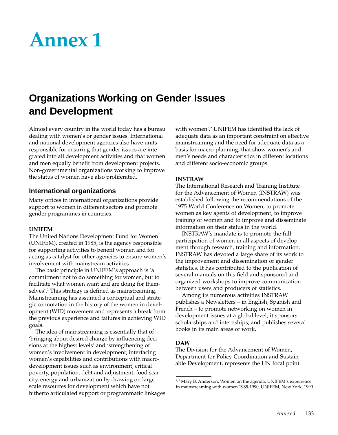## **Annex 1**

## **Organizations Working on Gender Issues and Development**

Almost every country in the world today has a bureau dealing with women's or gender issues. International and national development agencies also have units responsible for ensuring that gender issues are integrated into all development activities and that women and men equally benefit from development projects. Non-governmental organizations working to improve the status of women have also proliferated.

#### **International organizations**

Many offices in international organizations provide support to women in different sectors and promote gender programmes in countries.

#### **UNIFEM**

The United Nations Development Fund for Women (UNIFEM), created in 1985, is the agency responsible for supporting activities to benefit women and for acting as catalyst for other agencies to ensure women's involvement with mainstream activities.

The basic principle in UNIFEM's approach is 'a commitment not to do something for women, but to facilitate what women want and are doing for themselves'. <sup>1</sup> This strategy is defined as mainstreaming. Mainstreaming has assumed a conceptual and strategic connotation in the history of the women in development (WID) movement and represents a break from the previous experience and failures in achieving WID goals.

The idea of mainstreaming is essentially that of 'bringing about desired change by influencing decisions at the highest levels' and 'strengthening of women's involvement in development; interfacing women's capabilities and contributions with macrodevelopment issues such as environment, critical poverty, population, debt and adjustment, food scarcity, energy and urbanization by drawing on large scale resources for development which have not hitherto articulated support or programmatic linkages

with women'. <sup>2</sup> UNIFEM has identified the lack of adequate data as an important constraint on effective mainstreaming and the need for adequate data as a basis for macro-planning, that show women's and men's needs and characteristics in different locations and different socio-economic groups.

#### **INSTRAW**

The International Research and Training Institute for the Advancement of Women (INSTRAW) was established following the recommendations of the 1975 World Conference on Women, to promote women as key agents of development, to improve training of women and to improve and disseminate information on their status in the world.

INSTRAW's mandate is to promote the full participation of women in all aspects of development through research, training and information. INSTRAW has devoted a large share of its work to the improvement and dissemination of gender statistics. It has contributed to the publication of several manuals on this field and sponsored and organized workshops to improve communication between users and producers of statistics.

Among its numerous activities INSTRAW publishes a Newsletters – in English, Spanish and French – to promote networking on women in development issues at a global level; it sponsors scholarships and internships; and publishes several books in its main areas of work.

#### **DAW**

The Division for the Advancement of Women, Department for Policy Coordination and Sustainable Development, represents the UN focal point

<sup>&</sup>lt;sup>1,2</sup> Mary B. Anderson, Women on the agenda: UNIFEM's experience in mainstreaming with women 1985-1990, UNIFEM, New York, 1990.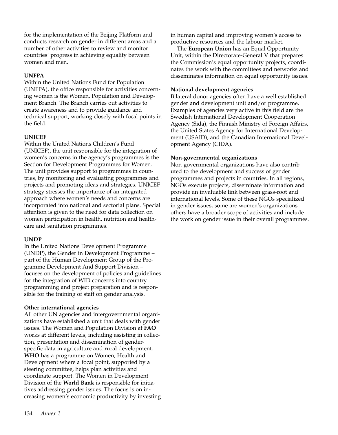for the implementation of the Beijing Platform and conducts research on gender in different areas and a number of other activities to review and monitor countries' progress in achieving equality between women and men.

#### **UNFPA**

Within the United Nations Fund for Population (UNFPA), the office responsible for activities concerning women is the Women, Population and Development Branch. The Branch carries out activities to create awareness and to provide guidance and technical support, working closely with focal points in the field.

#### **UNICEF**

Within the United Nations Children's Fund (UNICEF), the unit responsible for the integration of women's concerns in the agency's programmes is the Section for Development Programmes for Women. The unit provides support to programmes in countries, by monitoring and evaluating programmes and projects and promoting ideas and strategies. UNICEF strategy stresses the importance of an integrated approach where women's needs and concerns are incorporated into national and sectorial plans. Special attention is given to the need for data collection on women participation in health, nutrition and healthcare and sanitation programmes.

#### **UNDP**

In the United Nations Development Programme (UNDP), the Gender in Development Programme – part of the Human Development Group of the Programme Development And Support Division – focuses on the development of policies and guidelines for the integration of WID concerns into country programming and project preparation and is responsible for the training of staff on gender analysis.

#### **Other international agencies**

All other UN agencies and intergovernmental organizations have established a unit that deals with gender issues. The Women and Population Division at **FAO** works at different levels, including assisting in collection, presentation and dissemination of genderspecific data in agriculture and rural development. **WHO** has a programme on Women, Health and Development where a focal point, supported by a steering committee, helps plan activities and coordinate support. The Women in Development Division of the **World Bank** is responsible for initiatives addressing gender issues. The focus is on increasing women's economic productivity by investing in human capital and improving women's access to productive resources and the labour market.

The **European Union** has an Equal Opportunity Unit, within the Directorate-General V that prepares the Commission's equal opportunity projects, coordinates the work with the committees and networks and disseminates information on equal opportunity issues.

#### **National development agencies**

Bilateral donor agencies often have a well established gender and development unit and/or programme. Examples of agencies very active in this field are the Swedish International Development Cooperation Agency (Sida), the Finnish Ministry of Foreign Affairs, the United States Agency for International Development (USAID), and the Canadian International Development Agency (CIDA).

#### **Non-governmental organizations**

Non-governmental organizations have also contributed to the development and success of gender programmes and projects in countries. In all regions, NGOs execute projects, disseminate information and provide an invaluable link between grass-root and international levels. Some of these NGOs specialized in gender issues, some are women's organizations. others have a broader scope of activities and include the work on gender issue in their overall programmes.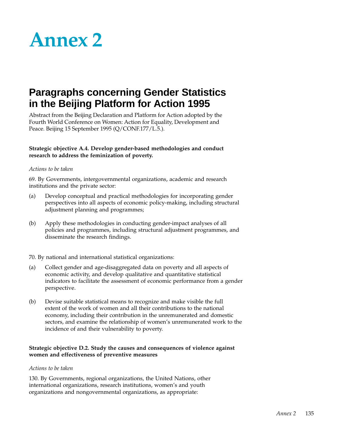

### **Paragraphs concerning Gender Statistics in the Beijing Platform for Action 1995**

Abstract from the Beijing Declaration and Platform for Action adopted by the Fourth World Conference on Women: Action for Equality, Development and Peace. Beijing 15 September 1995 (Q/CONF.177/L.5.).

#### **Strategic objective A.4. Develop gender-based methodologies and conduct research to address the feminization of poverty.**

#### *Actions to be taken*

69. By Governments, intergovernmental organizations, academic and research institutions and the private sector:

- (a) Develop conceptual and practical methodologies for incorporating gender perspectives into all aspects of economic policy-making, including structural adjustment planning and programmes;
- (b) Apply these methodologies in conducting gender-impact analyses of all policies and programmes, including structural adjustment programmes, and disseminate the research findings.

70. By national and international statistical organizations:

- (a) Collect gender and age-disaggregated data on poverty and all aspects of economic activity, and develop qualitative and quantitative statistical indicators to facilitate the assessment of economic performance from a gender perspective.
- (b) Devise suitable statistical means to recognize and make visible the full extent of the work of women and all their contributions to the national economy, including their contribution in the unremunerated and domestic sectors, and examine the relationship of women's unremunerated work to the incidence of and their vulnerability to poverty.

#### **Strategic objective D.2. Study the causes and consequences of violence against women and effectiveness of preventive measures**

#### *Actions to be taken*

130. By Governments, regional organizations, the United Nations, other international organizations, research institutions, women's and youth organizations and nongovernmental organizations, as appropriate: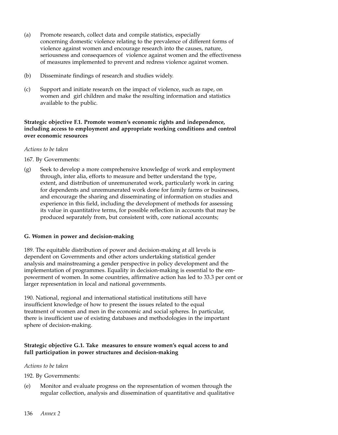- (a) Promote research, collect data and compile statistics, especially concerning domestic violence relating to the prevalence of different forms of violence against women and encourage research into the causes, nature, seriousness and consequences of violence against women and the effectiveness of measures implemented to prevent and redress violence against women.
- (b) Disseminate findings of research and studies widely.
- (c) Support and initiate research on the impact of violence, such as rape, on women and girl children and make the resulting information and statistics available to the public.

#### **Strategic objective F.1. Promote women's economic rights and independence, including access to employment and appropriate working conditions and control over economic resources**

#### *Actions to be taken*

- 167. By Governments:
- (g) Seek to develop a more comprehensive knowledge of work and employment through, inter alia, efforts to measure and better understand the type, extent, and distribution of unremunerated work, particularly work in caring for dependents and unremunerated work done for family farms or businesses, and encourage the sharing and disseminating of information on studies and experience in this field, including the development of methods for assessing its value in quantitative terms, for possible reflection in accounts that may be produced separately from, but consistent with, core national accounts;

#### **G. Women in power and decision-making**

189. The equitable distribution of power and decision-making at all levels is dependent on Governments and other actors undertaking statistical gender analysis and mainstreaming a gender perspective in policy development and the implementation of programmes. Equality in decision-making is essential to the empowerment of women. In some countries, affirmative action has led to 33.3 per cent or larger representation in local and national governments.

190. National, regional and international statistical institutions still have insufficient knowledge of how to present the issues related to the equal treatment of women and men in the economic and social spheres. In particular, there is insufficient use of existing databases and methodologies in the important sphere of decision-making.

#### **Strategic objective G.1. Take measures to ensure women's equal access to and full participation in power structures and decision-making**

#### *Actions to be taken*

192. By Governments:

(e) Monitor and evaluate progress on the representation of women through the regular collection, analysis and dissemination of quantitative and qualitative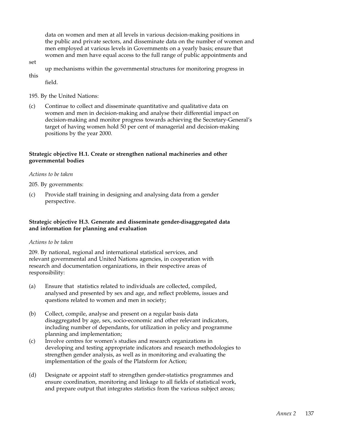data on women and men at all levels in various decision-making positions in the public and private sectors, and disseminate data on the number of women and men employed at various levels in Governments on a yearly basis; ensure that women and men have equal access to the full range of public appointments and

set

up mechanisms within the governmental structures for monitoring progress in

this

field.

195. By the United Nations:

(c) Continue to collect and disseminate quantitative and qualitative data on women and men in decision-making and analyse their differential impact on decision-making and monitor progress towards achieving the Secretary-General's target of having women hold 50 per cent of managerial and decision-making positions by the year 2000.

#### **Strategic objective H.1. Create or strengthen national machineries and other governmental bodies**

#### *Actions to be taken*

205. By governments:

(c) Provide staff training in designing and analysing data from a gender perspective.

#### **Strategic objective H.3. Generate and disseminate gender-disaggregated data and information for planning and evaluation**

#### *Actions to be taken*

209. By national, regional and international statistical services, and relevant governmental and United Nations agencies, in cooperation with research and documentation organizations, in their respective areas of responsibility:

- (a) Ensure that statistics related to individuals are collected, compiled, analysed and presented by sex and age, and reflect problems, issues and questions related to women and men in society;
- (b) Collect, compile, analyse and present on a regular basis data disaggregated by age, sex, socio-economic and other relevant indicators, including number of dependants, for utilization in policy and programme planning and implementation;
- (c) Involve centres for women's studies and research organizations in developing and testing appropriate indicators and research methodologies to strengthen gender analysis, as well as in monitoring and evaluating the implementation of the goals of the Platsform for Action;
- (d) Designate or appoint staff to strengthen gender-statistics programmes and ensure coordination, monitoring and linkage to all fields of statistical work, and prepare output that integrates statistics from the various subject areas;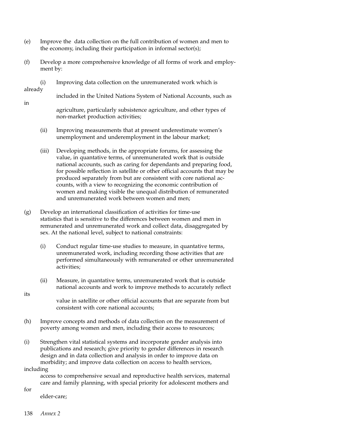- (e) Improve the data collection on the full contribution of women and men to the economy, including their participation in informal sector(s);
- (f) Develop a more comprehensive knowledge of all forms of work and employment by:

| (i)           | Improving data collection on the unremunerated work which is                                               |
|---------------|------------------------------------------------------------------------------------------------------------|
| already<br>in | included in the United Nations System of National Accounts, such as                                        |
|               | agriculture, particularly subsistence agriculture, and other types of<br>non-market production activities; |

- (ii) Improving measurements that at present underestimate women's unemployment and underemployment in the labour market;
- (iii) Developing methods, in the appropriate forums, for assessing the value, in quantative terms, of unremunerated work that is outside national accounts, such as caring for dependants and preparing food, for possible reflection in satellite or other official accounts that may be produced separately from but are consistent with core national accounts, with a view to recognizing the economic contribution of women and making visible the unequal distribution of remunerated and unremunerated work between women and men;
- (g) Develop an international classification of activities for time-use statistics that is sensitive to the differences between women and men in remunerated and unremunerated work and collect data, disaggregated by sex. At the national level, subject to national constraints:
	- (i) Conduct regular time-use studies to measure, in quantative terms, unremunerated work, including recording those activities that are performed simultaneously with remunerated or other unremunerated activities;
	- (ii) Measure, in quantative terms, unremunerated work that is outside national accounts and work to improve methods to accurately reflect
- its

value in satellite or other official accounts that are separate from but consistent with core national accounts;

- (h) Improve concepts and methods of data collection on the measurement of poverty among women and men, including their access to resources;
- (i) Strengthen vital statistical systems and incorporate gender analysis into publications and research; give priority to gender differences in research design and in data collection and analysis in order to improve data on morbidity; and improve data collection on access to health services,

#### including

access to comprehensive sexual and reproductive health services, maternal care and family planning, with special priority for adolescent mothers and

- for
- elder-care;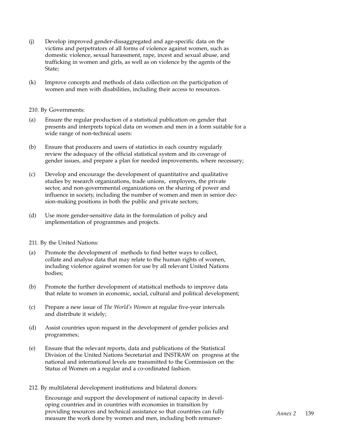- (j) Develop improved gender-dissaggregated and age-specific data on the victims and perpetrators of all forms of violence against women, such as domestic violence, sexual harassment, rape, incest and sexual abuse, and trafficking in women and girls, as well as on violence by the agents of the State;
- (k) Improve concepts and methods of data collection on the participation of women and men with disabilities, including their access to resources.

#### 210. By Governments:

- (a) Ensure the regular production of a statistical publication on gender that presents and interprets topical data on women and men in a form suitable for a wide range of non-technical users:
- (b) Ensure that producers and users of statistics in each country regularly review the adequacy of the official statistical system and its coverage of gender issues, and prepare a plan for needed improvements, where necessary;
- (c) Develop and encourage the development of quantitative and qualitative studies by research organizations, trade unions, employers, the private sector, and non-governmental organizations on the sharing of power and influence in society, including the number of women and men in senior decsion-making positions in both the public and private sectors;
- (d) Use more gender-sensitive data in the formulation of policy and implementation of programmes and projects.

#### 211. By the United Nations:

- (a) Promote the development of methods to find better ways to collect, collate and analyse data that may relate to the human rights of women, including violence against women for use by all relevant United Nations bodies;
- (b) Promote the further development of statistical methods to improve data that relate to women in economic, social, cultural and political development;
- (c) Prepare a new issue of *The World's Women* at regular five-year intervals and distribute it widely;
- (d) Assist countries upon request in the development of gender policies and programmes;
- (e) Ensure that the relevant reports, data and publications of the Statistical Division of the United Nations Secretariat and INSTRAW on progress at the national and international levels are transmitted to the Commission on the Status of Women on a regular and a co-ordinated fashion.
- 212. By multilateral development institutions and bilateral donors:

Encourage and support the development of national capacity in developing countries and in countries with economies in transition by providing resources and technical assistance so that countries can fully measure the work done by women and men, including both remuner-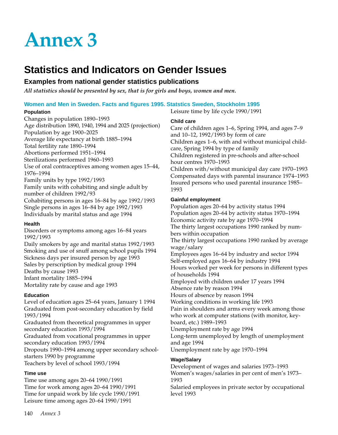## **Annex 3**

## **Statistics and Indicators on Gender Issues**

#### **Examples from national gender statistics publications**

*All statistics should be presented by sex, that is for girls and boys, women and men.*

#### **Women and Men in Sweden. Facts and figures 1995. Statstics Sweden, Stockholm 1995**

#### **Population**

Changes in population 1890–1993 Age distribution 1890, 1940, 1994 and 2025 (projection) Population by age 1900–2025 Average life expectancy at birth 1885–1994 Total fertility rate 1890–1994 Abortions performed 1951–1994 Sterilizations performed 1960–1993 Use of oral contraceptives among women ages 15–44, 1976–1994 Family units by type 1992/1993 Family units with cohabiting and single adult by number of children 1992/93 Cohabiting persons in ages 16–84 by age 1992/1993 Single persons in ages 16–84 by age 1992/1993 Individuals by marital status and age 1994

#### **Health**

Disorders or symptoms among ages 16–84 years 1992/1993

Daily smokers by age and marital status 1992/1993 Smoking and use of snuff among school pupils 1994 Sickness days per insured person by age 1993 Sales by perscription by medical group 1994 Deaths by cause 1993 Infant mortality 1885–1994 Mortality rate by cause and age 1993

#### **Education**

Level of education ages 25–64 years, January 1 1994 Graduated from post-secondary education by field 1993/1994

Graduated from theoretical programmes in upper secondary education 1993/1994

Graduated from vocational programmes in upper secondary education 1993/1994

Dropouts 1990–1994 among upper secondary schoolstarters 1990 by programme

Teachers by level of school 1993/1994

#### **Time use**

Time use among ages 20–64 1990/1991 Time for work among ages 20–64 1990/1991 Time for unpaid work by life cycle 1990/1991 Leisure time among ages 20–64 1990/1991

Leisure time by life cycle 1990/1991

#### **Child care**

Care of children ages 1–6, Spring 1994, and ages 7–9 and 10–12, 1992/1993 by form of care Children ages 1–6, with and without municipal childcare, Spring 1994 by type of family Children registered in pre-schools and after-school hour centres 1970–1993 Children with/without municipal day care 1970–1993 Compensated days with parental insurance 1974–1993 Insured persons who used parental insurance 1985– 1993

#### **Gainful employment**

Population ages 20–64 by activity status 1994 Population ages 20–64 by activity status 1970–1994 Economic activity rate by age 1970–1994 The thirty largest occupations 1990 ranked by numbers within occupation The thirty largest occupations 1990 ranked by average wage/salary Employees ages 16–64 by industry and sector 1994 Self-employed ages 16–64 by industry 1994 Hours worked per week for persons in different types of households 1994 Employed with children under 17 years 1994 Absence rate by reason 1994 Hours of absence by reason 1994 Working conditions in working life 1993 Pain in shoulders and arms every week among those who work at computer stations (with monitor, keyboard, etc.) 1989–1993 Unemployment rate by age 1994 Long-term unemployed by length of unemployment and age 1994 Unemployment rate by age 1970–1994

#### **Wage/Salary**

Development of wages and salaries 1973–1993 Women's wages/salaries in per cent of men's 1973– 1993

Salaried employees in private sector by occupational level 1993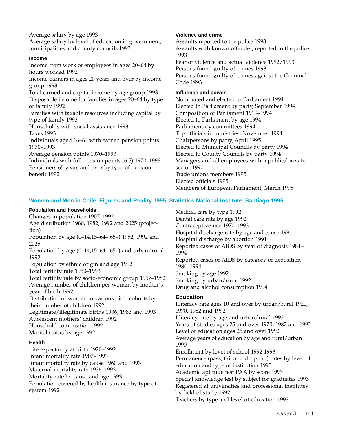Average salary by age 1993 Average salary by level of education in government, municipalities and county councils 1993

#### **Income**

Income from work of employees in ages 20–64 by hours worked 1992

Income-earners in ages 20 years and over by income group 1993

Total earned and capital income by age group 1993 Disposable income for families in ages 20–64 by type of family 1992

Families with taxable resources including capital by type of family 1993

Households with social assistance 1993 Taxes 1993

Individuals aged 16–64 with earned pension points 1970–1993

Average pension points 1970–1993

Individuals with full pension points (6.5) 1970–1993 Pensioners 65 years and over by type of pension benefit 1992

#### **Violence and crime**

Assaults reported to the police 1993 Assaults with known offender, reported to the police 1993 Fear of violence and actual violence 1992/1993 Persons found guilty of crimes 1993 Persons found guilty of crimes against the Criminal Code 1993

#### **Influence and power**

Nominated and elected to Parliament 1994 Elected to Parliament by party, September 1994 Composition of Parliament 1919–1994 Elected to Parliament by age 1994 Parliamentary committees 1994 Top officials in ministries, November 1994 Chairpersons by party, April 1995 Elected to Municipal Councils by party 1994 Elected to County Councils by party 1994 Managers and all employees within public/private sector 1990 Trade unions members 1995 Elected officials 1995 Members of European Parliament, March 1995

#### **Women and Men in Chile. Figures and Reality 1995. Statistics National Institute, Santiago 1995**

#### **Population and households**

Changes in population 1907–1992

Age distribution 1960, 1982, 1992 and 2025 (projection)

Population by age (0–14,15–64– 65–) 1952, 1992 and 2025

Population by age (0–14,15–64– 65–) and urban/rural 1992

Population by ethnic origin and age 1992

Total fertility rate 1950–1993

Total fertility rate by socio-economic group 1957–1982 Average number of children per woman by mother's year of birth 1992

Distribution of women in various birth cohorts by their number of children 1992 Legitimate/illegitimate births 1936, 1986 and 1993

Adolescent mothers' children 1992

Household composition 1992

Marital status by age 1992

#### **Health**

Life expectancy at birth 1920–1992 Infant mortality rate 1907–1993 Infant mortality rate by cause 1960 and 1993 Maternal mortality rate 1936–1993 Mortality rate by cause and age 1993 Population covered by health insurance by type of system 1992

Medical care by type 1992 Dental care rate by age 1992 Contraceptive use 1970–1993 Hospital discharge rate by age and cause 1991 Hospital discharge by abortion 1991 Reported cases of AIDS by year of diagnosis 1984– 1994 Reported cases of AIDS by category of exposition 1984–1994 Smoking by age 1992 Smoking by urban/rural 1992 Drug and alcohol consumption 1994 **Education**

Illiteracy rate ages 10 and over by urban/rural 1920, 1970, 1982 and 1992 Illiteracy rate by age and urban/rural 1992 Years of studies ages 25 and over 1970, 1982 and 1992 Level of education ages 25 and over 1992 Average years of education by age and rural/urban 1990 Enrollment by level of school 1992 1993 Permanence (pass, fail and drop out) rates by level of education and type of institution 1993 Academic aptitude test PAA by score 1993 Special knowledge test by subject for graduates 1993 Registered at universities and professional institutes by field of study 1992 Teachers by type and level of education 1993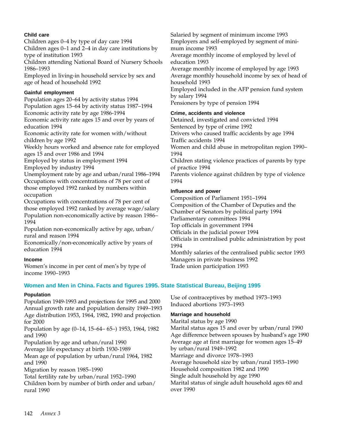#### **Child care**

Children ages 0–4 by type of day care 1994 Children ages 0–1 and 2–4 in day care institutions by type of institution 1993

Children attending National Board of Nursery Schools 1986–1993

Employed in living-in household service by sex and age of head of household 1992

#### **Gainful employment**

Population ages 20–64 by activity status 1994 Population ages 15–64 by activity status 1987–1994 Economic activity rate by age 1986-1994 Economic activity rate ages 15 and over by years of

education 1994 Economic activity rate for women with/without

children by age 1992

Weekly hours worked and absence rate for employed ages 15 and over 1986 and 1994

Employed by status in employment 1994

Employed by industry 1994

Unemployment rate by age and urban/rural 1986–1994 Occupations with concentrations of 78 per cent of those employed 1992 ranked by numbers within occupation

Occupations with concentrations of 78 per cent of those employed 1992 ranked by average wage/salary Population non-economically active by reason 1986– 1994

Population non-economically active by age, urban/ rural and reason 1994

Economically/non-economically active by years of education 1994

#### **Income**

Women's income in per cent of men's by type of income 1990–1993

#### **Women and Men in China. Facts and figures 1995. State Statistical Bureau, Beijing 1995**

#### **Population**

Population 1949-1993 and projections for 1995 and 2000 Annual growth rate and population density 1949–1993 Age distribution 1953, 1964, 1982, 1990 and projection for 2000

Population by age (0–14, 15–64– 65–) 1953, 1964, 1982 and 1990

Population by age and urban/rural 1990

Average life expectancy at birth 1930-1989

Mean age of population by urban/rural 1964, 1982 and 1990

Migration by reason 1985–1990

Total fertility rate by urban/rural 1952–1990

Children born by number of birth order and urban/ rural 1990

Salaried by segment of minimum income 1993 Employers and self-employed by segment of minimum income 1993 Average monthly income of employed by level of education 1993 Average monthly income of employed by age 1993 Average monthly household income by sex of head of household 1993 Employed included in the AFP pension fund system by salary 1994 Pensioners by type of pension 1994

#### **Crime, accidents and violence**

Detained, investigated and convicted 1994 Sentenced by type of crime 1992 Drivers who caused traffic accidents by age 1994 Traffic accidents 1994 Women and child abuse in metropolitan region 1990– 1994 Children stating violence practices of parents by type of practice 1994 Parents violence against children by type of violence 1994 **Influence and power** Composition of Parliament 1951–1994 Composition of the Chamber of Deputies and the

Chamber of Senators by political party 1994 Parliamentary committees 1994 Top officials in government 1994 Officials in the judicial power 1994 Officials in centralised public administration by post 1994 Monthly salaries of the centralised public sector 1993 Managers in private business 1992 Trade union participation 1993

Use of contraceptives by method 1973–1993 Induced abortions 1973–1993

#### **Marriage and household**

Marital status by age 1990 Marital status ages 15 and over by urban/rural 1990 Age difference between spouses by husband's age 1990 Average age at first marriage for women ages 15–49 by urban/rural 1949–1992 Marriage and divorce 1978–1993 Average household size by urban/rural 1953–1990 Household composition 1982 and 1990 Single adult household by age 1990 Marital status of single adult household ages 60 and over 1990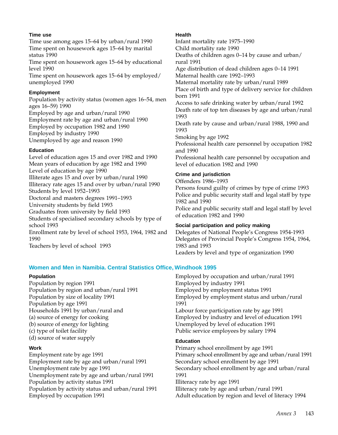#### **Time use**

Time use among ages 15–64 by urban/rural 1990 Time spent on housework ages 15–64 by marital status 1990 Time spent on housework ages 15–64 by educational level 1990 Time spent on housework ages 15–64 by employed/ unemployed 1990

#### **Employment**

Population by activity status (women ages 16–54, men ages 16–59) 1990 Employed by age and urban/rural 1990 Employment rate by age and urban/rural 1990 Employed by occupation 1982 and 1990 Employed by industry 1990 Unemployed by age and reason 1990

#### **Education**

Level of education ages 15 and over 1982 and 1990 Mean years of education by age 1982 and 1990 Level of education by age 1990 Illiterate ages 15 and over by urban/rural 1990 Illiteracy rate ages 15 and over by urban/rural 1990 Students by level 1952–1993 Doctoral and masters degrees 1991–1993 University students by field 1993 Graduates from university by field 1993 Students of specialised secondary schools by type of school 1993

Enrollment rate by level of school 1953, 1964, 1982 and 1990

Teachers by level of school 1993

#### **Health**

Infant mortality rate 1975–1990 Child mortality rate 1990 Deaths of children ages 0–14 by cause and urban/ rural 1991 Age distribution of dead children ages 0–14 1991 Maternal health care 1992–1993 Maternal mortality rate by urban/rural 1989 Place of birth and type of delivery service for children born 1991 Access to safe drinking water by urban/rural 1992 Death rate of top ten diseases by age and urban/rural 1993 Death rate by cause and urban/rural 1988, 1990 and 1993 Smoking by age 1992 Professional health care personnel by occupation 1982 and 1990 Professional health care personnel by occupation and level of education 1982 and 1990 **Crime and jurisdiction**

Offenders 1986–1993

Persons found guilty of crimes by type of crime 1993 Police and public security staff and legal staff by type 1982 and 1990 Police and public security staff and legal staff by level

of education 1982 and 1990

#### **Social participation and policy making**

Delegates of National People's Congress 1954-1993 Delegates of Provincial People's Congress 1954, 1964, 1983 and 1993 Leaders by level and type of organization 1990

#### **Women and Men in Namibia. Central Statistics Office, Windhook 1995**

#### **Population**

Population by region 1991 Population by region and urban/rural 1991 Population by size of locality 1991 Population by age 1991 Households 1991 by urban/rural and (a) source of energy for cooking (b) source of energy for lighting (c) type of toilet facility (d) source of water supply

#### **Work**

Employment rate by age 1991 Employment rate by age and urban/rural 1991 Unemployment rate by age 1991 Unemployment rate by age and urban/rural 1991 Population by activity status 1991 Population by activity status and urban/rural 1991 Employed by occupation 1991

Employed by occupation and urban/rural 1991 Employed by industry 1991 Employed by employment status 1991 Employed by employment status and urban/rural 1991 Labour force participation rate by age 1991 Employed by industry and level of education 1991 Unemployed by level of education 1991 Public service employees by salary 1994

#### **Education**

Primary school enrollment by age 1991 Primary school enrollment by age and urban/rural 1991 Secondary school enrollment by age 1991 Secondary school enrollment by age and urban/rural 1991 Illiteracy rate by age 1991

Illiteracy rate by age and urban/rural 1991 Adult education by region and level of literacy 1994